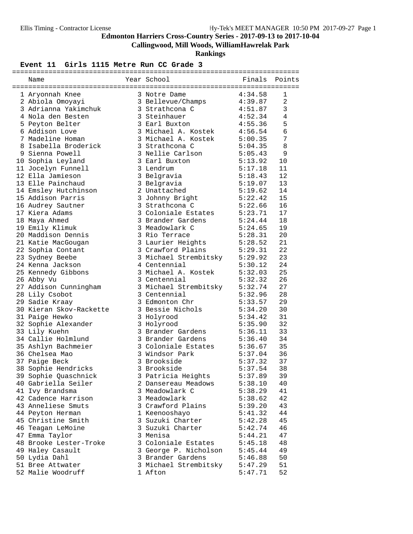**Callingwood, Mill Woods, WilliamHawrelak Park**

**Rankings**

#### **Event 11 Girls 1115 Metre Run CC Grade 3**

|                                     |                                                          | 4:34.58            | 1              |
|-------------------------------------|----------------------------------------------------------|--------------------|----------------|
| 1 Aryonnah Knee<br>2 Abiola Omoyayi | 3 Notre Dame<br>3 Bellevue/Champs<br>3 Sturtherns G      |                    | $\overline{a}$ |
| 3 Adrianna Yakimchuk                |                                                          | 4:39.87<br>4:51.87 | $\mathfrak{Z}$ |
| 4 Nola den Besten                   | 3 Strathcona C<br>3 Steinhauer                           | 4:52.34            | $\overline{4}$ |
| 5 Peyton Belter                     | 3 Earl Buxton                                            | 4:55.36            | 5              |
| 6 Addison Love                      | 3 Michael A. Kostek                                      | 4:56.54            | $\epsilon$     |
| 7 Madeline Homan                    | 3 Michael A. Kostek                                      | 5:00.35            | 7              |
| 8 Isabella Broderick                | 3 Strathcona C                                           | 5:04.35            | $\,8\,$        |
| 9 Sienna Powell                     | 3 Nellie Carlson                                         | 5:05.43            | 9              |
| 10 Sophia Leyland                   | 3 Earl Buxton                                            | 5:13.92            | 10             |
| 11 Jocelyn Funnell                  | 3 Lendrum                                                | 5:17.18            | 11             |
| 12 Ella Jamieson                    | 3 Belgravia                                              | 5:18.43            | 12             |
| 13 Elle Painchaud                   | 3 Belgravia                                              | 5:19.07            | 13             |
| 14 Emsley Hutchinson                | 2 Unattached                                             |                    | 14             |
| 15 Addison Parris                   | 3 Johnny Bright                                          | 5:19.62<br>5:22.42 | 15             |
| 16 Audrey Sautner                   | 3 Strathcona C                                           | 5:22.66            | 16             |
| 17 Kiera Adams                      | 3 Coloniale Estates 5:23.71                              |                    | 17             |
| 18 Maya Ahmed                       | 3 Brander Gardens                                        | 5:24.44            | 18             |
| 19 Emily Klimuk                     | 3 Meadowlark C                                           | 5:24.65            | 19             |
| 20 Maddison Dennis                  | 3 Rio Terrace                                            | 5:28.31            | 20             |
| 21 Katie MacGougan                  | 3 Laurier Heights                                        | 5:28.52            | 21             |
| 22 Sophia Contant                   | $3$ Crawford Plains $5:29.31$                            |                    | 22             |
| 23 Sydney Beebe                     | 3 Michael Strembitsky 5:29.92                            |                    | 23             |
| 24 Kenna Jackson                    | 4 Centennial                                             | 5:30.12            | 24             |
| 25 Kennedy Gibbons                  | 3 Michael A. Kostek                                      | 5:32.03            | 25             |
| 26 Abby Vu                          | 3 Centennial                                             |                    | 26             |
| 27 Addison Cunningham               | 5:32.32<br>3 Michael Strembitsky 5:32.74<br>3 Centennial |                    | 27             |
| 28 Lily Csobot                      | 3 Centennial                                             | 5:32.96            | 28             |
| 29 Sadie Kraay                      | 3 Edmonton Chr                                           | 5:33.57            | 29             |
| 30 Kieran Skov-Rackette             | 3 Bessie Nichols                                         | 5:34.20            | 30             |
| 31 Paige Hewko                      | 3 Holyrood                                               | 5:34.42            | 31             |
| 32 Sophie Alexander                 | 3 Holyrood                                               | 5:35.90            | 32             |
| 33 Lily Kuehn                       | 3 Brander Gardens                                        | 5:36.11            | 33             |
| 34 Callie Holmlund                  | 3 Brander Gardens                                        | 5:36.40            | 34             |
| 35 Ashlyn Bachmeier                 | 3 Coloniale Estates 5:36.67                              |                    | 35             |
| 36 Chelsea Mao                      | 3 Windsor Park                                           | 5:37.04            | 36             |
| 37 Paige Beck                       | 3 Brookside                                              | 5:37.32            | 37             |
| 38 Sophie Hendricks                 | 3 Brookside                                              | 5:37.54            | 38             |
| 39 Sophie Quaschnick                | 3 Patricia Heights                                       | 5:37.89            | 39             |
| 40 Gabriella Seiler                 | 2 Dansereau Meadows                                      | 5:38.10            | 40             |
| 41 Ivy Brandsma                     | 3 Meadowlark C                                           | 5:38.29            | 41             |
| 42 Cadence Harrison                 | 3 Meadowlark                                             | 5:38.62            | 42             |
| 43 Anneliese Smuts                  | 3 Crawford Plains                                        | 5:39.20            | 43             |
| 44 Peyton Herman                    | 1 Keenooshayo                                            | 5:41.32            | 44             |
| 45 Christine Smith                  | 3 Suzuki Charter                                         | 5:42.28            | 45             |
| 46 Teagan LeMoine                   | 3 Suzuki Charter                                         | 5:42.74            | 46             |
| 47 Emma Taylor                      | 3 Menisa                                                 | 5:44.21            | 47             |
| 48 Brooke Lester-Troke              | 3 Coloniale Estates                                      | 5:45.18            | 48             |
| 49 Haley Casault                    | 3 George P. Nicholson                                    | 5:45.44            | 49             |
| 50 Lydia Dahl                       | 3 Brander Gardens                                        | 5:46.88            | 50             |
| 51 Bree Attwater                    | 3 Michael Strembitsky                                    | 5:47.29            | 51             |
| 52 Malie Woodruff                   | 1 Afton                                                  | 5:47.71            | 52             |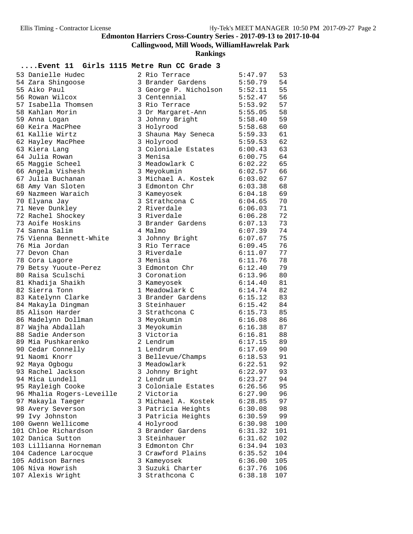**Callingwood, Mill Woods, WilliamHawrelak Park**

**Rankings**

| 53 Danielle Hudec         | 2 Rio Terrace         | 5:47.97 | 53  |
|---------------------------|-----------------------|---------|-----|
| 54 Zara Shingoose         | 3 Brander Gardens     | 5:50.79 | 54  |
| 55 Aiko Paul              | 3 George P. Nicholson | 5:52.11 | 55  |
| 56 Rowan Wilcox           | 3 Centennial          | 5:52.47 | 56  |
| 57 Isabella Thomsen       | 3 Rio Terrace         | 5:53.92 | 57  |
| 58 Kahlan Morin           | 3 Dr Margaret-Ann     | 5:55.05 | 58  |
| 59 Anna Logan             | 3 Johnny Bright       | 5:58.40 | 59  |
| 60 Keira MacPhee          | 3 Holyrood            | 5:58.68 | 60  |
| 61 Kallie Wirtz           | 3 Shauna May Seneca   | 5:59.33 | 61  |
| 62 Hayley MacPhee         | 3 Holyrood            | 5:59.53 | 62  |
| 63 Kiera Lang             | 3 Coloniale Estates   | 6:00.43 | 63  |
| 64 Julia Rowan            | 3 Menisa              | 6:00.75 | 64  |
| 65 Maggie Scheel          | 3 Meadowlark C        | 6:02.22 | 65  |
| 66 Angela Vishesh         | 3 Meyokumin           | 6:02.57 | 66  |
| 67 Julia Buchanan         | 3 Michael A. Kostek   | 6:03.02 | 67  |
| 68 Amy Van Sloten         | 3 Edmonton Chr        | 6:03.38 | 68  |
| 69 Nazmeen Waraich        | 3 Kameyosek           | 6:04.18 | 69  |
| 70 Elyana Jay             | 3 Strathcona C        | 6:04.65 | 70  |
| 71 Neve Dunkley           | 2 Riverdale           | 6:06.03 | 71  |
| 72 Rachel Shockey         | 3 Riverdale           | 6:06.28 | 72  |
| 73 Aoife Hoskins          | 3 Brander Gardens     | 6:07.13 | 73  |
| 74 Sanna Salim            | 4 Malmo               | 6:07.39 | 74  |
| 75 Vienna Bennett-White   | 3 Johnny Bright       | 6:07.67 | 75  |
| 76 Mia Jordan             | 3 Rio Terrace         | 6:09.45 | 76  |
| 77 Devon Chan             | 3 Riverdale           | 6:11.07 | 77  |
| 78 Cora Lagore            | 3 Menisa              | 6:11.76 | 78  |
| 79 Betsy Yuoute-Perez     | 3 Edmonton Chr        | 6:12.40 | 79  |
| 80 Raisa Sculschi         | 3 Coronation          | 6:13.96 | 80  |
| 81 Khadija Shaikh         | 3 Kameyosek           | 6:14.40 | 81  |
| 82 Sierra Tonn            | 1 Meadowlark C        | 6:14.74 | 82  |
| 83 Katelynn Clarke        | 3 Brander Gardens     | 6:15.12 | 83  |
| 84 Makayla Dingman        | 3 Steinhauer          | 6:15.42 | 84  |
| 85 Alison Harder          | 3 Strathcona C        | 6:15.73 | 85  |
| 86 Madelynn Dollman       | 3 Meyokumin           | 6:16.08 | 86  |
| 87 Wajha Abdallah         | 3 Meyokumin           | 6:16.38 | 87  |
| 88 Sadie Anderson         | 3 Victoria            | 6:16.81 | 88  |
| 89 Mia Pushkarenko        | 2 Lendrum             | 6:17.15 | 89  |
| 90 Cedar Connelly         | 1 Lendrum             | 6:17.69 | 90  |
| 91 Naomi Knorr            | 3 Bellevue/Champs     | 6:18.53 | 91  |
| 92 Maya Ogbogu            | 3 Meadowlark          | 6:22.51 | 92  |
| 93 Rachel Jackson         | 3 Johnny Bright       | 6:22.97 | 93  |
| 94 Mica Lundell           | 2 Lendrum             | 6:23.27 | 94  |
| 95 Rayleigh Cooke         | 3 Coloniale Estates   | 6:26.56 | 95  |
| 96 Mhalia Rogers-Leveille | 2 Victoria            | 6:27.90 | 96  |
| 97 Makayla Taeger         | 3 Michael A. Kostek   | 6:28.85 | 97  |
| 98 Avery Severson         | 3 Patricia Heights    | 6:30.08 | 98  |
| 99 Ivy Johnston           | 3 Patricia Heights    | 6:30.59 | 99  |
| 100 Gwenn Wellicome       | 4 Holyrood            | 6:30.98 | 100 |
| 101 Chloe Richardson      | 3 Brander Gardens     | 6:31.32 | 101 |
| 102 Danica Sutton         | 3 Steinhauer          | 6:31.62 | 102 |
| 103 Lillianna Horneman    | 3 Edmonton Chr        | 6:34.94 | 103 |
| 104 Cadence Larocque      | 3 Crawford Plains     | 6:35.52 | 104 |
| 105 Addison Barnes        | 3 Kameyosek           | 6:36.00 | 105 |
| 106 Niva Howrish          | 3 Suzuki Charter      | 6:37.76 | 106 |
| 107 Alexis Wright         | 3 Strathcona C        | 6:38.18 | 107 |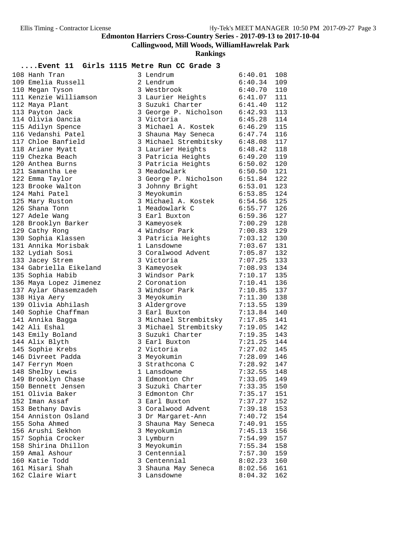**Callingwood, Mill Woods, WilliamHawrelak Park**

**Rankings**

| 108 Hanh Tran          | 3 Lendrum                     | 6:40.01       | 108 |
|------------------------|-------------------------------|---------------|-----|
| 109 Emelia Russell     | 2 Lendrum                     | 6:40.34       | 109 |
| 110 Megan Tyson        | 3 Westbrook                   | 6:40.70       | 110 |
| 111 Kenzie Williamson  | 3 Laurier Heights             | 6:41.07       | 111 |
| 112 Maya Plant         | 3 Suzuki Charter              | 6:41.40       | 112 |
| 113 Payton Jack        | 3 George P. Nicholson         | 6:42.93       | 113 |
| 114 Olivia Oancia      | 3 Victoria                    | 6:45.28       | 114 |
| 115 Adilyn Spence      | 3 Michael A. Kostek           | 6:46.29       | 115 |
| 116 Vedanshi Patel     | 3 Shauna May Seneca           | 6:47.74       | 116 |
| 117 Chloe Banfield     | 3 Michael Strembitsky 6:48.08 |               | 117 |
| 118 Ariane Myatt       | 3 Laurier Heights             | 6:48.42       | 118 |
| 119 Chezka Beach       | 3 Patricia Heights            | 6:49.20       | 119 |
| 120 Anthea Burns       | 3 Patricia Heights            | 6:50.02       | 120 |
| 121 Samantha Lee       |                               |               |     |
|                        | 3 Meadowlark                  | 6:50.50       | 121 |
| 122 Emma Taylor        | 3 George P. Nicholson         | 6:51.84       | 122 |
| 123 Brooke Walton      | 3 Johnny Bright               | 6:53.01       | 123 |
| 124 Mahi Patel         | 3 Meyokumin                   | 6:53.85       | 124 |
| 125 Mary Ruston        | 3 Michael A. Kostek 6:54.56   |               | 125 |
| 126 Shana Tonn         | 1 Meadowlark C                | 6:55.77       | 126 |
| 127 Adele Wang         | 3 Earl Buxton                 | 6:59.36       | 127 |
| 128 Brooklyn Barker    | 3 Kameyosek                   | 7:00.29       | 128 |
| 129 Cathy Rong         | 4 Windsor Park                | 7:00.83       | 129 |
| 130 Sophia Klassen     | 3 Patricia Heights            | 7:03.12       | 130 |
| 131 Annika Morisbak    | 1 Lansdowne                   | 7:03.67       | 131 |
| 132 Lydiah Sosi        | 3 Coralwood Advent            | 7:05.87       | 132 |
| 133 Jacey Strem        | 3 Victoria                    | 7:07.25       | 133 |
| 134 Gabriella Eikeland | 3 Kameyosek                   | 7:08.93       | 134 |
| 135 Sophia Habib       | 3 Windsor Park                | 7:10.17       | 135 |
| 136 Maya Lopez Jimenez | 2 Coronation                  | 7:10.41       | 136 |
| 137 Aylar Ghasemzadeh  | 3 Windsor Park                | 7:10.85       | 137 |
| 138 Hiya Aery          | 3 Meyokumin                   | 7:11.30       | 138 |
| 139 Olivia Abhilash    | 3 Aldergrove                  | 7:13.55       | 139 |
| 140 Sophie Chaffman    | 3 Earl Buxton                 | 7:13.84       | 140 |
| 141 Annika Bagga       | 3 Michael Strembitsky         | 7:17.85       | 141 |
| 142 Ali Eshal          | 3 Michael Strembitsky         | 7:19.05       | 142 |
| 143 Emily Boland       | 3 Suzuki Charter              | 7:19.35       | 143 |
| 144 Alix Blyth         | 3 Earl Buxton                 | 7:21.25       | 144 |
| 145 Sophie Krebs       | 2 Victoria                    | 7:27.02       | 145 |
| 146 Divreet Padda      | 3 Meyokumin                   | 7:28.09       | 146 |
| 147 Ferryn Moen        | 3 Strathcona C                | 7:28.92       | 147 |
| 148 Shelby Lewis       | 1 Lansdowne                   | $7:32.55$ 148 |     |
| 149 Brooklyn Chase     | 3 Edmonton Chr                | 7:33.05       | 149 |
| 150 Bennett Jensen     | 3 Suzuki Charter              | 7:33.35       | 150 |
| 151 Olivia Baker       | 3 Edmonton Chr                | 7:35.17       | 151 |
| 152 Iman Assaf         | 3 Earl Buxton                 | 7:37.27       | 152 |
| 153 Bethany Davis      | 3 Coralwood Advent            | 7:39.18       | 153 |
| 154 Anniston Osland    | 3 Dr Margaret-Ann             | 7:40.72       | 154 |
| 155 Soha Ahmed         | 3 Shauna May Seneca           | 7:40.91       | 155 |
| 156 Arushi Sekhon      | 3 Meyokumin                   | 7:45.13       | 156 |
| 157 Sophia Crocker     | 3 Lymburn                     | 7:54.99       | 157 |
| 158 Shirina Dhillon    | 3 Meyokumin                   | 7:55.34       | 158 |
| 159 Amal Ashour        | 3 Centennial                  | 7:57.30       | 159 |
| 160 Katie Todd         | 3 Centennial                  | 8:02.23       | 160 |
| 161 Misari Shah        | 3 Shauna May Seneca           | 8:02.56       | 161 |
| 162 Claire Wiart       | 3 Lansdowne                   | 8:04.32       | 162 |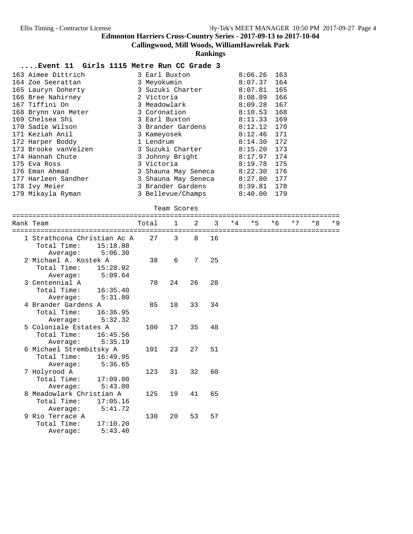**Callingwood, Mill Woods, WilliamHawrelak Park**

#### **Rankings**

#### **....Event 11 Girls 1115 Metre Run CC Grade 3**

| 163 Aimee Dittrich   | 3 Earl Buxton       | 8:06.26 | 163 |
|----------------------|---------------------|---------|-----|
| 164 Zoe Seerattan    | 3 Meyokumin         | 8:07.37 | 164 |
| 165 Lauryn Doherty   | 3 Suzuki Charter    | 8:07.81 | 165 |
| 166 Bree Nahirney    | 2 Victoria          | 8:08.89 | 166 |
| 167 Tiffini On       | 3 Meadowlark        | 8:09.28 | 167 |
| 168 Brynn Van Meter  | 3 Coronation        | 8:10.53 | 168 |
| 169 Chelsea Shi      | 3 Earl Buxton       | 8:11.33 | 169 |
| 170 Sadie Wilson     | 3 Brander Gardens   | 8:12.12 | 170 |
| 171 Keziah Anil      | 3 Kameyosek         | 8:12.46 | 171 |
| 172 Harper Boddy     | 1 Lendrum           | 8:14.30 | 172 |
| 173 Brooke vanVelzen | 3 Suzuki Charter    | 8:15.20 | 173 |
| 174 Hannah Chute     | 3 Johnny Bright     | 8:17.97 | 174 |
| 175 Eva Ross         | 3 Victoria          | 8:19.78 | 175 |
| 176 Eman Ahmad       | 3 Shauna May Seneca | 8:22.30 | 176 |
| 177 Harleen Sandher  | 3 Shauna May Seneca | 8:27.80 | 177 |
| 178 Ivy Meier        | 3 Brander Gardens   | 8:39.81 | 178 |
| 179 Mikayla Ryman    | 3 Bellevue/Champs   | 8:40.00 | 179 |

#### Team Scores

| =======<br>Rank Team                                                          | Total | $\mathbf{1}$ | $\mathfrak{D}$ | 3  | $*4$ | $*5$ | $*6$ | $*7$ | $*8$ | $*9$ |
|-------------------------------------------------------------------------------|-------|--------------|----------------|----|------|------|------|------|------|------|
| 1 Strathcona Christian Ac A<br>Total Time:<br>15:18.88<br>5:06.30<br>Average: | 27    | 3            | 8              | 16 |      |      |      |      |      |      |
| 2 Michael A. Kostek A<br>Total Time:<br>15:28.92<br>5:09.64<br>Average:       | 38    | 6            | 7              | 25 |      |      |      |      |      |      |
| 3 Centennial A<br>Total Time:<br>16:35.40<br>5:31.80<br>Average:              | 78    | 24           | 26             | 28 |      |      |      |      |      |      |
| 4 Brander Gardens A<br>Total Time:<br>16:36.95<br>5:32.32<br>Average:         | 85    | 18           | 33             | 34 |      |      |      |      |      |      |
| 5 Coloniale Estates A<br>Total Time:<br>16:45.56<br>5:35.19<br>Average:       | 100   | 17           | 35             | 48 |      |      |      |      |      |      |
| 6 Michael Strembitsky A<br>Total Time:<br>16:49.95<br>5:36.65<br>Average:     | 101   | 23           | 27             | 51 |      |      |      |      |      |      |
| 7 Holyrood A<br>Total Time:<br>17:09.00<br>5:43.00<br>Average:                | 123   | 31           | 32             | 60 |      |      |      |      |      |      |
| 8 Meadowlark Christian A<br>Total Time:<br>17:05.16<br>5:41.72<br>Average:    | 125   | 19           | 41             | 65 |      |      |      |      |      |      |
| 9 Rio Terrace A<br>Total Time:<br>17:10.20<br>5:43.40<br>Average:             | 130   | 20           | 53             | 57 |      |      |      |      |      |      |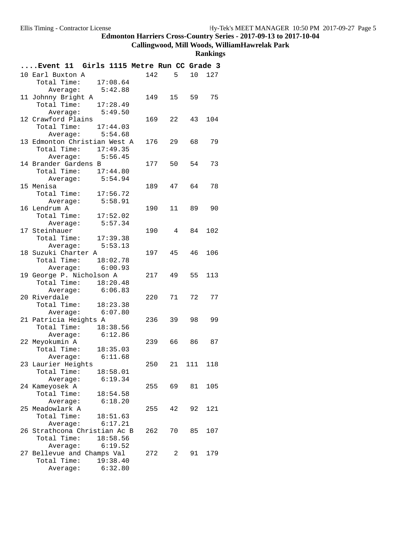#### **Callingwood, Mill Woods, WilliamHawrelak Park**

| Event 11 Girls 1115 Metre Run CC Grade 3 |              |                                                                                                                                                                                                                                                                                                                                                                                     |          |     |
|------------------------------------------|--------------|-------------------------------------------------------------------------------------------------------------------------------------------------------------------------------------------------------------------------------------------------------------------------------------------------------------------------------------------------------------------------------------|----------|-----|
| 10 Earl Buxton A                         | 142          | $5^{\circ}$                                                                                                                                                                                                                                                                                                                                                                         | 10       | 127 |
| Total Time:<br>17:08.64                  |              |                                                                                                                                                                                                                                                                                                                                                                                     |          |     |
| Average: 5:42.88                         |              |                                                                                                                                                                                                                                                                                                                                                                                     |          |     |
| 11 Johnny Bright A                       | 149          |                                                                                                                                                                                                                                                                                                                                                                                     | 15 59 75 |     |
| Total Time: 17:28.49                     |              |                                                                                                                                                                                                                                                                                                                                                                                     |          |     |
| Average: 5:49.50                         |              |                                                                                                                                                                                                                                                                                                                                                                                     |          |     |
| 12 Crawford Plains                       | 169          | 22                                                                                                                                                                                                                                                                                                                                                                                  | 43       | 104 |
| Total Time: 17:44.03                     |              |                                                                                                                                                                                                                                                                                                                                                                                     |          |     |
| Average: 5:54.68                         |              |                                                                                                                                                                                                                                                                                                                                                                                     |          |     |
| 13 Edmonton Christian West A             | 176          | 29                                                                                                                                                                                                                                                                                                                                                                                  | 68 —     | 79  |
| Total Time: 17:49.35                     |              |                                                                                                                                                                                                                                                                                                                                                                                     |          |     |
| Average: 5:56.45                         |              |                                                                                                                                                                                                                                                                                                                                                                                     |          |     |
| 14 Brander Gardens B                     | 177 50       |                                                                                                                                                                                                                                                                                                                                                                                     | 54       | 73  |
| Total Time: 17:44.80                     |              |                                                                                                                                                                                                                                                                                                                                                                                     |          |     |
| Average: 5:54.94<br>15 Menisa            | 189          |                                                                                                                                                                                                                                                                                                                                                                                     | 47 64    | 78  |
| Total Time:<br>17:56.72                  |              |                                                                                                                                                                                                                                                                                                                                                                                     |          |     |
| 5:58.91                                  |              |                                                                                                                                                                                                                                                                                                                                                                                     |          |     |
| Average:<br>16 Lendrum A                 | 190          | 11                                                                                                                                                                                                                                                                                                                                                                                  | 89       | 90  |
| Total Time:<br>17:52.02                  |              |                                                                                                                                                                                                                                                                                                                                                                                     |          |     |
| 5:57.34<br>Average:                      |              |                                                                                                                                                                                                                                                                                                                                                                                     |          |     |
| 17 Steinhauer                            | 190          | $4\phantom{.0000}\phantom{.0000}\phantom{.0000}\phantom{.0000}\phantom{.0000}\phantom{.0000}\phantom{.0000}\phantom{.0000}\phantom{.0000}\phantom{.0000}\phantom{.0000}\phantom{.0000}\phantom{.0000}\phantom{.0000}\phantom{.0000}\phantom{.0000}\phantom{.0000}\phantom{.0000}\phantom{.0000}\phantom{.0000}\phantom{.0000}\phantom{.0000}\phantom{.0000}\phantom{.0000}\phantom$ | 84       | 102 |
| Total Time: 17:39.38                     |              |                                                                                                                                                                                                                                                                                                                                                                                     |          |     |
| Average: 5:53.13                         |              |                                                                                                                                                                                                                                                                                                                                                                                     |          |     |
| 18 Suzuki Charter A                      | 197          | 45                                                                                                                                                                                                                                                                                                                                                                                  | 46       | 106 |
| Total Time: 18:02.78                     |              |                                                                                                                                                                                                                                                                                                                                                                                     |          |     |
| Average: 6:00.93                         |              |                                                                                                                                                                                                                                                                                                                                                                                     |          |     |
| 19 George P. Nicholson A                 | 217          | 49                                                                                                                                                                                                                                                                                                                                                                                  | 55       | 113 |
| Total Time: 18:20.48                     |              |                                                                                                                                                                                                                                                                                                                                                                                     |          |     |
| Average: 6:06.83                         |              |                                                                                                                                                                                                                                                                                                                                                                                     |          |     |
| 20 Riverdale                             | 220          | 71                                                                                                                                                                                                                                                                                                                                                                                  | 72       | 77  |
| Total Time: 18:23.38                     |              |                                                                                                                                                                                                                                                                                                                                                                                     |          |     |
| Average: 6:07.80                         |              |                                                                                                                                                                                                                                                                                                                                                                                     |          |     |
| 21 Patricia Heights A                    | 236          | 39                                                                                                                                                                                                                                                                                                                                                                                  | 98       | 99  |
| Total Time: 18:38.56                     |              |                                                                                                                                                                                                                                                                                                                                                                                     |          |     |
| Average: 6:12.86                         |              |                                                                                                                                                                                                                                                                                                                                                                                     |          |     |
| 22 Meyokumin A                           | 239 66 86 87 |                                                                                                                                                                                                                                                                                                                                                                                     |          |     |
| Total Time: 18:35.03                     |              |                                                                                                                                                                                                                                                                                                                                                                                     |          |     |
| Average:<br>6:11.68                      |              |                                                                                                                                                                                                                                                                                                                                                                                     |          |     |
| 23 Laurier Heights<br>Total Time:        | 250          | 21                                                                                                                                                                                                                                                                                                                                                                                  | 111 118  |     |
| 18:58.01<br>6:19.34<br>Average:          |              |                                                                                                                                                                                                                                                                                                                                                                                     |          |     |
| 24 Kameyosek A                           | 255 69       |                                                                                                                                                                                                                                                                                                                                                                                     | 81       | 105 |
| Total Time:<br>18:54.58                  |              |                                                                                                                                                                                                                                                                                                                                                                                     |          |     |
| Average:<br>6:18.20                      |              |                                                                                                                                                                                                                                                                                                                                                                                     |          |     |
| 25 Meadowlark A                          | 255          | 42                                                                                                                                                                                                                                                                                                                                                                                  | 92       | 121 |
| Total Time:<br>18:51.63                  |              |                                                                                                                                                                                                                                                                                                                                                                                     |          |     |
| Average: 6:17.21                         |              |                                                                                                                                                                                                                                                                                                                                                                                     |          |     |
| 26 Strathcona Christian Ac B             | 262          | 70                                                                                                                                                                                                                                                                                                                                                                                  | 85       | 107 |
| Total Time:<br>18:58.56                  |              |                                                                                                                                                                                                                                                                                                                                                                                     |          |     |
| Average: 6:19.52                         |              |                                                                                                                                                                                                                                                                                                                                                                                     |          |     |
| 27 Bellevue and Champs Val               | 272          | 2                                                                                                                                                                                                                                                                                                                                                                                   | 91       | 179 |
| Total Time:<br>19:38.40                  |              |                                                                                                                                                                                                                                                                                                                                                                                     |          |     |
| Average:<br>6:32.80                      |              |                                                                                                                                                                                                                                                                                                                                                                                     |          |     |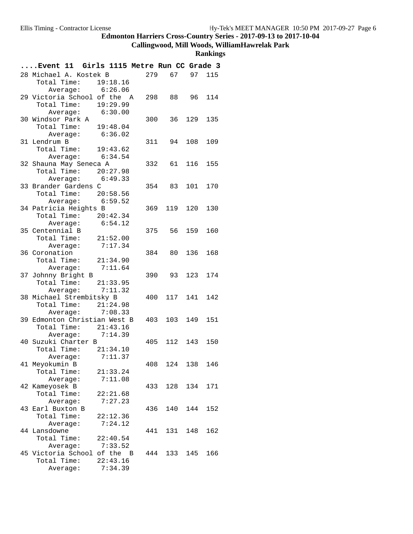#### **Callingwood, Mill Woods, WilliamHawrelak Park**

| Event 11 Girls 1115 Metre Run CC Grade 3       |     |               |         |     |
|------------------------------------------------|-----|---------------|---------|-----|
| 28 Michael A. Kostek B                         | 279 | 67            | 97      | 115 |
| Total Time:<br>19:18.16                        |     |               |         |     |
| Average: 6:26.06                               |     |               |         |     |
| 29 Victoria School of the A                    |     | 298 88 96 114 |         |     |
| Total Time: 19:29.99                           |     |               |         |     |
| Average: 6:30.00                               |     |               |         |     |
| 30 Windsor Park A                              | 300 | 36            | 129     | 135 |
| Total Time:<br>19:48.04                        |     |               |         |     |
| Average:<br>6:36.02                            |     |               |         |     |
| 31 Lendrum B                                   | 311 | 94            | 108     | 109 |
| Total Time: 19:43.62                           |     |               |         |     |
| Average: 6:34.54                               |     |               |         |     |
| 32 Shauna May Seneca A                         |     | 332 61 116    |         | 155 |
| Total Time: 20:27.98                           |     |               |         |     |
| Average: 6:49.33                               |     |               |         |     |
| 33 Brander Gardens C                           |     | 354 83        | 101 170 |     |
| Total Time: 20:58.56<br>Average: 6:59.52       |     |               |         |     |
| 34 Patricia Heights B                          | 369 | 119           | 120     | 130 |
|                                                |     |               |         |     |
| Total Time: 20:42.34<br>6:54.12<br>Average:    |     |               |         |     |
| 35 Centennial B                                | 375 | 56            | 159     | 160 |
| Total Time: 21:52.00                           |     |               |         |     |
| 7:17.34<br>Average:                            |     |               |         |     |
| 36 Coronation                                  | 384 | 80            | 136     | 168 |
| Total Time:<br>21:34.90                        |     |               |         |     |
| 7:11.64<br>Average:                            |     |               |         |     |
| 37 Johnny Bright B                             |     | 390 93        | 123     | 174 |
| Total Time: 21:33.95                           |     |               |         |     |
| Average: 7:11.32                               |     |               |         |     |
| 38 Michael Strembitsky B                       | 400 | 117           | 141     | 142 |
| Total Time: 21:24.98                           |     |               |         |     |
| Average: 7:08.33                               |     |               |         |     |
| 39 Edmonton Christian West B                   | 403 | 103           | 149     | 151 |
| Total Time: 21:43.16                           |     |               |         |     |
| Average: 7:14.39                               |     |               |         |     |
| 40 Suzuki Charter B                            | 405 |               | 112 143 | 150 |
| Total Time:<br>21:34.10                        |     |               |         |     |
| 7:11.37<br>Average:                            |     |               |         |     |
| 41 Meyokumin B                                 | 408 | 124           | 138     | 146 |
| Total Time:<br>21:33.24                        |     |               |         |     |
| Average:<br>7:11.08                            |     |               |         |     |
| 42 Kameyosek B                                 | 433 |               | 128 134 | 171 |
| Total Time:<br>22:21.68                        |     |               |         |     |
| 7:27.23<br>Average:                            |     |               |         |     |
| 43 Earl Buxton B                               | 436 | 140           | 144     | 152 |
| Total Time:<br>22:12.36<br>7:24.12<br>Average: |     |               |         |     |
| 44 Lansdowne                                   | 441 | 131           | 148     | 162 |
| Total Time:<br>22:40.54                        |     |               |         |     |
| 7:33.52<br>Average:                            |     |               |         |     |
| 45 Victoria School of the B                    | 444 |               | 133 145 | 166 |
| Total Time:<br>22:43.16                        |     |               |         |     |
| 7:34.39<br>Average:                            |     |               |         |     |
|                                                |     |               |         |     |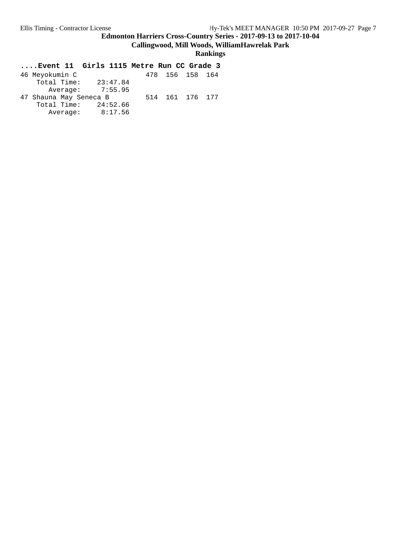**Callingwood, Mill Woods, WilliamHawrelak Park**

**Rankings**

| 23:47.84               |  |                                    |
|------------------------|--|------------------------------------|
| Average: 7:55.95       |  |                                    |
| 47 Shauna May Seneca B |  |                                    |
| Total Time: $24:52.66$ |  |                                    |
| 8:17.56                |  |                                    |
|                        |  | 478 156 158 164<br>514 161 176 177 |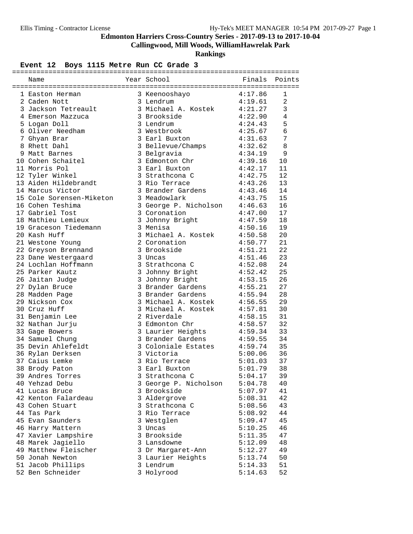**Callingwood, Mill Woods, WilliamHawrelak Park**

**Rankings**

### Event 12 Boys 1115 Metre Run CC Grade 3

| Name                     | Year School <a> Finals Points</a>                               |                        |              |
|--------------------------|-----------------------------------------------------------------|------------------------|--------------|
|                          |                                                                 |                        |              |
| 1 Easton Herman          | 3 Keenooshayo 4:17.86                                           |                        | 1            |
| 2 Caden Nott             |                                                                 |                        | 2            |
| 3 Jackson Tetreault      | 3 Lenarum 4:19.61<br>3 Michael A. Kostek 4:21.27<br>3 Brockside |                        | $\mathbf{3}$ |
| 4 Emerson Mazzuca        | 3 Brookside<br>3 Lendrum                                        | 4:22.90                | 4            |
| 5 Logan Doll             | 3 Lendrum                                                       | 4:24.43                | 5            |
| 6 Oliver Needham         | 3 Westbrook                                                     | 4:25.67                | 6            |
| 7 Ghyan Brar             | 3 Earl Buxton                                                   | 4:31.63                | 7            |
| 8 Rhett Dahl             | 3 Bellevue/Champs                                               | 4:32.62                | $\,8\,$      |
| 9 Matt Barnes            |                                                                 | 4:34.19                | 9            |
| 10 Cohen Schaitel        | o beigravia<br>3 Edmonton Chr<br>3 Forl F                       | 4:39.16                | 10           |
| 11 Morris Pol            | 3 Earl Buxton                                                   | 4:42.17                | 11           |
| 12 Tyler Winkel          | $3$ Strathcona C $4:42.75$                                      |                        | 12           |
| 13 Aiden Hildebrandt     | 3 Rio Terrace                                                   | 4:43.26                | 13           |
| 14 Marcus Victor         | 3 Brander Gardens 4:43.46<br>3 Meadowlark 4:43.75               |                        | 14           |
| 15 Cole Sorensen-Miketon |                                                                 |                        | 15           |
| 16 Cohen Teshima         | 3 George P. Nicholson 4:46.63                                   |                        | 16           |
| 17 Gabriel Tost          | 3 Coronation                                                    | 4:47.00                | 17           |
| 18 Mathieu Lemieux       | 3 Johnny Bright                                                 | 4:47.59                | 18           |
| 19 Graceson Tiedemann    | 3 Menisa                                                        | 4:50.16                | 19           |
| 20 Kash Huff             | 3 Michael A. Kostek                                             | $4:50.58$<br>$4:50.77$ | 20           |
| 21 Westone Young         | 2 Coronation                                                    |                        | 21           |
| 22 Greyson Brennand      | 3 Brookside                                                     | 4:51.21                | 22           |
| 23 Dane Westergaard      | 3 Uncas                                                         | 4:51.46                | 23           |
| 24 Lochlan Hoffmann      | 3 Strathcona C                                                  | 4:52.08                | 24           |
| 25 Parker Kautz          | 3 Johnny Bright                                                 | 4:52.42                | 25           |
| 26 Jaitan Judge          | 3 Johnny Bright                                                 | 4:53.15                | 26           |
| 27 Dylan Bruce           | 3 Brander Gardens                                               | 4:55.21                | 27           |
| 28 Madden Page           | 3 Brander Gardens                                               | 4:55.94                | 28           |
| 29 Nickson Cox           | 3 Michael A. Kostek 4:56.55                                     |                        | 29           |
| 30 Cruz Huff             | 3 Michael A. Kostek 4:57.81                                     |                        | 30           |
| 31 Benjamin Lee          | 2 Riverdale                                                     | 4:58.15                | 31           |
| 32 Nathan Jurju          | 3 Edmonton Chr                                                  | 4:58.57                | 32           |
| 33 Gage Bowers           | 3 Laurier Heights<br>3 Brander Gardens                          | 4:59.34                | 33           |
| 34 Samuel Chung          |                                                                 | 4:59.55                | 34           |
| 35 Devin Ahlefeldt       | 3 Coloniale Estates 4:59.74                                     |                        | 35           |
| 36 Rylan Derksen         | 3 Victoria                                                      | 5:00.06                | 36           |
| 37 Caius Lemke           | 3 Rio Terrace                                                   | 5:01.03                | 37           |
| 38 Brody Paton           | 3 Earl Buxton                                                   | 5:01.79                | 38           |
| 39 Andres Torres         | 3 Strathcona C                                                  | 5:04.17                | 39           |
| 40 Yehzad Debu           | 3 George P. Nicholson                                           | 5:04.78                | 40           |
| 41 Lucas Bruce           | 3 Brookside                                                     | 5:07.97                | 41           |
| 42 Kenton Falardeau      | 3 Aldergrove                                                    | 5:08.31                | 42           |
| 43 Cohen Stuart          | 3 Strathcona C                                                  | 5:08.56                | 43           |
| 44 Tas Park              | 3 Rio Terrace                                                   | 5:08.92                | 44           |
| 45 Evan Saunders         | 3 Westglen                                                      | 5:09.47                | 45           |
| 46 Harry Mattern         | 3 Uncas                                                         | 5:10.25                | 46           |
| 47 Xavier Lampshire      | 3 Brookside                                                     | 5:11.35                | 47           |
| 48 Marek Jagiello        | 3 Lansdowne                                                     | 5:12.09                | 48           |
| 49 Matthew Fleischer     | 3 Dr Margaret-Ann                                               | 5:12.27                | 49           |
| 50 Jonah Newton          | 3 Laurier Heights                                               | 5:13.74                | 50           |
| 51 Jacob Phillips        | 3 Lendrum                                                       | 5:14.33                | 51           |
| 52 Ben Schneider         | 3 Holyrood                                                      | 5:14.63                | 52           |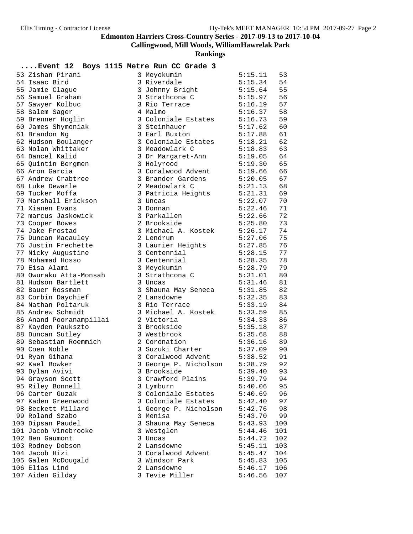**Callingwood, Mill Woods, WilliamHawrelak Park**

| Event 12 Boys 1115 Metre Run CC Grade 3 |                       |         |     |
|-----------------------------------------|-----------------------|---------|-----|
| 53 Zishan Pirani                        | 3 Meyokumin           | 5:15.11 | 53  |
| 54 Isaac Bird                           | 3 Riverdale           | 5:15.34 | 54  |
| 55 Jamie Clague                         | 3 Johnny Bright       | 5:15.64 | 55  |
| 56 Samuel Graham                        | 3 Strathcona C        | 5:15.97 | 56  |
| 57 Sawyer Kolbuc                        | 3 Rio Terrace         | 5:16.19 | 57  |
| 58 Salem Sager                          | 4 Malmo               | 5:16.37 | 58  |
| 59 Brenner Hoglin                       | 3 Coloniale Estates   | 5:16.73 | 59  |
| 60 James Shymoniak                      | 3 Steinhauer          | 5:17.62 | 60  |
| 61 Brandon Ng                           | 3 Earl Buxton         | 5:17.88 | 61  |
| 62 Hudson Boulanger                     | 3 Coloniale Estates   | 5:18.21 | 62  |
| 63 Nolan Whittaker                      | 3 Meadowlark C        | 5:18.83 | 63  |
| 64 Dancel Kalid                         | 3 Dr Margaret-Ann     | 5:19.05 | 64  |
| 65 Quintin Bergmen                      | 3 Holyrood            | 5:19.30 | 65  |
| 66 Aron Garcia                          | 3 Coralwood Advent    | 5:19.66 | 66  |
| 67 Andrew Crabtree                      | 3 Brander Gardens     | 5:20.05 | 67  |
| 68 Luke Dewarle                         | 2 Meadowlark C        | 5:21.13 | 68  |
| 69 Tucker Moffa                         | 3 Patricia Heights    | 5:21.31 | 69  |
| 70 Marshall Erickson                    | 3 Uncas               | 5:22.07 | 70  |
| 71 Xianen Evans                         | 3 Donnan              | 5:22.46 | 71  |
| 72 marcus Jaskowick                     | 3 Parkallen           | 5:22.66 | 72  |
| 73 Cooper Bowes                         | 2 Brookside           | 5:25.80 | 73  |
| 74 Jake Frostad                         | 3 Michael A. Kostek   | 5:26.17 | 74  |
| 75 Duncan Macauley                      | 2 Lendrum             | 5:27.06 | 75  |
| 76 Justin Frechette                     | 3 Laurier Heights     | 5:27.85 | 76  |
| 77 Nicky Augustine                      | 3 Centennial          | 5:28.15 | 77  |
| 78 Mohamad Hosso                        | 3 Centennial          | 5:28.35 | 78  |
| 79 Eisa Alami                           | 3 Meyokumin           | 5:28.79 | 79  |
| 80 Owuraku Atta-Monsah                  | 3 Strathcona C        | 5:31.01 | 80  |
| 81 Hudson Bartlett                      | 3 Uncas               | 5:31.46 | 81  |
| 82 Bauer Rossman                        | 3 Shauna May Seneca   | 5:31.85 | 82  |
| 83 Corbin Daychief                      | 2 Lansdowne           | 5:32.35 | 83  |
| 84 Nathan Poltaruk                      | 3 Rio Terrace         | 5:33.19 | 84  |
| 85 Andrew Schmidt                       | 3 Michael A. Kostek   | 5:33.59 | 85  |
| 86 Anand Pooranampillai                 | 2 Victoria            | 5:34.33 | 86  |
| 87 Kayden Paukszto                      | 3 Brookside           | 5:35.18 | 87  |
| 88 Duncan Sutley                        | 3 Westbrook           | 5:35.68 | 88  |
| 89 Sebastian Roemmich                   | 2 Coronation          | 5:36.16 | 89  |
| 90 Coen Noble                           | 3 Suzuki Charter      | 5:37.09 | 90  |
| 91 Ryan Gihana                          | 3 Coralwood Advent    | 5:38.52 | 91  |
| 92 Kael Bowker                          | 3 George P. Nicholson | 5:38.79 | 92  |
| 93 Dylan Avivi                          | 3 Brookside           | 5:39.40 | 93  |
| 94 Grayson Scott                        | 3 Crawford Plains     | 5:39.79 | 94  |
| 95 Riley Bonnell                        | 3 Lymburn             | 5:40.06 | 95  |
| 96 Carter Guzak                         | 3 Coloniale Estates   | 5:40.69 | 96  |
| 97 Kaden Greenwood                      | 3 Coloniale Estates   | 5:42.40 | 97  |
| 98 Beckett Millard                      | 1 George P. Nicholson | 5:42.76 | 98  |
| 99 Roland Szabo                         | 3 Menisa              | 5:43.70 | 99  |
| 100 Dipsan Paudel                       | 3 Shauna May Seneca   | 5:43.93 | 100 |
| 101 Jacob Vinebrooke                    | 3 Westglen            | 5:44.46 | 101 |
| 102 Ben Gaumont                         | 3 Uncas               | 5:44.72 | 102 |
| 103 Rodney Dobson                       | 2 Lansdowne           | 5:45.11 | 103 |
| 104 Jacob Hizi                          | 3 Coralwood Advent    | 5:45.47 | 104 |
| 105 Galen McDougald                     | 3 Windsor Park        | 5:45.83 | 105 |
| 106 Elias Lind                          | 2 Lansdowne           | 5:46.17 | 106 |
| 107 Aiden Gilday                        | 3 Tevie Miller        | 5:46.56 | 107 |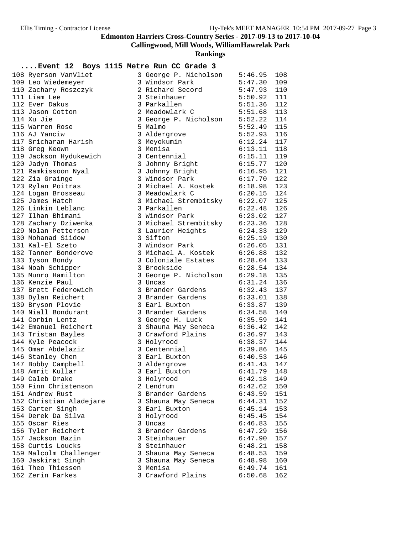**Callingwood, Mill Woods, WilliamHawrelak Park**

**Rankings**

#### **....Event 12 Boys 1115 Metre Run CC Grade 3**

| 108 Ryerson VanVliet    | 3 George P. Nicholson         | 5:46.95       | 108 |
|-------------------------|-------------------------------|---------------|-----|
| 109 Leo Wiedemeyer      | 3 Windsor Park                | 5:47.30       | 109 |
| 110 Zachary Roszczyk    | 2 Richard Secord              | 5:47.93       | 110 |
| 111 Liam Lee            | 3 Steinhauer                  | 5:50.92       | 111 |
| 112 Ever Dakus          | 3 Parkallen                   | $5:51.36$ 112 |     |
| 113 Jason Cotton        | 2 Meadowlark C                | $5:51.68$ 113 |     |
| 114 Xu Jie              | 3 George P. Nicholson 5:52.22 |               | 114 |
| 115 Warren Rose         | 5 Malmo                       | 5:52.49       | 115 |
| 116 AJ Yanciw           | 3 Aldergrove                  | 5:52.93       | 116 |
| 117 Sricharan Harish    | 3 Meyokumin                   | 6:12.24       | 117 |
| 118 Greg Keown          | 3 Menisa                      | $6:13.11$ 118 |     |
| 119 Jackson Hydukewich  | 3 Centennial                  | 6:15.11       | 119 |
| 120 Jadyn Thomas        | 3 Johnny Bright 6:15.77       |               | 120 |
| 121 Ramkissoon Nyal     | 3 Johnny Bright               | 6:16.95       | 121 |
| 122 Zia Grainge         | 3 Windsor Park                | 6:17.70       | 122 |
| 123 Rylan Poitras       | 3 Michael A. Kostek           | 6:18.98       | 123 |
| 124 Logan Brosseau      | 3 Meadowlark C                | 6:20.15       | 124 |
| 125 James Hatch         | 3 Michael Strembitsky 6:22.07 |               | 125 |
| 126 Linkin Leblanc      | 3 Parkallen                   | 6:22.48       | 126 |
| 127 Ilhan Bhimani       | 3 Windsor Park                | 6:23.02       | 127 |
| 128 Zachary Dziwenka    | 3 Michael Strembitsky 6:23.36 |               | 128 |
| 129 Nolan Petterson     | 3 Laurier Heights             | 6:24.33       | 129 |
| 130 Mohanad Siidow      | 3 Sifton                      | $6:25.19$ 130 |     |
| 131 Kal-El Szeto        | 3 Windsor Park                | 6:26.05       | 131 |
| 132 Tanner Bonderove    | 3 Michael A. Kostek 6:26.88   |               | 132 |
| 133 Iyson Bondy         | 3 Coloniale Estates 6:28.04   |               | 133 |
| 134 Noah Schipper       | 3 Brookside                   | 6:28.54       | 134 |
| 135 Munro Hamilton      | 3 George P. Nicholson 6:29.18 |               | 135 |
| 136 Kenzie Paul         | 3 Uncas                       | $6:31.24$ 136 |     |
| 137 Brett Federowich    | 3 Brander Gardens             | 6:32.43       | 137 |
| 138 Dylan Reichert      | 3 Brander Gardens             | 6:33.01       | 138 |
| 139 Bryson Plovie       | 3 Earl Buxton                 | 6:33.87       | 139 |
| 140 Niall Bondurant     | 3 Brander Gardens             | 6:34.58       | 140 |
| 141 Corbin Lentz        | 3 George H. Luck              | 6:35.59       | 141 |
| 142 Emanuel Reichert    | 3 Shauna May Seneca           | $6:36.42$ 142 |     |
| 143 Tristan Bayles      | $3$ Crawford Plains           | 6:36.97       | 143 |
| 144 Kyle Peacock        | 3 Holyrood                    | 6:38.37       | 144 |
| 145 Omar Abdelaziz      | 3 Centennial                  | $6:39.86$ 145 |     |
| 146 Stanley Chen        | 3 Earl Buxton                 | 6:40.53       | 146 |
| 147 Bobby Campbell      | 3 Aldergrove                  | 6:41.43       | 147 |
| 148 Amrit Kullar        | 3 Earl Buxton                 | $6:41.79$ 148 |     |
| 149 Caleb Drake         | 3 Holyrood                    | 6:42.18       | 149 |
| 150 Finn Christenson    | 2 Lendrum                     | 6:42.62       | 150 |
| 151 Andrew Rust         | 3 Brander Gardens             | 6:43.59       | 151 |
| 152 Christian Aladejare | 3 Shauna May Seneca           | 6:44.31       | 152 |
| 153 Carter Singh        | 3 Earl Buxton                 | 6:45.14       | 153 |
| 154 Derek Da Silva      | 3 Holyrood                    | 6:45.45       | 154 |
| 155 Oscar Ries          | 3 Uncas                       | 6:46.83       | 155 |
| 156 Tyler Reichert      | 3 Brander Gardens             | 6:47.29       | 156 |
| 157 Jackson Bazin       | 3 Steinhauer                  | 6:47.90       | 157 |
| 158 Curtis Loucks       | 3 Steinhauer                  | 6:48.21       | 158 |
| 159 Malcolm Challenger  | 3 Shauna May Seneca           | 6:48.53       | 159 |
| 160 Jaskirat Singh      | 3 Shauna May Seneca           | 6:48.98       | 160 |
| 161 Theo Thiessen       | 3 Menisa                      | 6:49.74       | 161 |
| 162 Zerin Farkes        | 3 Crawford Plains             | 6:50.68       | 162 |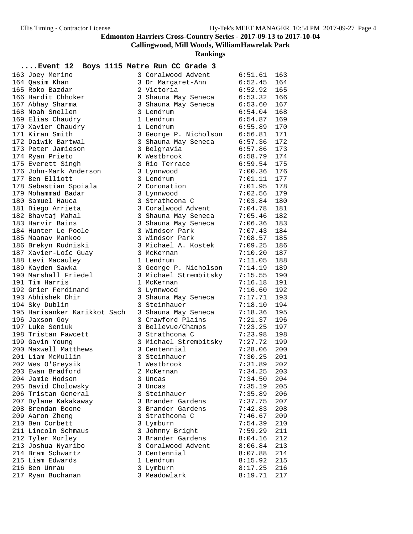**Callingwood, Mill Woods, WilliamHawrelak Park**

| $\ldots$ Event 12.           | Boys 1115 Metre Run CC Grade 3 |                    |     |
|------------------------------|--------------------------------|--------------------|-----|
| 163 Joey Merino              | 3 Coralwood Advent             | 6:51.61            | 163 |
| 164 Qasim Khan               | 3 Dr Margaret-Ann              | 6:52.45            | 164 |
| 165 Roko Bazdar              | 2 Victoria                     | 6:52.92            | 165 |
| 166 Hardit Chhoker           | 3 Shauna May Seneca            | 6:53.32            | 166 |
| 167 Abhay Sharma             | 3 Shauna May Seneca            | 6:53.60            | 167 |
| 168 Noah Snellen             | 3 Lendrum                      | 6:54.04            | 168 |
| 169 Elias Chaudry            | 1 Lendrum                      | 6:54.87            | 169 |
| 170 Xavier Chaudry           | 1 Lendrum                      | 6:55.89            | 170 |
| 171 Kiran Smith              | 3 George P. Nicholson          | 6:56.81            | 171 |
| 172 Daiwik Bartwal           | 3 Shauna May Seneca            | 6:57.36            | 172 |
| 173 Peter Jamieson           | 3 Belgravia                    | 6:57.86            | 173 |
| 174 Ryan Prieto              | K Westbrook                    | 6:58.79            | 174 |
| 175 Everett Singh            | 3 Rio Terrace                  | 6:59.54            | 175 |
| 176 John-Mark Anderson       | 3 Lynnwood                     | 7:00.36            | 176 |
| 177 Ben Elliott              | 3 Lendrum                      | 7:01.11            | 177 |
| 178 Sebastian Spoiala        | 2 Coronation                   | 7:01.95            | 178 |
| 179 Mohammad Badar           | 3 Lynnwood                     | 7:02.56            | 179 |
| 180 Samuel Hauca             | 3 Strathcona C                 | 7:03.84            | 180 |
| 181 Diego Arrieta            | 3 Coralwood Advent             | 7:04.78            | 181 |
| 182 Bhavtaj Mahal            | 3 Shauna May Seneca            | 7:05.46            | 182 |
| 183 Harvir Bains             | 3 Shauna May Seneca            | 7:06.36            | 183 |
| 184 Hunter Le Poole          | 3 Windsor Park                 | 7:07.43            | 184 |
| 185 Maanav Mankoo            | 3 Windsor Park                 | 7:08.57            | 185 |
| 186 Brekyn Rudniski          | 3 Michael A. Kostek            | 7:09.25            | 186 |
| 187 Xavier-Loïc Guay         | 3 McKernan                     | 7:10.20            | 187 |
| 188 Levi Macauley            | 1 Lendrum                      | 7:11.05            | 188 |
| 189 Kayden Sawka             | 3 George P. Nicholson          | 7:14.19            | 189 |
| 190 Marshall Friedel         | 3 Michael Strembitsky          | 7:15.55            | 190 |
| 191 Tim Harris               | 1 McKernan                     | 7:16.18            | 191 |
| 192 Grier Ferdinand          | 3 Lynnwood                     | 7:16.60            | 192 |
| 193 Abhishek Dhir            | 3 Shauna May Seneca            | 7:17.71            | 193 |
| 194 Sky Dublin               | 3 Steinhauer                   | 7:18.10            | 194 |
| 195 Harisanker Karikkot Sach | 3 Shauna May Seneca            | 7:18.36            | 195 |
| 196 Jaxson Goy               | 3 Crawford Plains              | 7:21.37            | 196 |
| 197 Luke Seniuk              | 3 Bellevue/Champs              | 7:23.25            | 197 |
| 198 Tristan Fawcett          | 3 Strathcona C                 | 7:23.98            | 198 |
| 199 Gavin Young              | 3 Michael Strembitsky          | 7:27.72            | 199 |
| 200 Maxwell Matthews         | 3 Centennial                   | 7:28.06            | 200 |
| 201 Liam McMullin            | 3 Steinhauer                   | 7:30.25            | 201 |
| 202 Wes O'Greysik            | 1 Westbrook                    | 7:31.89            | 202 |
| 203 Ewan Bradford            | 2 McKernan                     | 7:34.25            | 203 |
| 204 Jamie Hodson             | 3 Uncas                        | 7:34.50            | 204 |
| 205 David Cholowsky          | 3 Uncas                        | 7:35.19            | 205 |
| 206 Tristan General          | 3 Steinhauer                   | 7:35.89            | 206 |
| 207 Dylane Kakakaway         | 3 Brander Gardens              | 7:37.75            | 207 |
| 208 Brendan Boone            | 3 Brander Gardens              |                    | 208 |
|                              | 3 Strathcona C                 | 7:42.83<br>7:46.67 | 209 |
| 209 Aaron Zheng              |                                |                    |     |
| 210 Ben Corbett              | 3 Lymburn                      | 7:54.39            | 210 |
| 211 Lincoln Schmaus          | 3 Johnny Bright                | 7:59.29            | 211 |
| 212 Tyler Morley             | 3 Brander Gardens              | 8:04.16            | 212 |
| 213 Joshua Nyaribo           | 3 Coralwood Advent             | 8:06.84            | 213 |
| 214 Bram Schwartz            | 3 Centennial                   | 8:07.88            | 214 |
| 215 Liam Edwards             | 1 Lendrum                      | 8:15.92            | 215 |
| 216 Ben Unrau                | 3 Lymburn                      | 8:17.25            | 216 |
| 217 Ryan Buchanan            | 3 Meadowlark                   | 8:19.71            | 217 |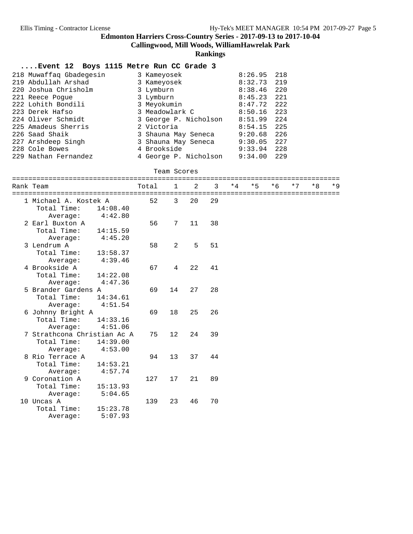**Callingwood, Mill Woods, WilliamHawrelak Park**

**Rankings**

### **....Event 12 Boys 1115 Metre Run CC Grade 3**

| 218 Muwaffaq Gbadegesin | 3 Kameyosek           | 8:26.95 | 218 |
|-------------------------|-----------------------|---------|-----|
| 219 Abdullah Arshad     | 3 Kameyosek           | 8:32.73 | 219 |
| 220 Joshua Chrisholm    | 3 Lymburn             | 8:38.46 | 220 |
| 221 Reece Poque         | 3 Lymburn             | 8:45.23 | 221 |
| 222 Lohith Bondili      | 3 Meyokumin           | 8:47.72 | 222 |
| 223 Derek Hafso         | 3 Meadowlark C        | 8:50.16 | 223 |
| 224 Oliver Schmidt      | 3 George P. Nicholson | 8:51.99 | 224 |
| 225 Amadeus Sherris     | 2 Victoria            | 8:54.15 | 225 |
| 226 Saad Shaik          | 3 Shauna May Seneca   | 9:20.68 | 226 |
| 227 Arshdeep Singh      | 3 Shauna May Seneca   | 9:30.05 | 227 |
| 228 Cole Bowes          | 4 Brookside           | 9:33.94 | 228 |
| 229 Nathan Fernandez    | 4 George P. Nicholson | 9:34.00 | 229 |

#### Team Scores

|                             |          |                |    |    |      |      |      |      | ============================= |       |
|-----------------------------|----------|----------------|----|----|------|------|------|------|-------------------------------|-------|
| Rank Team                   | Total    | 1              | 2  | 3  | $*4$ | $*5$ | $*6$ | $*7$ | $*R$                          | $*$ 9 |
|                             |          |                |    |    |      |      |      |      | ============================= |       |
| 1 Michael A. Kostek A       | 52       | 3              | 20 | 29 |      |      |      |      |                               |       |
| Total Time:                 | 14:08.40 |                |    |    |      |      |      |      |                               |       |
| Average:                    | 4:42.80  |                |    |    |      |      |      |      |                               |       |
| 2 Earl Buxton A             | 56       | 7              | 11 | 38 |      |      |      |      |                               |       |
| Total Time:                 | 14:15.59 |                |    |    |      |      |      |      |                               |       |
| Average:                    | 4:45.20  |                |    |    |      |      |      |      |                               |       |
| 3 Lendrum A                 | 58       | 2              | 5  | 51 |      |      |      |      |                               |       |
| Total Time:                 | 13:58.37 |                |    |    |      |      |      |      |                               |       |
| Average:                    | 4:39.46  |                |    |    |      |      |      |      |                               |       |
| 4 Brookside A               | 67       | $\overline{4}$ | 22 | 41 |      |      |      |      |                               |       |
| Total Time:                 | 14:22.08 |                |    |    |      |      |      |      |                               |       |
| 4:47.36<br>Average:         |          |                |    |    |      |      |      |      |                               |       |
| 5 Brander Gardens A         | 69       | 14             | 27 | 28 |      |      |      |      |                               |       |
| Total Time:                 | 14:34.61 |                |    |    |      |      |      |      |                               |       |
| Average:                    | 4:51.54  |                |    |    |      |      |      |      |                               |       |
| 6 Johnny Bright A           | 69       | 18             | 25 | 26 |      |      |      |      |                               |       |
| Total Time:                 | 14:33.16 |                |    |    |      |      |      |      |                               |       |
| Average:                    | 4:51.06  |                |    |    |      |      |      |      |                               |       |
| 7 Strathcona Christian Ac A | 75       | 12             | 24 | 39 |      |      |      |      |                               |       |
| Total Time:                 | 14:39.00 |                |    |    |      |      |      |      |                               |       |
| Average:                    | 4:53.00  |                |    |    |      |      |      |      |                               |       |
| 8 Rio Terrace A             | 94       | 13             | 37 | 44 |      |      |      |      |                               |       |
| Total Time:                 | 14:53.21 |                |    |    |      |      |      |      |                               |       |
| Average:                    | 4:57.74  |                |    |    |      |      |      |      |                               |       |
| 9 Coronation A              | 127      | 17             | 21 | 89 |      |      |      |      |                               |       |
| Total Time:                 | 15:13.93 |                |    |    |      |      |      |      |                               |       |
| Average:                    | 5:04.65  |                |    |    |      |      |      |      |                               |       |
| 10 Uncas A                  | 139      | 23             | 46 | 70 |      |      |      |      |                               |       |
| Total Time:                 | 15:23.78 |                |    |    |      |      |      |      |                               |       |
| Average:                    | 5:07.93  |                |    |    |      |      |      |      |                               |       |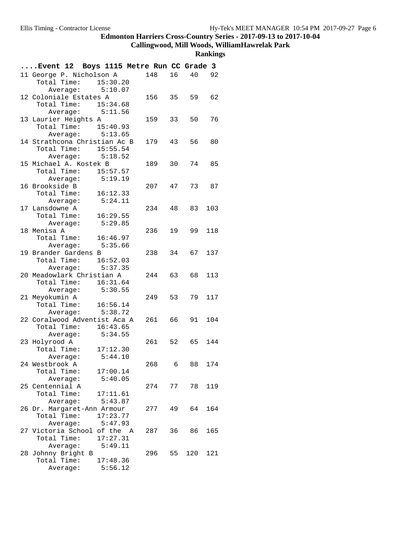#### **Callingwood, Mill Woods, WilliamHawrelak Park**

| 148<br>16<br>92<br>11 George P. Nicholson A<br>40<br>Total Time: 15:30.20<br>Average: $5:10.07$<br>62<br>12 Coloniale Estates A<br>156 35<br>59<br>Total Time: 15:34.68<br>Average: 5:11.56<br>13 Laurier Heights A<br>159<br>33<br>50<br>76<br>Total Time: 15:40.93<br>Average: $5:13.65$<br>14 Strathcona Christian Ac B<br>179 43<br>56<br>80<br>Total Time: 15:55.54<br>Average: 5:18.52<br>15 Michael A. Kostek B<br>189<br>30<br>74<br>85<br>Total Time: 15:57.57<br>5:19.19<br>Average:<br>16 Brookside B<br>207 47<br>73<br>87<br>Total Time:<br>16:12.33<br>Average: 5:24.11<br>17 Lansdowne A<br>234<br>48<br>83<br>103<br>16:29.55<br>Total Time:<br>5:29.85<br>Average:<br>18 Menisa A<br>236<br>19<br>99<br>118<br>Total Time: 16:46.97<br>5:35.66<br>Average:<br>19 Brander Gardens B<br>34 67<br>137<br>238<br>Total Time: 16:52.03<br>5:37.35<br>Average:<br>20 Meadowlark Christian A<br>244 63<br>68<br>113<br>Total Time: 16:31.64<br>Average: 5:30.55<br>53<br>21 Meyokumin A<br>249<br>79<br>117<br>Total Time:<br>16:56.14<br>5:38.72<br>Average:<br>22 Coralwood Adventist Aca A<br>261 66<br>91<br>104<br>Total Time:<br>16:43.65<br>Average: 5:34.55<br>23 Holyrood A<br>261 52 65<br>144<br>17:12.30<br>Total Time:<br>5:44.10<br>Average:<br>24 Westbrook A<br>268<br>88<br>6<br>174<br>Total Time:<br>17:00.14<br>5:40.05<br>Average:<br>25 Centennial A<br>77<br>274<br>78<br>119<br>Total Time: 17:11.61<br>5:43.87<br>Average:<br>26 Dr. Margaret-Ann Armour<br>64<br>164<br>277<br>49<br>Total Time: 17:23.77<br>Average: 5:47.93<br>27 Victoria School of the A<br>165<br>287<br>36<br>86<br>Total Time: 17:27.31<br>Average: 5:49.11<br>28 Johnny Bright B<br>296 55<br>120<br>121<br>Total Time:<br>17:48.36 | Event 12 Boys 1115 Metre Run CC Grade 3 |  |  |  |  |
|-------------------------------------------------------------------------------------------------------------------------------------------------------------------------------------------------------------------------------------------------------------------------------------------------------------------------------------------------------------------------------------------------------------------------------------------------------------------------------------------------------------------------------------------------------------------------------------------------------------------------------------------------------------------------------------------------------------------------------------------------------------------------------------------------------------------------------------------------------------------------------------------------------------------------------------------------------------------------------------------------------------------------------------------------------------------------------------------------------------------------------------------------------------------------------------------------------------------------------------------------------------------------------------------------------------------------------------------------------------------------------------------------------------------------------------------------------------------------------------------------------------------------------------------------------------------------------------------------------------------------------------------------------------------------------------------------------------------------------------------------|-----------------------------------------|--|--|--|--|
|                                                                                                                                                                                                                                                                                                                                                                                                                                                                                                                                                                                                                                                                                                                                                                                                                                                                                                                                                                                                                                                                                                                                                                                                                                                                                                                                                                                                                                                                                                                                                                                                                                                                                                                                                 |                                         |  |  |  |  |
|                                                                                                                                                                                                                                                                                                                                                                                                                                                                                                                                                                                                                                                                                                                                                                                                                                                                                                                                                                                                                                                                                                                                                                                                                                                                                                                                                                                                                                                                                                                                                                                                                                                                                                                                                 |                                         |  |  |  |  |
|                                                                                                                                                                                                                                                                                                                                                                                                                                                                                                                                                                                                                                                                                                                                                                                                                                                                                                                                                                                                                                                                                                                                                                                                                                                                                                                                                                                                                                                                                                                                                                                                                                                                                                                                                 |                                         |  |  |  |  |
|                                                                                                                                                                                                                                                                                                                                                                                                                                                                                                                                                                                                                                                                                                                                                                                                                                                                                                                                                                                                                                                                                                                                                                                                                                                                                                                                                                                                                                                                                                                                                                                                                                                                                                                                                 |                                         |  |  |  |  |
|                                                                                                                                                                                                                                                                                                                                                                                                                                                                                                                                                                                                                                                                                                                                                                                                                                                                                                                                                                                                                                                                                                                                                                                                                                                                                                                                                                                                                                                                                                                                                                                                                                                                                                                                                 |                                         |  |  |  |  |
|                                                                                                                                                                                                                                                                                                                                                                                                                                                                                                                                                                                                                                                                                                                                                                                                                                                                                                                                                                                                                                                                                                                                                                                                                                                                                                                                                                                                                                                                                                                                                                                                                                                                                                                                                 |                                         |  |  |  |  |
|                                                                                                                                                                                                                                                                                                                                                                                                                                                                                                                                                                                                                                                                                                                                                                                                                                                                                                                                                                                                                                                                                                                                                                                                                                                                                                                                                                                                                                                                                                                                                                                                                                                                                                                                                 |                                         |  |  |  |  |
|                                                                                                                                                                                                                                                                                                                                                                                                                                                                                                                                                                                                                                                                                                                                                                                                                                                                                                                                                                                                                                                                                                                                                                                                                                                                                                                                                                                                                                                                                                                                                                                                                                                                                                                                                 |                                         |  |  |  |  |
|                                                                                                                                                                                                                                                                                                                                                                                                                                                                                                                                                                                                                                                                                                                                                                                                                                                                                                                                                                                                                                                                                                                                                                                                                                                                                                                                                                                                                                                                                                                                                                                                                                                                                                                                                 |                                         |  |  |  |  |
|                                                                                                                                                                                                                                                                                                                                                                                                                                                                                                                                                                                                                                                                                                                                                                                                                                                                                                                                                                                                                                                                                                                                                                                                                                                                                                                                                                                                                                                                                                                                                                                                                                                                                                                                                 |                                         |  |  |  |  |
|                                                                                                                                                                                                                                                                                                                                                                                                                                                                                                                                                                                                                                                                                                                                                                                                                                                                                                                                                                                                                                                                                                                                                                                                                                                                                                                                                                                                                                                                                                                                                                                                                                                                                                                                                 |                                         |  |  |  |  |
|                                                                                                                                                                                                                                                                                                                                                                                                                                                                                                                                                                                                                                                                                                                                                                                                                                                                                                                                                                                                                                                                                                                                                                                                                                                                                                                                                                                                                                                                                                                                                                                                                                                                                                                                                 |                                         |  |  |  |  |
|                                                                                                                                                                                                                                                                                                                                                                                                                                                                                                                                                                                                                                                                                                                                                                                                                                                                                                                                                                                                                                                                                                                                                                                                                                                                                                                                                                                                                                                                                                                                                                                                                                                                                                                                                 |                                         |  |  |  |  |
|                                                                                                                                                                                                                                                                                                                                                                                                                                                                                                                                                                                                                                                                                                                                                                                                                                                                                                                                                                                                                                                                                                                                                                                                                                                                                                                                                                                                                                                                                                                                                                                                                                                                                                                                                 |                                         |  |  |  |  |
|                                                                                                                                                                                                                                                                                                                                                                                                                                                                                                                                                                                                                                                                                                                                                                                                                                                                                                                                                                                                                                                                                                                                                                                                                                                                                                                                                                                                                                                                                                                                                                                                                                                                                                                                                 |                                         |  |  |  |  |
|                                                                                                                                                                                                                                                                                                                                                                                                                                                                                                                                                                                                                                                                                                                                                                                                                                                                                                                                                                                                                                                                                                                                                                                                                                                                                                                                                                                                                                                                                                                                                                                                                                                                                                                                                 |                                         |  |  |  |  |
|                                                                                                                                                                                                                                                                                                                                                                                                                                                                                                                                                                                                                                                                                                                                                                                                                                                                                                                                                                                                                                                                                                                                                                                                                                                                                                                                                                                                                                                                                                                                                                                                                                                                                                                                                 |                                         |  |  |  |  |
|                                                                                                                                                                                                                                                                                                                                                                                                                                                                                                                                                                                                                                                                                                                                                                                                                                                                                                                                                                                                                                                                                                                                                                                                                                                                                                                                                                                                                                                                                                                                                                                                                                                                                                                                                 |                                         |  |  |  |  |
|                                                                                                                                                                                                                                                                                                                                                                                                                                                                                                                                                                                                                                                                                                                                                                                                                                                                                                                                                                                                                                                                                                                                                                                                                                                                                                                                                                                                                                                                                                                                                                                                                                                                                                                                                 |                                         |  |  |  |  |
|                                                                                                                                                                                                                                                                                                                                                                                                                                                                                                                                                                                                                                                                                                                                                                                                                                                                                                                                                                                                                                                                                                                                                                                                                                                                                                                                                                                                                                                                                                                                                                                                                                                                                                                                                 |                                         |  |  |  |  |
|                                                                                                                                                                                                                                                                                                                                                                                                                                                                                                                                                                                                                                                                                                                                                                                                                                                                                                                                                                                                                                                                                                                                                                                                                                                                                                                                                                                                                                                                                                                                                                                                                                                                                                                                                 |                                         |  |  |  |  |
|                                                                                                                                                                                                                                                                                                                                                                                                                                                                                                                                                                                                                                                                                                                                                                                                                                                                                                                                                                                                                                                                                                                                                                                                                                                                                                                                                                                                                                                                                                                                                                                                                                                                                                                                                 |                                         |  |  |  |  |
|                                                                                                                                                                                                                                                                                                                                                                                                                                                                                                                                                                                                                                                                                                                                                                                                                                                                                                                                                                                                                                                                                                                                                                                                                                                                                                                                                                                                                                                                                                                                                                                                                                                                                                                                                 |                                         |  |  |  |  |
|                                                                                                                                                                                                                                                                                                                                                                                                                                                                                                                                                                                                                                                                                                                                                                                                                                                                                                                                                                                                                                                                                                                                                                                                                                                                                                                                                                                                                                                                                                                                                                                                                                                                                                                                                 |                                         |  |  |  |  |
|                                                                                                                                                                                                                                                                                                                                                                                                                                                                                                                                                                                                                                                                                                                                                                                                                                                                                                                                                                                                                                                                                                                                                                                                                                                                                                                                                                                                                                                                                                                                                                                                                                                                                                                                                 |                                         |  |  |  |  |
|                                                                                                                                                                                                                                                                                                                                                                                                                                                                                                                                                                                                                                                                                                                                                                                                                                                                                                                                                                                                                                                                                                                                                                                                                                                                                                                                                                                                                                                                                                                                                                                                                                                                                                                                                 |                                         |  |  |  |  |
|                                                                                                                                                                                                                                                                                                                                                                                                                                                                                                                                                                                                                                                                                                                                                                                                                                                                                                                                                                                                                                                                                                                                                                                                                                                                                                                                                                                                                                                                                                                                                                                                                                                                                                                                                 |                                         |  |  |  |  |
|                                                                                                                                                                                                                                                                                                                                                                                                                                                                                                                                                                                                                                                                                                                                                                                                                                                                                                                                                                                                                                                                                                                                                                                                                                                                                                                                                                                                                                                                                                                                                                                                                                                                                                                                                 |                                         |  |  |  |  |
|                                                                                                                                                                                                                                                                                                                                                                                                                                                                                                                                                                                                                                                                                                                                                                                                                                                                                                                                                                                                                                                                                                                                                                                                                                                                                                                                                                                                                                                                                                                                                                                                                                                                                                                                                 |                                         |  |  |  |  |
|                                                                                                                                                                                                                                                                                                                                                                                                                                                                                                                                                                                                                                                                                                                                                                                                                                                                                                                                                                                                                                                                                                                                                                                                                                                                                                                                                                                                                                                                                                                                                                                                                                                                                                                                                 |                                         |  |  |  |  |
|                                                                                                                                                                                                                                                                                                                                                                                                                                                                                                                                                                                                                                                                                                                                                                                                                                                                                                                                                                                                                                                                                                                                                                                                                                                                                                                                                                                                                                                                                                                                                                                                                                                                                                                                                 |                                         |  |  |  |  |
|                                                                                                                                                                                                                                                                                                                                                                                                                                                                                                                                                                                                                                                                                                                                                                                                                                                                                                                                                                                                                                                                                                                                                                                                                                                                                                                                                                                                                                                                                                                                                                                                                                                                                                                                                 |                                         |  |  |  |  |
|                                                                                                                                                                                                                                                                                                                                                                                                                                                                                                                                                                                                                                                                                                                                                                                                                                                                                                                                                                                                                                                                                                                                                                                                                                                                                                                                                                                                                                                                                                                                                                                                                                                                                                                                                 |                                         |  |  |  |  |
|                                                                                                                                                                                                                                                                                                                                                                                                                                                                                                                                                                                                                                                                                                                                                                                                                                                                                                                                                                                                                                                                                                                                                                                                                                                                                                                                                                                                                                                                                                                                                                                                                                                                                                                                                 |                                         |  |  |  |  |
|                                                                                                                                                                                                                                                                                                                                                                                                                                                                                                                                                                                                                                                                                                                                                                                                                                                                                                                                                                                                                                                                                                                                                                                                                                                                                                                                                                                                                                                                                                                                                                                                                                                                                                                                                 |                                         |  |  |  |  |
|                                                                                                                                                                                                                                                                                                                                                                                                                                                                                                                                                                                                                                                                                                                                                                                                                                                                                                                                                                                                                                                                                                                                                                                                                                                                                                                                                                                                                                                                                                                                                                                                                                                                                                                                                 |                                         |  |  |  |  |
|                                                                                                                                                                                                                                                                                                                                                                                                                                                                                                                                                                                                                                                                                                                                                                                                                                                                                                                                                                                                                                                                                                                                                                                                                                                                                                                                                                                                                                                                                                                                                                                                                                                                                                                                                 |                                         |  |  |  |  |
|                                                                                                                                                                                                                                                                                                                                                                                                                                                                                                                                                                                                                                                                                                                                                                                                                                                                                                                                                                                                                                                                                                                                                                                                                                                                                                                                                                                                                                                                                                                                                                                                                                                                                                                                                 |                                         |  |  |  |  |
|                                                                                                                                                                                                                                                                                                                                                                                                                                                                                                                                                                                                                                                                                                                                                                                                                                                                                                                                                                                                                                                                                                                                                                                                                                                                                                                                                                                                                                                                                                                                                                                                                                                                                                                                                 |                                         |  |  |  |  |
|                                                                                                                                                                                                                                                                                                                                                                                                                                                                                                                                                                                                                                                                                                                                                                                                                                                                                                                                                                                                                                                                                                                                                                                                                                                                                                                                                                                                                                                                                                                                                                                                                                                                                                                                                 |                                         |  |  |  |  |
|                                                                                                                                                                                                                                                                                                                                                                                                                                                                                                                                                                                                                                                                                                                                                                                                                                                                                                                                                                                                                                                                                                                                                                                                                                                                                                                                                                                                                                                                                                                                                                                                                                                                                                                                                 |                                         |  |  |  |  |
|                                                                                                                                                                                                                                                                                                                                                                                                                                                                                                                                                                                                                                                                                                                                                                                                                                                                                                                                                                                                                                                                                                                                                                                                                                                                                                                                                                                                                                                                                                                                                                                                                                                                                                                                                 |                                         |  |  |  |  |
|                                                                                                                                                                                                                                                                                                                                                                                                                                                                                                                                                                                                                                                                                                                                                                                                                                                                                                                                                                                                                                                                                                                                                                                                                                                                                                                                                                                                                                                                                                                                                                                                                                                                                                                                                 |                                         |  |  |  |  |
|                                                                                                                                                                                                                                                                                                                                                                                                                                                                                                                                                                                                                                                                                                                                                                                                                                                                                                                                                                                                                                                                                                                                                                                                                                                                                                                                                                                                                                                                                                                                                                                                                                                                                                                                                 |                                         |  |  |  |  |
|                                                                                                                                                                                                                                                                                                                                                                                                                                                                                                                                                                                                                                                                                                                                                                                                                                                                                                                                                                                                                                                                                                                                                                                                                                                                                                                                                                                                                                                                                                                                                                                                                                                                                                                                                 |                                         |  |  |  |  |
|                                                                                                                                                                                                                                                                                                                                                                                                                                                                                                                                                                                                                                                                                                                                                                                                                                                                                                                                                                                                                                                                                                                                                                                                                                                                                                                                                                                                                                                                                                                                                                                                                                                                                                                                                 |                                         |  |  |  |  |
|                                                                                                                                                                                                                                                                                                                                                                                                                                                                                                                                                                                                                                                                                                                                                                                                                                                                                                                                                                                                                                                                                                                                                                                                                                                                                                                                                                                                                                                                                                                                                                                                                                                                                                                                                 |                                         |  |  |  |  |
|                                                                                                                                                                                                                                                                                                                                                                                                                                                                                                                                                                                                                                                                                                                                                                                                                                                                                                                                                                                                                                                                                                                                                                                                                                                                                                                                                                                                                                                                                                                                                                                                                                                                                                                                                 |                                         |  |  |  |  |
|                                                                                                                                                                                                                                                                                                                                                                                                                                                                                                                                                                                                                                                                                                                                                                                                                                                                                                                                                                                                                                                                                                                                                                                                                                                                                                                                                                                                                                                                                                                                                                                                                                                                                                                                                 |                                         |  |  |  |  |
|                                                                                                                                                                                                                                                                                                                                                                                                                                                                                                                                                                                                                                                                                                                                                                                                                                                                                                                                                                                                                                                                                                                                                                                                                                                                                                                                                                                                                                                                                                                                                                                                                                                                                                                                                 |                                         |  |  |  |  |
|                                                                                                                                                                                                                                                                                                                                                                                                                                                                                                                                                                                                                                                                                                                                                                                                                                                                                                                                                                                                                                                                                                                                                                                                                                                                                                                                                                                                                                                                                                                                                                                                                                                                                                                                                 |                                         |  |  |  |  |
| Average: 5:56.12                                                                                                                                                                                                                                                                                                                                                                                                                                                                                                                                                                                                                                                                                                                                                                                                                                                                                                                                                                                                                                                                                                                                                                                                                                                                                                                                                                                                                                                                                                                                                                                                                                                                                                                                |                                         |  |  |  |  |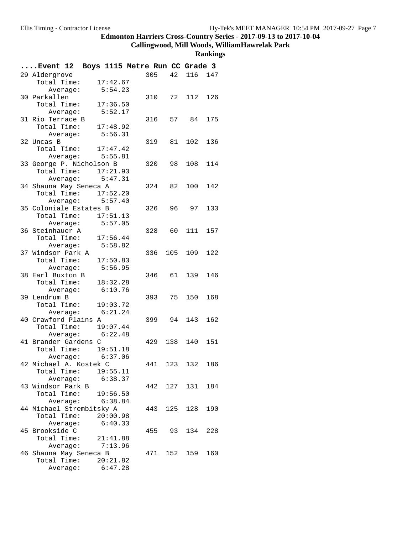**Callingwood, Mill Woods, WilliamHawrelak Park**

|                   | Event 12 Boys 1115 Metre Run CC Grade 3   |          |     |     |                |     |
|-------------------|-------------------------------------------|----------|-----|-----|----------------|-----|
| 29 Aldergrove     |                                           |          |     |     | 305 42 116 147 |     |
|                   | Total Time: 17:42.67                      |          |     |     |                |     |
|                   | Average:                                  | 5:54.23  |     |     |                |     |
| 30 Parkallen      |                                           |          |     |     | 310 72 112     | 126 |
|                   | Total Time: 17:36.50                      |          |     |     |                |     |
|                   | Average: 5:52.17                          |          |     |     |                |     |
| 31 Rio Terrace B  |                                           |          |     |     | 316 57 84      | 175 |
|                   | Total Time: 17:48.92                      |          |     |     |                |     |
|                   | Average: 5:56.31                          |          |     |     |                |     |
| 32 Uncas B        |                                           |          |     |     | 319 81 102     | 136 |
|                   | Total Time: 17:47.42                      |          |     |     |                |     |
|                   | Average: 5:55.81                          |          |     |     |                |     |
|                   | 33 George P. Nicholson B                  |          |     |     | 320 98 108 114 |     |
|                   | Total Time: 17:21.93                      |          |     |     |                |     |
|                   | Average: $5:47.31$                        |          |     |     |                |     |
|                   | 34 Shauna May Seneca A                    |          |     |     | 324 82 100     | 142 |
|                   | Total Time: 17:52.20                      |          |     |     |                |     |
|                   | Average: 5:57.40                          |          |     |     |                |     |
|                   | 35 Coloniale Estates B                    |          |     |     | 326 96 97      | 133 |
|                   | Total Time: 17:51.13                      |          |     |     |                |     |
|                   | Average: 5:57.05                          |          |     |     |                |     |
| 36 Steinhauer A   |                                           |          |     |     | 328 60 111     | 157 |
|                   | Total Time: 17:56.44                      |          |     |     |                |     |
|                   | Average: 5:58.82                          |          |     |     |                |     |
|                   | 37 Windsor Park A<br>Total Time: 17:50.83 |          |     |     | 336 105 109    | 122 |
|                   | Average: 5:56.95                          |          |     |     |                |     |
| 38 Earl Buxton B  |                                           |          |     |     | 346 61 139     | 146 |
|                   | Total Time: 18:32.28                      |          |     |     |                |     |
|                   | Average: 6:10.76                          |          |     |     |                |     |
| 39 Lendrum B      |                                           |          |     |     | 393 75 150     | 168 |
|                   | Total Time: 19:03.72                      |          |     |     |                |     |
|                   | Average: 6:21.24                          |          |     |     |                |     |
|                   | 40 Crawford Plains A                      |          |     |     | 399 94 143     | 162 |
|                   | Total Time: 19:07.44                      |          |     |     |                |     |
|                   | Average: $6:22.48$                        |          |     |     |                |     |
|                   | 41 Brander Gardens C                      |          |     |     | 429 138 140    | 151 |
|                   | Total Time: 19:51.18                      |          |     |     |                |     |
|                   | Average: $6:37.06$                        |          |     |     |                |     |
|                   | 42 Michael A. Kostek C                    |          | 441 | 123 | 132 186        |     |
|                   | Total Time: 19:55.11                      |          |     |     |                |     |
|                   | Average: 6:38.37                          |          |     |     |                |     |
| 43 Windsor Park B |                                           |          |     |     | 442 127 131    | 184 |
|                   | Total Time: 19:56.50                      |          |     |     |                |     |
|                   | Average: 6:38.84                          |          |     |     |                |     |
|                   | 44 Michael Strembitsky A                  |          | 443 |     | 125 128        | 190 |
|                   | Total Time: 20:00.98                      |          |     |     |                |     |
|                   | Average: 6:40.33                          |          |     |     |                |     |
| 45 Brookside C    |                                           |          |     |     | 455 93 134     | 228 |
|                   | Total Time: 21:41.88                      |          |     |     |                |     |
|                   | Average: 7:13.96                          |          |     |     |                |     |
|                   | 46 Shauna May Seneca B                    |          |     |     | 471 152 159    | 160 |
|                   | Total Time:                               | 20:21.82 |     |     |                |     |
|                   | Average:                                  | 6:47.28  |     |     |                |     |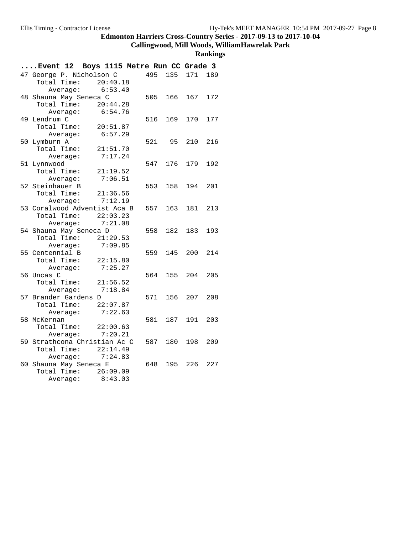# **Callingwood, Mill Woods, WilliamHawrelak Park**

| Event 12 Boys 1115 Metre Run CC Grade 3 |          |     |         |         |     |
|-----------------------------------------|----------|-----|---------|---------|-----|
| 47 George P. Nicholson C                |          |     | 495 135 | 171 189 |     |
| Total Time: 20:40.18                    |          |     |         |         |     |
| Average: 6:53.40                        |          |     |         |         |     |
| 48 Shauna May Seneca C                  |          | 505 | 166     | 167     | 172 |
| Total Time:                             | 20:44.28 |     |         |         |     |
| Average:                                | 6:54.76  |     |         |         |     |
| 49 Lendrum C                            |          | 516 | 169     | 170     | 177 |
| Total Time:                             | 20:51.87 |     |         |         |     |
| Average:                                | 6:57.29  |     |         |         |     |
| 50 Lymburn A                            |          | 521 | 95      | 210     | 216 |
| Total Time:                             | 21:51.70 |     |         |         |     |
| Average:                                | 7:17.24  |     |         |         |     |
| 51 Lynnwood                             |          |     | 547 176 | 179     | 192 |
| Total Time: 21:19.52                    |          |     |         |         |     |
| Average:                                | 7:06.51  |     |         |         |     |
| 52 Steinhauer B                         |          | 553 | 158     | 194     | 201 |
| Total Time: 21:36.56                    |          |     |         |         |     |
| Average:                                | 7:12.19  |     |         |         |     |
| 53 Coralwood Adventist Aca B            |          | 557 | 163     | 181     | 213 |
| Total Time: 22:03.23                    |          |     |         |         |     |
| Average: 7:21.08                        |          |     |         |         |     |
| 54 Shauna May Seneca D                  |          | 558 | 182     | 183     | 193 |
| Total Time: 21:29.53                    |          |     |         |         |     |
| Average:                                | 7:09.85  |     |         |         |     |
| 55 Centennial B                         |          | 559 | 145     | 200     | 214 |
| Total Time:                             | 22:15.80 |     |         |         |     |
| Average:                                | 7:25.27  |     |         |         |     |
| 56 Uncas C                              |          | 564 | 155     | 204     | 205 |
| Total Time: 21:56.52                    |          |     |         |         |     |
| Average:                                | 7:18.84  |     |         |         |     |
| 57 Brander Gardens D                    |          | 571 | 156     | 207     | 208 |
| Total Time: 22:07.87                    |          |     |         |         |     |
| Average: 7:22.63                        |          |     |         |         |     |
| 58 McKernan                             |          | 581 | 187     | 191     | 203 |
| Total Time: 22:00.63                    |          |     |         |         |     |
| Average:                                | 7:20.21  |     |         |         |     |
| 59 Strathcona Christian Ac C            |          | 587 | 180     | 198     | 209 |
| Total Time: $22:14.49$                  |          |     |         |         |     |
| Average: $7:24.83$                      |          |     |         |         |     |
| 60 Shauna May Seneca E                  |          | 648 | 195     | 226     | 227 |
| Total Time: 26:09.09                    |          |     |         |         |     |
| Average:                                | 8:43.03  |     |         |         |     |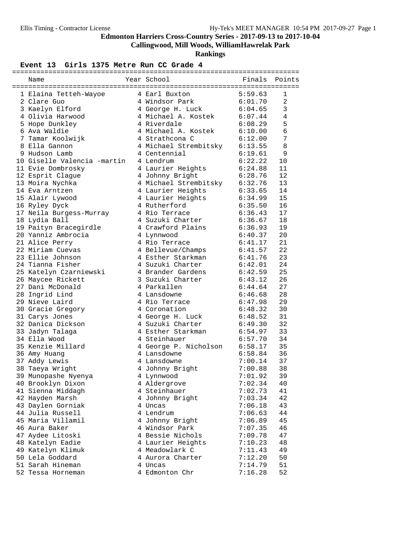**Callingwood, Mill Woods, WilliamHawrelak Park**

**Rankings**

| Name                        | Year School <a> Finals Points</a> |                    |                |
|-----------------------------|-----------------------------------|--------------------|----------------|
|                             |                                   |                    |                |
| 1 Elaina Tetteh-Wayoe       | 4 Earl Buxton                     | 5:59.63            | 1              |
| 2 Clare Guo                 | 4 Windsor Park                    | 6:01.70            | $\overline{2}$ |
| 3 Kaelyn Elford             | 4 George H. Luck                  | 6:04.65            | $\mathfrak{Z}$ |
| 4 Olivia Harwood            | 4 Michael A. Kostek               | 6:07.44            | 4              |
| 5 Hope Dunkley              | 4 Riverdale                       | 6:08.29            | 5              |
| 6 Ava Waldie                | 4 Michael A. Kostek 6:10.00       |                    | $\epsilon$     |
| 7 Tamar Koolwijk            | 4 Strathcona C                    | 6:12.00            | 7              |
| 8 Ella Gannon               | 4 Michael Strembitsky             | 6:13.55            | 8              |
| 9 Hudson Lamb               | 4 Centennial                      | 6:19.61            | 9              |
| 10 Giselle Valencia -martin | 4 Lendrum                         | 6:22.22            | 10             |
| 11 Evie Dombrosky           | 4 Laurier Heights                 | 6:24.88            | 11             |
| 12 Esprit Clague            | 4 Johnny Bright                   | 6:28.76            | 12             |
| 13 Moira Nychka             | 4 Michael Strembitsky 6:32.76     |                    | 13             |
| 14 Eva Arntzen              | 4 Laurier Heights                 | 6:33.65            | 14             |
| 15 Alair Lywood             | 4 Laurier Heights                 |                    | 15             |
| 16 Ryley Dyck               | 4 Rutherford                      | 6:34.99<br>6:35.50 | 16             |
| 17 Neila Burgess-Murray     | 4 Rio Terrace                     | 6:36.43            | 17             |
| 18 Lydia Ball               | 4 Suzuki Charter                  | 6:36.67            | 18             |
| 19 Paityn Bracegirdle       | 4 Crawford Plains                 | 6:36.93            | 19             |
| 20 Yanniz Ambrocia          | 4 Lynnwood                        | 6:40.37            | 20             |
| 21 Alice Perry              | 4 Rio Terrace                     | 6:41.17            | 21             |
| 22 Miriam Cuevas            | 4 Bellevue/Champs                 | 6:41.57            | 22             |
| 23 Ellie Johnson            | 4 Esther Starkman                 | 6:41.76            | 23             |
| 24 Tianna Fisher            | 4 Suzuki Charter                  | 6:42.01            | 24             |
| 25 Katelyn Czarniewski      | 4 Brander Gardens                 | 6:42.59            | 25             |
| 26 Maycee Rickett           | 3 Suzuki Charter                  | 6:43.12            | 26             |
| 27 Dani McDonald            | 4 Parkallen                       | 6:44.64            | 27             |
| 28 Ingrid Lind              | 4 Lansdowne                       | 6:46.68            | 28             |
| 29 Nieve Laird              | 4 Rio Terrace                     | 6:47.98            | 29             |
| 30 Gracie Gregory           | 4 Coronation                      | 6:48.32            | 30             |
| 31 Carys Jones              | 4 George H. Luck                  | 6:48.52            | 31             |
| 32 Danica Dickson           | 4 Suzuki Charter                  | 6:49.30            | 32             |
| 33 Jadyn Talaga             | 4 Esther Starkman                 | 6:54.97            | 33             |
| 34 Ella Wood                | 4 Steinhauer                      | 6:57.70            | 34             |
| 35 Kenzie Millard           | 4 George P. Nicholson 6:58.17     |                    | 35             |
| 36 Amy Huang                | 4 Lansdowne                       | 6:58.84            | 36             |
| 37 Addy Lewis               | 4 Lansdowne                       | 7:00.14            | 37             |
| 38 Taeya Wright             | 4 Johnny Bright                   | 7:00.88            | 38             |
| 39 Munopashe Nyenya         | 4 Lynnwood                        | 7:01.92            | 39             |
| 40 Brooklyn Dixon           | 4 Aldergrove                      | 7:02.34            | 40             |
| 41 Sienna Middagh           | 4 Steinhauer                      | 7:02.73            | 41             |
| 42 Hayden Marsh             | 4 Johnny Bright                   | 7:03.34            | 42             |
| 43 Daylen Gorniak           | 4 Uncas                           | 7:06.18            | 43             |
| 44 Julia Russell            | 4 Lendrum                         |                    | 44             |
| 45 Maria Villamil           | 4 Johnny Bright                   | 7:06.63<br>7:06.89 | 45             |
| 46 Aura Baker               |                                   |                    |                |
|                             | 4 Windsor Park                    | 7:07.35            | 46             |
| 47 Aydee Litoski            | 4 Bessie Nichols                  | 7:09.78            | 47             |
| 48 Katelyn Eadie            | 4 Laurier Heights                 | 7:10.23            | 48             |
| 49 Katelyn Klimuk           | 4 Meadowlark C                    | 7:11.43            | 49             |
| 50 Lela Goddard             | 4 Aurora Charter                  | 7:12.20            | 50             |
| 51 Sarah Hineman            | 4 Uncas                           | 7:14.79            | 51             |
| 52 Tessa Horneman           | 4 Edmonton Chr                    | 7:16.28            | 52             |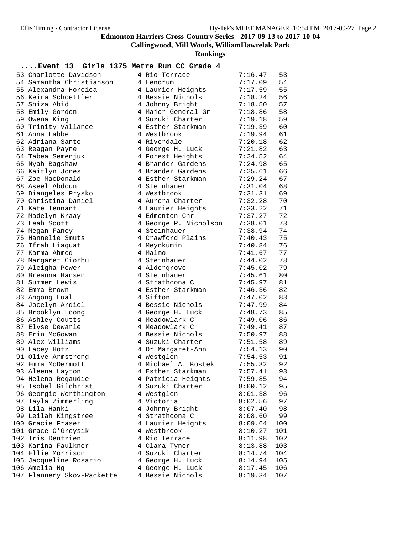**Callingwood, Mill Woods, WilliamHawrelak Park**

**Rankings**

| 53 Charlotte Davidson      | 4 Rio Terrace         | 7:16.47 | 53  |
|----------------------------|-----------------------|---------|-----|
| 54 Samantha Christianson   | 4 Lendrum             | 7:17.09 | 54  |
| 55 Alexandra Horcica       | 4 Laurier Heights     | 7:17.59 | 55  |
| 56 Keira Schoettler        | 4 Bessie Nichols      | 7:18.24 | 56  |
| 57 Shiza Abid              | 4 Johnny Bright       | 7:18.50 | 57  |
| 58 Emily Gordon            | 4 Major General Gr    | 7:18.86 | 58  |
| 59 Owena King              | 4 Suzuki Charter      | 7:19.18 | 59  |
| 60 Trinity Vallance        | 4 Esther Starkman     | 7:19.39 | 60  |
| 61 Anna Labbe              | 4 Westbrook           | 7:19.94 | 61  |
| 62 Adriana Santo           | 4 Riverdale           | 7:20.18 | 62  |
| 63 Reagan Payne            | 4 George H. Luck      | 7:21.82 | 63  |
| 64 Tabea Semenjuk          | 4 Forest Heights      | 7:24.52 | 64  |
| 65 Nyah Bagshaw            | 4 Brander Gardens     | 7:24.98 | 65  |
| 66 Kaitlyn Jones           | 4 Brander Gardens     | 7:25.61 | 66  |
| 67 Zoe MacDonald           | 4 Esther Starkman     | 7:29.24 | 67  |
| 68 Aseel Abdoun            | 4 Steinhauer          | 7:31.04 | 68  |
| 69 Diangeles Prysko        | 4 Westbrook           | 7:31.31 | 69  |
| 70 Christina Daniel        | 4 Aurora Charter      | 7:32.28 | 70  |
| 71 Kate Tennant            | 4 Laurier Heights     | 7:33.22 | 71  |
| 72 Madelyn Kraay           | 4 Edmonton Chr        | 7:37.27 | 72  |
| 73 Leah Scott              | 4 George P. Nicholson | 7:38.01 | 73  |
| 74 Megan Fancy             | 4 Steinhauer          | 7:38.94 | 74  |
| 75 Hannelie Smuts          | 4 Crawford Plains     | 7:40.43 | 75  |
| 76 Ifrah Liaquat           | 4 Meyokumin           | 7:40.84 | 76  |
| 77 Karma Ahmed             | 4 Malmo               | 7:41.67 | 77  |
| 78 Margaret Ciorbu         | 4 Steinhauer          | 7:44.02 | 78  |
| 79 Aleigha Power           | 4 Aldergrove          | 7:45.02 | 79  |
| 80 Breanna Hansen          | 4 Steinhauer          | 7:45.61 | 80  |
| 81 Summer Lewis            | 4 Strathcona C        | 7:45.97 | 81  |
| 82 Emma Brown              | 4 Esther Starkman     | 7:46.36 | 82  |
| 83 Angong Lual             | 4 Sifton              | 7:47.02 | 83  |
| 84 Jocelyn Ardiel          | 4 Bessie Nichols      | 7:47.99 | 84  |
| 85 Brooklyn Loong          | 4 George H. Luck      | 7:48.73 | 85  |
| 86 Ashley Coutts           | 4 Meadowlark C        | 7:49.06 | 86  |
| 87 Elyse Dewarle           | 4 Meadowlark C        | 7:49.41 | 87  |
| 88 Erin McGowan            | 4 Bessie Nichols      | 7:50.97 | 88  |
| 89 Alex Williams           | 4 Suzuki Charter      | 7:51.58 | 89  |
| 90 Lacey Hotz              | 4 Dr Margaret-Ann     | 7:54.13 | 90  |
| 91 Olive Armstrong         | 4 Westglen            | 7:54.53 | 91  |
| 92 Emma McDermott          | 4 Michael A. Kostek   | 7:55.32 | 92  |
| 93 Aleena Layton           | 4 Esther Starkman     | 7:57.41 | 93  |
| 94 Helena Regaudie         | 4 Patricia Heights    | 7:59.85 | 94  |
| 95 Isobel Gilchrist        | 4 Suzuki Charter      | 8:00.12 | 95  |
| 96 Georgie Worthington     | 4 Westglen            | 8:01.38 | 96  |
| 97 Tayla Zimmerling        | 4 Victoria            | 8:02.56 | 97  |
| 98 Lila Hanki              | 4 Johnny Bright       | 8:07.40 | 98  |
| 99 Leilah Kingstree        | 4 Strathcona C        | 8:08.60 | 99  |
| 100 Gracie Fraser          | 4 Laurier Heights     | 8:09.64 | 100 |
| 101 Grace O'Greysik        | 4 Westbrook           | 8:10.27 | 101 |
| 102 Iris Dentzien          | 4 Rio Terrace         | 8:11.98 | 102 |
| 103 Karina Faulkner        | 4 Clara Tyner         | 8:13.88 | 103 |
| 104 Ellie Morrison         | 4 Suzuki Charter      | 8:14.74 | 104 |
| 105 Jacqueline Rosario     | 4 George H. Luck      | 8:14.94 | 105 |
| 106 Amelia Ng              | 4 George H. Luck      | 8:17.45 | 106 |
| 107 Flannery Skov-Rackette | 4 Bessie Nichols      | 8:19.34 | 107 |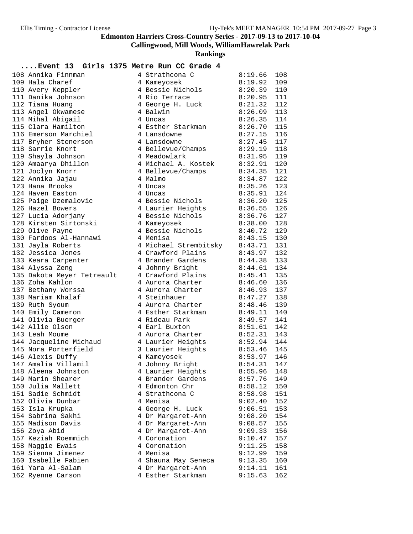**Callingwood, Mill Woods, WilliamHawrelak Park**

**Rankings**

| 108 Annika Finnman         | 4 Strathcona C                | 8:19.66       | 108 |
|----------------------------|-------------------------------|---------------|-----|
| 109 Hala Charef            | 4 Kameyosek                   | 8:19.92       | 109 |
| 110 Avery Keppler          | 4 Bessie Nichols              | 8:20.39       | 110 |
| 111 Danika Johnson         | 4 Rio Terrace                 | 8:20.95       | 111 |
| 112 Tiana Huang            | 4 George H. Luck              | 8:21.32       | 112 |
| 113 Angel Okwamese         | 4 Balwin                      | 8:26.09       | 113 |
| 114 Mihal Abigail          | 4 Uncas                       | 8:26.35       | 114 |
| 115 Clara Hamilton         | 4 Esther Starkman             | 8:26.70       | 115 |
| 116 Emerson Marchiel       | 4 Lansdowne                   | 8:27.15       | 116 |
| 117 Bryher Stenerson       | 4 Lansdowne                   | 8:27.45       | 117 |
| 118 Sarrie Knort           | 4 Bellevue/Champs             | 8:29.19       | 118 |
| 119 Shayla Johnson         | 4 Meadowlark                  | 8:31.95       | 119 |
| 120 Amaarya Dhillon        | 4 Michael A. Kostek           | 8:32.91       | 120 |
| 121 Joclyn Knorr           | 4 Bellevue/Champs             | 8:34.35       | 121 |
| 122 Annika Jajau           | 4 Malmo                       | 8:34.87       | 122 |
| 123 Hana Brooks            | 4 Uncas                       | 8:35.26       | 123 |
| 124 Haven Easton           | 4 Uncas                       | 8:35.91       | 124 |
| 125 Paige Dzemalovic       | 4 Bessie Nichols              | 8:36.20       | 125 |
| 126 Hazel Bowers           | 4 Laurier Heights             | 8:36.55       | 126 |
| 127 Lucia Adorjany         | 4 Bessie Nichols              | 8:36.76       | 127 |
| 128 Kirsten Sirtonski      | 4 Kameyosek                   | 8:38.00       | 128 |
| 129 Olive Payne            | 4 Bessie Nichols              | 8:40.72       | 129 |
| 130 Fardoos Al-Hannawi     | 4 Menisa                      | $8:43.15$ 130 |     |
| 131 Jayla Roberts          | 4 Michael Strembitsky 8:43.71 |               | 131 |
| 132 Jessica Jones          | 4 Crawford Plains             | 8:43.97       | 132 |
| 133 Keara Carpenter        | 4 Brander Gardens             | 8:44.38       | 133 |
| 134 Alyssa Zeng            | 4 Johnny Bright               | 8:44.61       | 134 |
| 135 Dakota Meyer Tetreault | 4 Crawford Plains             | 8:45.41       | 135 |
| 136 Zoha Kahlon            | 4 Aurora Charter              | 8:46.60       | 136 |
| 137 Bethany Worssa         | 4 Aurora Charter              | 8:46.93       | 137 |
| 138 Mariam Khalaf          | 4 Steinhauer                  | 8:47.27       | 138 |
| 139 Ruth Syoum             | 4 Aurora Charter              | 8:48.46       | 139 |
| 140 Emily Cameron          | 4 Esther Starkman             | 8:49.11       | 140 |
| 141 Olivia Buerger         | 4 Rideau Park                 | 8:49.57       | 141 |
| 142 Allie Olson            | 4 Earl Buxton                 | 8:51.61       | 142 |
| 143 Leah Moume             | 4 Aurora Charter              | 8:52.31       | 143 |
| 144 Jacqueline Michaud     | 4 Laurier Heights             | 8:52.94       | 144 |
| 145 Nora Porterfield       | 3 Laurier Heights             | 8:53.46       | 145 |
| 146 Alexis Duffy           | 4 Kameyosek                   | 8:53.97       | 146 |
| 147 Amalia Villamil        | 4 Johnny Bright               | 8:54.31       | 147 |
| 148 Aleena Johnston        | 4 Laurier Heights             | $8:55.96$ 148 |     |
| 149 Marin Shearer          | 4 Brander Gardens             | 8:57.76       | 149 |
| 150 Julia Mallett          | 4 Edmonton Chr                | 8:58.12       | 150 |
| 151 Sadie Schmidt          | 4 Strathcona C                | 8:58.98       | 151 |
| 152 Olivia Dunbar          | 4 Menisa                      | 9:02.40       | 152 |
| 153 Isla Krupka            | 4 George H. Luck              | 9:06.51       | 153 |
| 154 Sabrina Sakhi          | 4 Dr Margaret-Ann             | 9:08.20       | 154 |
| 155 Madison Davis          | 4 Dr Margaret-Ann             | 9:08.57       | 155 |
| 156 Zoya Abid              | 4 Dr Margaret-Ann             | 9:09.33       | 156 |
| 157 Keziah Roemmich        | 4 Coronation                  | 9:10.47       | 157 |
| 158 Maggie Ewais           | 4 Coronation                  | 9:11.25       | 158 |
| 159 Sienna Jimenez         | 4 Menisa                      | 9:12.99       | 159 |
| 160 Isabelle Fabien        | 4 Shauna May Seneca           | 9:13.35       | 160 |
| 161 Yara Al-Salam          | 4 Dr Margaret-Ann             | 9:14.11       | 161 |
| 162 Ryenne Carson          | 4 Esther Starkman             | 9:15.63       | 162 |
|                            |                               |               |     |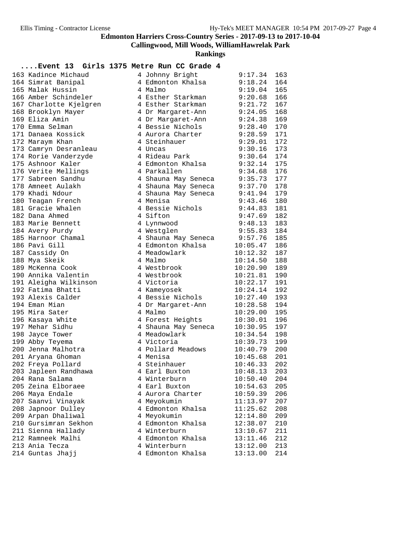**Callingwood, Mill Woods, WilliamHawrelak Park**

**Rankings**

| 163 Kadince Michaud    | 4 Johnny Bright             | 9:17.34        | 163 |
|------------------------|-----------------------------|----------------|-----|
| 164 Simrat Banipal     | 4 Edmonton Khalsa           | 9:18.24        | 164 |
| 165 Malak Hussin       | 4 Malmo                     | 9:19.04        | 165 |
| 166 Amber Schindeler   | 4 Esther Starkman           | 9:20.68        | 166 |
| 167 Charlotte Kjelgren | 4 Esther Starkman           | 9:21.72        | 167 |
| 168 Brooklyn Mayer     | 4 Dr Margaret-Ann           | 9:24.05        | 168 |
| 169 Eliza Amin         | 4 Dr Margaret-Ann           | 9:24.38        | 169 |
| 170 Emma Selman        | 4 Bessie Nichols 9:28.40    |                | 170 |
| 171 Danaea Kossick     | 4 Aurora Charter            | 9:28.59        | 171 |
| 172 Maraym Khan        | 4 Steinhauer                | 9:29.01        | 172 |
| 173 Camryn Desranleau  | 4 Uncas                     | 9:30.16        | 173 |
| 174 Rorie Vanderzyde   | 4 Rideau Park               | 9:30.64        | 174 |
| 175 Ashnoor Kaler      | 4 Edmonton Khalsa           | 9:32.14        | 175 |
| 176 Verite Mellings    | 4 Parkallen                 | 9:34.68        | 176 |
| 177 Sabreen Sandhu     | 4 Shauna May Seneca 9:35.73 |                | 177 |
| 178 Amneet Aulakh      | 4 Shauna May Seneca 9:37.70 |                | 178 |
| 179 Khadi Ndour        | 4 Shauna May Seneca         | 9:41.94        | 179 |
| 180 Teagan French      | 4 Menisa                    | 9:43.46        | 180 |
| 181 Gracie Whalen      | 4 Bessie Nichols            | 9:44.83        | 181 |
| 182 Dana Ahmed         | 4 Sifton                    | 9:47.69        | 182 |
| 183 Marie Bennett      | 4 Lynnwood                  | 9:48.13        | 183 |
| 184 Avery Purdy        | 4 Westglen                  | 9:55.83        | 184 |
| 185 Harnoor Chamal     | 4 Shauna May Seneca 9:57.76 |                | 185 |
| 186 Pavi Gill          | 4 Edmonton Khalsa           | 10:05.47       | 186 |
| 187 Cassidy On         | 4 Meadowlark                | 10:12.32       | 187 |
| 188 Mya Skeik          | 4 Malmo                     | 10:14.50       | 188 |
| 189 McKenna Cook       | 4 Westbrook                 | 10:20.90       | 189 |
| 190 Annika Valentin    | 4 Westbrook                 | 10:21.81       | 190 |
| 191 Aleigha Wilkinson  | 4 Victoria                  | 10:22.17       | 191 |
| 192 Fatima Bhatti      | 4 Kameyosek                 | 10:24.14       | 192 |
| 193 Alexis Calder      | 4 Bessie Nichols            | 10:27.40       | 193 |
| 194 Eman Mian          | 4 Dr Margaret-Ann           | 10:28.58       | 194 |
| 195 Mira Sater         | 4 Malmo                     | 10:29.00       | 195 |
| 196 Kasaya White       | 4 Forest Heights            | 10:30.01       | 196 |
| 197 Mehar Sidhu        | 4 Shauna May Seneca         | 10:30.95       | 197 |
| 198 Jayce Tower        | 4 Meadowlark                | 10:34.54       | 198 |
| 199 Abby Teyema        | 4 Victoria                  | 10:39.73       | 199 |
| 200 Jenna Malhotra     | 4 Pollard Meadows           | 10:40.79       | 200 |
| 201 Aryana Ghoman      | 4 Menisa                    | 10:45.68       | 201 |
| 202 Freya Pollard      | 4 Steinhauer                | 10:46.33       | 202 |
| 203 Japleen Randhawa   | 4 Earl Buxton               | $10:48.13$ 203 |     |
| 204 Rana Salama        | 4 Winterburn                | 10:50.40       | 204 |
| 205 Zeina Elboraee     | 4 Earl Buxton               | 10:54.63       | 205 |
| 206 Maya Endale        | 4 Aurora Charter            | 10:59.39       | 206 |
| 207 Saanvi Vinayak     | 4 Meyokumin                 | 11:13.97       | 207 |
| 208 Japnoor Dulley     | 4 Edmonton Khalsa           | 11:25.62       | 208 |
| 209 Arpan Dhaliwal     | 4 Meyokumin                 | 12:14.80       | 209 |
| 210 Gursimran Sekhon   | 4 Edmonton Khalsa           | 12:38.07       | 210 |
| 211 Sienna Hallady     | 4 Winterburn                | 13:10.67       | 211 |
| 212 Ramneek Malhi      | 4 Edmonton Khalsa           | 13:11.46       | 212 |
| 213 Ania Tecza         | 4 Winterburn                | 13:12.00       | 213 |
| 214 Guntas Jhajj       | 4 Edmonton Khalsa           | 13:13.00       | 214 |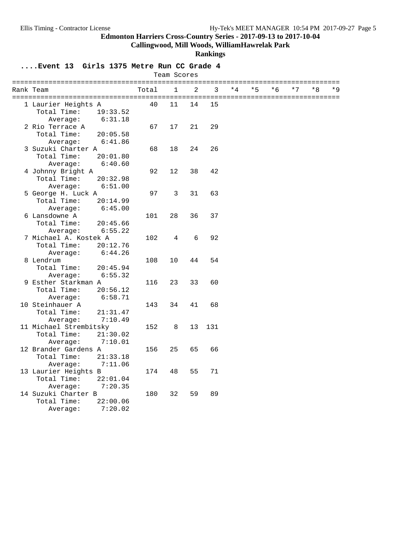**Callingwood, Mill Woods, WilliamHawrelak Park**

**Rankings**

| $\overline{2}$<br>$\mathbf{1}$<br>3<br>$*4$<br>$*5$<br>$*7$<br>$*8$<br>$*$ 9<br>Total<br>$*6$<br>Rank Team<br>40<br>14<br>15<br>1 Laurier Heights A<br>11<br>Total Time:<br>19:33.52<br>6:31.18<br>Average:<br>2 Rio Terrace A<br>67<br>17<br>21<br>29<br>Total Time:<br>20:05.58<br>6:41.86<br>Average:<br>3 Suzuki Charter A<br>68<br>24<br>26<br>18<br>Total Time:<br>20:01.80<br>Average:<br>6:40.60<br>4 Johnny Bright A<br>92<br>12<br>38<br>42<br>Total Time:<br>20:32.98<br>6:51.00<br>Average:<br>31<br>63<br>5 George H. Luck A<br>97<br>3<br>Total Time:<br>20:14.99<br>Average:<br>6:45.00<br>6 Lansdowne A<br>101<br>28<br>36<br>37<br>Total Time:<br>20:45.66<br>Average:<br>6:55.22<br>7 Michael A. Kostek A<br>92<br>102<br>4<br>6<br>Total Time:<br>20:12.76<br>6:44.26<br>Average:<br>54<br>8 Lendrum<br>108<br>10<br>44<br>Total Time:<br>20:45.94<br>6:55.32<br>Average:<br>9 Esther Starkman A<br>23<br>33<br>60<br>116<br>Total Time:<br>20:56.12<br>Average:<br>6:58.71<br>10 Steinhauer A<br>68<br>143<br>34<br>41<br>Total Time:<br>21:31.47<br>7:10.49<br>Average:<br>11 Michael Strembitsky<br>152<br>8<br>13<br>131<br>Total Time:<br>21:30.02<br>Average:<br>7:10.01<br>12 Brander Gardens A<br>25<br>65<br>66<br>156<br>Total Time:<br>21:33.18<br>7:11.06<br>Average:<br>13 Laurier Heights B<br>71<br>174<br>48<br>55<br>Total Time:<br>22:01.04<br>7:20.35<br>Average:<br>14 Suzuki Charter B<br>180<br>32<br>59<br>89<br>Total Time:<br>22:00.06<br>7:20.02 |          |  | Team Scores |  |  |  |  |
|-----------------------------------------------------------------------------------------------------------------------------------------------------------------------------------------------------------------------------------------------------------------------------------------------------------------------------------------------------------------------------------------------------------------------------------------------------------------------------------------------------------------------------------------------------------------------------------------------------------------------------------------------------------------------------------------------------------------------------------------------------------------------------------------------------------------------------------------------------------------------------------------------------------------------------------------------------------------------------------------------------------------------------------------------------------------------------------------------------------------------------------------------------------------------------------------------------------------------------------------------------------------------------------------------------------------------------------------------------------------------------------------------------------------------------------------------------------------------------------------------|----------|--|-------------|--|--|--|--|
|                                                                                                                                                                                                                                                                                                                                                                                                                                                                                                                                                                                                                                                                                                                                                                                                                                                                                                                                                                                                                                                                                                                                                                                                                                                                                                                                                                                                                                                                                               |          |  |             |  |  |  |  |
|                                                                                                                                                                                                                                                                                                                                                                                                                                                                                                                                                                                                                                                                                                                                                                                                                                                                                                                                                                                                                                                                                                                                                                                                                                                                                                                                                                                                                                                                                               |          |  |             |  |  |  |  |
|                                                                                                                                                                                                                                                                                                                                                                                                                                                                                                                                                                                                                                                                                                                                                                                                                                                                                                                                                                                                                                                                                                                                                                                                                                                                                                                                                                                                                                                                                               |          |  |             |  |  |  |  |
|                                                                                                                                                                                                                                                                                                                                                                                                                                                                                                                                                                                                                                                                                                                                                                                                                                                                                                                                                                                                                                                                                                                                                                                                                                                                                                                                                                                                                                                                                               |          |  |             |  |  |  |  |
|                                                                                                                                                                                                                                                                                                                                                                                                                                                                                                                                                                                                                                                                                                                                                                                                                                                                                                                                                                                                                                                                                                                                                                                                                                                                                                                                                                                                                                                                                               |          |  |             |  |  |  |  |
|                                                                                                                                                                                                                                                                                                                                                                                                                                                                                                                                                                                                                                                                                                                                                                                                                                                                                                                                                                                                                                                                                                                                                                                                                                                                                                                                                                                                                                                                                               |          |  |             |  |  |  |  |
|                                                                                                                                                                                                                                                                                                                                                                                                                                                                                                                                                                                                                                                                                                                                                                                                                                                                                                                                                                                                                                                                                                                                                                                                                                                                                                                                                                                                                                                                                               |          |  |             |  |  |  |  |
|                                                                                                                                                                                                                                                                                                                                                                                                                                                                                                                                                                                                                                                                                                                                                                                                                                                                                                                                                                                                                                                                                                                                                                                                                                                                                                                                                                                                                                                                                               |          |  |             |  |  |  |  |
|                                                                                                                                                                                                                                                                                                                                                                                                                                                                                                                                                                                                                                                                                                                                                                                                                                                                                                                                                                                                                                                                                                                                                                                                                                                                                                                                                                                                                                                                                               |          |  |             |  |  |  |  |
|                                                                                                                                                                                                                                                                                                                                                                                                                                                                                                                                                                                                                                                                                                                                                                                                                                                                                                                                                                                                                                                                                                                                                                                                                                                                                                                                                                                                                                                                                               |          |  |             |  |  |  |  |
|                                                                                                                                                                                                                                                                                                                                                                                                                                                                                                                                                                                                                                                                                                                                                                                                                                                                                                                                                                                                                                                                                                                                                                                                                                                                                                                                                                                                                                                                                               |          |  |             |  |  |  |  |
|                                                                                                                                                                                                                                                                                                                                                                                                                                                                                                                                                                                                                                                                                                                                                                                                                                                                                                                                                                                                                                                                                                                                                                                                                                                                                                                                                                                                                                                                                               |          |  |             |  |  |  |  |
|                                                                                                                                                                                                                                                                                                                                                                                                                                                                                                                                                                                                                                                                                                                                                                                                                                                                                                                                                                                                                                                                                                                                                                                                                                                                                                                                                                                                                                                                                               |          |  |             |  |  |  |  |
|                                                                                                                                                                                                                                                                                                                                                                                                                                                                                                                                                                                                                                                                                                                                                                                                                                                                                                                                                                                                                                                                                                                                                                                                                                                                                                                                                                                                                                                                                               |          |  |             |  |  |  |  |
|                                                                                                                                                                                                                                                                                                                                                                                                                                                                                                                                                                                                                                                                                                                                                                                                                                                                                                                                                                                                                                                                                                                                                                                                                                                                                                                                                                                                                                                                                               |          |  |             |  |  |  |  |
|                                                                                                                                                                                                                                                                                                                                                                                                                                                                                                                                                                                                                                                                                                                                                                                                                                                                                                                                                                                                                                                                                                                                                                                                                                                                                                                                                                                                                                                                                               |          |  |             |  |  |  |  |
|                                                                                                                                                                                                                                                                                                                                                                                                                                                                                                                                                                                                                                                                                                                                                                                                                                                                                                                                                                                                                                                                                                                                                                                                                                                                                                                                                                                                                                                                                               |          |  |             |  |  |  |  |
|                                                                                                                                                                                                                                                                                                                                                                                                                                                                                                                                                                                                                                                                                                                                                                                                                                                                                                                                                                                                                                                                                                                                                                                                                                                                                                                                                                                                                                                                                               |          |  |             |  |  |  |  |
|                                                                                                                                                                                                                                                                                                                                                                                                                                                                                                                                                                                                                                                                                                                                                                                                                                                                                                                                                                                                                                                                                                                                                                                                                                                                                                                                                                                                                                                                                               |          |  |             |  |  |  |  |
|                                                                                                                                                                                                                                                                                                                                                                                                                                                                                                                                                                                                                                                                                                                                                                                                                                                                                                                                                                                                                                                                                                                                                                                                                                                                                                                                                                                                                                                                                               |          |  |             |  |  |  |  |
|                                                                                                                                                                                                                                                                                                                                                                                                                                                                                                                                                                                                                                                                                                                                                                                                                                                                                                                                                                                                                                                                                                                                                                                                                                                                                                                                                                                                                                                                                               |          |  |             |  |  |  |  |
|                                                                                                                                                                                                                                                                                                                                                                                                                                                                                                                                                                                                                                                                                                                                                                                                                                                                                                                                                                                                                                                                                                                                                                                                                                                                                                                                                                                                                                                                                               |          |  |             |  |  |  |  |
|                                                                                                                                                                                                                                                                                                                                                                                                                                                                                                                                                                                                                                                                                                                                                                                                                                                                                                                                                                                                                                                                                                                                                                                                                                                                                                                                                                                                                                                                                               |          |  |             |  |  |  |  |
|                                                                                                                                                                                                                                                                                                                                                                                                                                                                                                                                                                                                                                                                                                                                                                                                                                                                                                                                                                                                                                                                                                                                                                                                                                                                                                                                                                                                                                                                                               |          |  |             |  |  |  |  |
|                                                                                                                                                                                                                                                                                                                                                                                                                                                                                                                                                                                                                                                                                                                                                                                                                                                                                                                                                                                                                                                                                                                                                                                                                                                                                                                                                                                                                                                                                               |          |  |             |  |  |  |  |
|                                                                                                                                                                                                                                                                                                                                                                                                                                                                                                                                                                                                                                                                                                                                                                                                                                                                                                                                                                                                                                                                                                                                                                                                                                                                                                                                                                                                                                                                                               |          |  |             |  |  |  |  |
|                                                                                                                                                                                                                                                                                                                                                                                                                                                                                                                                                                                                                                                                                                                                                                                                                                                                                                                                                                                                                                                                                                                                                                                                                                                                                                                                                                                                                                                                                               |          |  |             |  |  |  |  |
|                                                                                                                                                                                                                                                                                                                                                                                                                                                                                                                                                                                                                                                                                                                                                                                                                                                                                                                                                                                                                                                                                                                                                                                                                                                                                                                                                                                                                                                                                               |          |  |             |  |  |  |  |
|                                                                                                                                                                                                                                                                                                                                                                                                                                                                                                                                                                                                                                                                                                                                                                                                                                                                                                                                                                                                                                                                                                                                                                                                                                                                                                                                                                                                                                                                                               |          |  |             |  |  |  |  |
|                                                                                                                                                                                                                                                                                                                                                                                                                                                                                                                                                                                                                                                                                                                                                                                                                                                                                                                                                                                                                                                                                                                                                                                                                                                                                                                                                                                                                                                                                               |          |  |             |  |  |  |  |
|                                                                                                                                                                                                                                                                                                                                                                                                                                                                                                                                                                                                                                                                                                                                                                                                                                                                                                                                                                                                                                                                                                                                                                                                                                                                                                                                                                                                                                                                                               |          |  |             |  |  |  |  |
|                                                                                                                                                                                                                                                                                                                                                                                                                                                                                                                                                                                                                                                                                                                                                                                                                                                                                                                                                                                                                                                                                                                                                                                                                                                                                                                                                                                                                                                                                               |          |  |             |  |  |  |  |
|                                                                                                                                                                                                                                                                                                                                                                                                                                                                                                                                                                                                                                                                                                                                                                                                                                                                                                                                                                                                                                                                                                                                                                                                                                                                                                                                                                                                                                                                                               |          |  |             |  |  |  |  |
|                                                                                                                                                                                                                                                                                                                                                                                                                                                                                                                                                                                                                                                                                                                                                                                                                                                                                                                                                                                                                                                                                                                                                                                                                                                                                                                                                                                                                                                                                               |          |  |             |  |  |  |  |
|                                                                                                                                                                                                                                                                                                                                                                                                                                                                                                                                                                                                                                                                                                                                                                                                                                                                                                                                                                                                                                                                                                                                                                                                                                                                                                                                                                                                                                                                                               |          |  |             |  |  |  |  |
|                                                                                                                                                                                                                                                                                                                                                                                                                                                                                                                                                                                                                                                                                                                                                                                                                                                                                                                                                                                                                                                                                                                                                                                                                                                                                                                                                                                                                                                                                               |          |  |             |  |  |  |  |
|                                                                                                                                                                                                                                                                                                                                                                                                                                                                                                                                                                                                                                                                                                                                                                                                                                                                                                                                                                                                                                                                                                                                                                                                                                                                                                                                                                                                                                                                                               |          |  |             |  |  |  |  |
|                                                                                                                                                                                                                                                                                                                                                                                                                                                                                                                                                                                                                                                                                                                                                                                                                                                                                                                                                                                                                                                                                                                                                                                                                                                                                                                                                                                                                                                                                               |          |  |             |  |  |  |  |
|                                                                                                                                                                                                                                                                                                                                                                                                                                                                                                                                                                                                                                                                                                                                                                                                                                                                                                                                                                                                                                                                                                                                                                                                                                                                                                                                                                                                                                                                                               |          |  |             |  |  |  |  |
|                                                                                                                                                                                                                                                                                                                                                                                                                                                                                                                                                                                                                                                                                                                                                                                                                                                                                                                                                                                                                                                                                                                                                                                                                                                                                                                                                                                                                                                                                               |          |  |             |  |  |  |  |
|                                                                                                                                                                                                                                                                                                                                                                                                                                                                                                                                                                                                                                                                                                                                                                                                                                                                                                                                                                                                                                                                                                                                                                                                                                                                                                                                                                                                                                                                                               |          |  |             |  |  |  |  |
|                                                                                                                                                                                                                                                                                                                                                                                                                                                                                                                                                                                                                                                                                                                                                                                                                                                                                                                                                                                                                                                                                                                                                                                                                                                                                                                                                                                                                                                                                               |          |  |             |  |  |  |  |
|                                                                                                                                                                                                                                                                                                                                                                                                                                                                                                                                                                                                                                                                                                                                                                                                                                                                                                                                                                                                                                                                                                                                                                                                                                                                                                                                                                                                                                                                                               | Average: |  |             |  |  |  |  |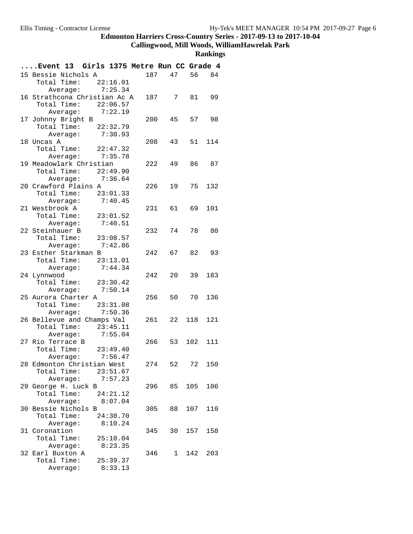# **Callingwood, Mill Woods, WilliamHawrelak Park**

|                  | Event 13 Girls 1375 Metre Run CC Grade 4 |          |     |        |            |          |
|------------------|------------------------------------------|----------|-----|--------|------------|----------|
|                  | 15 Bessie Nichols A                      |          |     | 187    | 47<br>56   | 84       |
|                  | Total Time:                              | 22:16.01 |     |        |            |          |
|                  | Average: 7:25.34                         |          |     |        |            |          |
|                  | 16 Strathcona Christian Ac A             |          |     |        | 187 7 81   | 99       |
|                  | Total Time: 22:06.57                     |          |     |        |            |          |
|                  | Average: 7:22.19                         |          |     |        |            |          |
|                  | 17 Johnny Bright B                       |          | 200 | 45     |            | 57<br>98 |
|                  | Total Time: 22:32.79                     |          |     |        |            |          |
|                  | Average: 7:30.93                         |          |     |        |            |          |
| 18 Uncas A       |                                          |          |     | 208 —  | 43<br>51   | 114      |
|                  | Total Time: 22:47.32                     |          |     |        |            |          |
|                  | Average: 7:35.78                         |          |     |        |            |          |
|                  | 19 Meadowlark Christian                  |          |     | 222 49 |            | 86 87    |
|                  | Total Time: $22:49.90$                   |          |     |        |            |          |
|                  | Average: 7:36.64                         |          |     |        |            |          |
|                  | 20 Crawford Plains A                     |          | 226 |        | 19<br>75   | 132      |
|                  | Total Time: 23:01.33                     |          |     |        |            |          |
|                  | Average: 7:40.45                         |          |     |        |            |          |
| 21 Westbrook A   |                                          |          | 231 |        | 61<br>69   | 101      |
| Total Time:      |                                          | 23:01.52 |     |        |            |          |
|                  | Average:                                 | 7:40.51  |     |        |            |          |
| 22 Steinhauer B  |                                          |          | 232 |        | 74         | 78<br>80 |
|                  | Total Time: 23:08.57                     |          |     |        |            |          |
|                  | Average: 7:42.86                         |          |     |        |            |          |
|                  | 23 Esther Starkman B                     |          |     | 242 67 |            | 82 93    |
|                  | Total Time: 23:13.01                     |          |     |        |            |          |
|                  | Average: 7:44.34                         |          | 242 |        | 39<br>20   | 183      |
| 24 Lynnwood      | Total Time: 23:30.42                     |          |     |        |            |          |
|                  | Average: 7:50.14                         |          |     |        |            |          |
|                  | 25 Aurora Charter A                      |          | 256 |        | 50<br>70   | 136      |
|                  | Total Time: 23:31.08                     |          |     |        |            |          |
|                  | Average: 7:50.36                         |          |     |        |            |          |
|                  | 26 Bellevue and Champs Val               |          | 261 | 22     | 118        | 121      |
|                  | Total Time: 23:45.11                     |          |     |        |            |          |
|                  | Average: 7:55.04                         |          |     |        |            |          |
| 27 Rio Terrace B |                                          |          |     | 266 53 | 102        | 111      |
|                  | Total Time: $23:49.40$                   |          |     |        |            |          |
|                  | Average:                                 | 7:56.47  |     |        |            |          |
|                  | 28 Edmonton Christian West               |          | 274 | 52     | 72         | 150      |
|                  | Total Time: 23:51.67                     |          |     |        |            |          |
|                  | Average: 7:57.23                         |          |     |        |            |          |
|                  | 29 George H. Luck B                      |          |     |        | 296 85 105 | 106      |
|                  | Total Time:                              | 24:21.12 |     |        |            |          |
|                  | Average:                                 | 8:07.04  |     |        |            |          |
|                  | 30 Bessie Nichols B                      |          | 305 | 88     | 107        | 110      |
| Total Time:      |                                          | 24:30.70 |     |        |            |          |
|                  | Average:                                 | 8:10.24  |     |        |            |          |
| 31 Coronation    |                                          |          | 345 |        | 30 157     | 158      |
|                  | Total Time:                              | 25:10.04 |     |        |            |          |
|                  | Average:                                 | 8:23.35  |     |        |            |          |
| 32 Earl Buxton A |                                          |          | 346 |        | 1<br>142   | 203      |
| Total Time:      |                                          | 25:39.37 |     |        |            |          |
|                  | Average:                                 | 8:33.13  |     |        |            |          |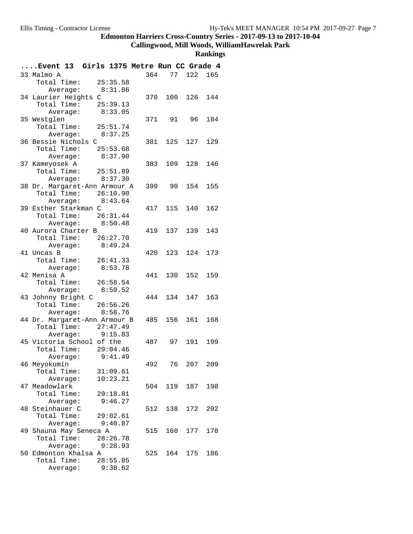#### **Callingwood, Mill Woods, WilliamHawrelak Park**

| Event 13 Girls 1375 Metre Run CC Grade 4             |     |                 |         |     |
|------------------------------------------------------|-----|-----------------|---------|-----|
| 33 Malmo A                                           | 364 |                 | 77 122  | 165 |
| Total Time: 25:35.58                                 |     |                 |         |     |
| 8:31.86<br>Average:                                  |     |                 |         |     |
| 34 Laurier Heights C                                 |     | 370 100 126 144 |         |     |
| Total Time: 25:39.13                                 |     |                 |         |     |
| Average: 8:33.05                                     |     |                 |         |     |
| 35 Westglen                                          |     | 371 91          | 96      | 184 |
| Total Time: 25:51.74                                 |     |                 |         |     |
| Average: 8:37.25                                     |     |                 |         |     |
| 36 Bessie Nichols C                                  |     | 381 125 127     |         | 129 |
| Total Time:<br>25:53.68                              |     |                 |         |     |
| Average:<br>8:37.90                                  |     |                 |         |     |
| 37 Kameyosek A                                       | 383 |                 | 109 128 | 146 |
| Total Time: 25:51.89                                 |     |                 |         |     |
| 8:37.30<br>Average:                                  |     |                 |         |     |
| 38 Dr. Margaret-Ann Armour A<br>Total Time: 26:10.90 |     | 399 90 154 155  |         |     |
| Average: 8:43.64                                     |     |                 |         |     |
| 39 Esther Starkman C                                 |     | 417 115         | 140     | 162 |
| Total Time: 26:31.44                                 |     |                 |         |     |
| Average: 8:50.48                                     |     |                 |         |     |
| 40 Aurora Charter B                                  |     | 419 137 139     |         | 143 |
| Total Time: 26:27.70                                 |     |                 |         |     |
| Average: 8:49.24                                     |     |                 |         |     |
| 41 Uncas B                                           |     | 420 123 124     |         | 173 |
| Total Time:<br>26:41.33                              |     |                 |         |     |
| Average: 8:53.78                                     |     |                 |         |     |
| 42 Menisa A                                          |     | 441 130 152 159 |         |     |
| Total Time: 26:58.54                                 |     |                 |         |     |
| Average: 8:59.52                                     |     |                 |         |     |
| 43 Johnny Bright C                                   | 444 |                 | 134 147 | 163 |
| Total Time: 26:56.26                                 |     |                 |         |     |
| Average: 8:58.76                                     |     |                 |         |     |
| 44 Dr. Margaret-Ann Armour B                         |     | 485 156         | 161     | 168 |
| Total Time: 27:47.49                                 |     |                 |         |     |
| Average: 9:15.83                                     |     |                 |         |     |
| 45 Victoria School of the                            |     | 487 97 191      |         | 199 |
| Total Time:<br>29:04.46                              |     |                 |         |     |
| 9:41.49<br>Average:                                  |     |                 |         |     |
| 46 Meyokumin                                         | 492 | 76              | 207     | 209 |
| Total Time:<br>31:09.61<br>10:23.21<br>Average:      |     |                 |         |     |
| 47 Meadowlark                                        | 504 |                 | 119 187 | 198 |
| Total Time:<br>29:18.81                              |     |                 |         |     |
| Average:<br>9:46.27                                  |     |                 |         |     |
| 48 Steinhauer C                                      | 512 | 138             | 172     | 202 |
| Total Time:<br>29:02.61                              |     |                 |         |     |
| Average: 9:40.87                                     |     |                 |         |     |
| 49 Shauna May Seneca A                               | 515 | 160             | 177     | 178 |
| Total Time:<br>28:26.78                              |     |                 |         |     |
| Average:<br>9:28.93                                  |     |                 |         |     |
| 50 Edmonton Khalsa A                                 | 525 |                 | 164 175 | 186 |
| Total Time:<br>28:55.85                              |     |                 |         |     |
| Average: 9:38.62                                     |     |                 |         |     |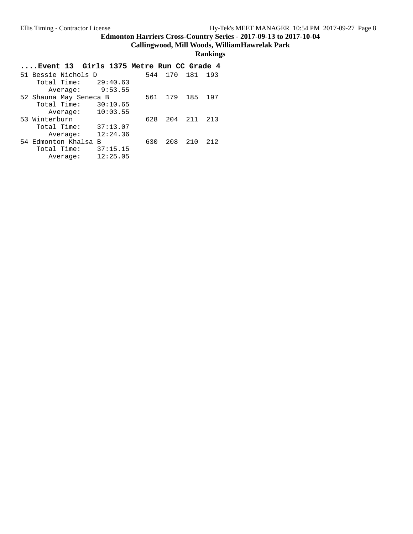**Callingwood, Mill Woods, WilliamHawrelak Park**

#### **Rankings**

#### **....Event 13 Girls 1375 Metre Run CC Grade 4** 51 Bessie Nichols D 544 170 181 193 Total Time: 29:40.63 Average: 9:53.55 52 Shauna May Seneca B 561 179 185 197 Total Time: 30:10.65 Average: 10:03.55 53 Winterburn 628 204 211 213 Total Time: 37:13.07 Average: 12:24.36 54 Edmonton Khalsa B 630 208 210 212 Total Time: 37:15.15 Average: 12:25.05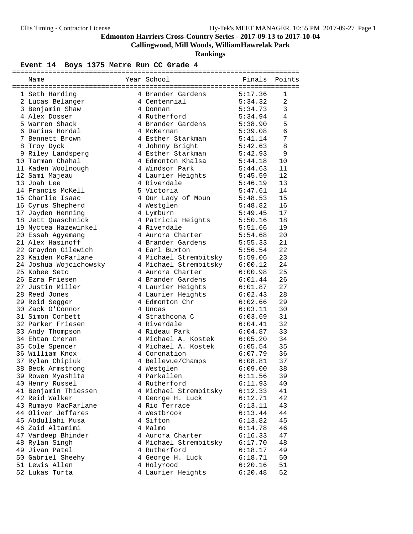**Callingwood, Mill Woods, WilliamHawrelak Park**

**Rankings**

#### Event 14 Boys 1375 Metre Run CC Grade 4

| Name                                               | Year School <a>&gt; School <a> Finals Points</a></a>                                    |                        |                |
|----------------------------------------------------|-----------------------------------------------------------------------------------------|------------------------|----------------|
|                                                    |                                                                                         |                        |                |
| 1 Seth Harding                                     | 4 Brander Gardens 5:17.36                                                               |                        | $\mathbf{1}$   |
| 2 Lucas Belanger                                   | 4 Centennial 5:34.32                                                                    |                        | 2              |
| 3 Benjamin Shaw                                    | 4 Donnan                                                                                | 5:34.73                | $\mathbf{3}$   |
| 4 Alex Dosser                                      | 4 Rutherford                                                                            |                        | $\overline{4}$ |
| 5 Warren Shack                                     | 4 Brander Gardens                                                                       | 5:34.94<br>5:38.90     | 5              |
| 6 Darius Hordal                                    | 4 McKernan                                                                              | 5:39.08                | 6              |
| 7 Bennett Brown                                    | 4 Esther Starkman 5:41.14                                                               |                        | 7              |
| 8 Troy Dyck                                        | 4 Johnny Bright                                                                         | 5:42.63                | 8              |
| 9 Riley Landsperg                                  | 4 Esther Starkman 5:42.93                                                               |                        | 9              |
| 10 Tarman Chahal                                   | 4 Edmonton Khalsa                                                                       | 5:44.18                | 10             |
| 10 Iarmann<br>11 Kaden Woolnough<br>10 Ocmi Maieau | 4 Windsor Park                                                                          | 5:44.63                | 11             |
|                                                    | 4 Laurier Heights<br>4 Riverdale<br>5:46.19                                             |                        | 12             |
| 13 Joah Lee                                        |                                                                                         |                        | 13             |
| 14 Francis McKell                                  | 5 Victoria                                                                              | 5:47.61                | 14             |
| 15 Charlie Isaac                                   | 4 Our Lady of Moun 5:48.53                                                              |                        | 15             |
| 16 Cyrus Shepherd                                  | 4 Westglen                                                                              |                        | 16             |
| 17 Jayden Henning                                  | 4 Lymburn                                                                               | 5:48.82<br>5:49.45     | 17             |
|                                                    | 4 Patricia Heights 5:50.16                                                              |                        | 18             |
| 18 Jett Quaschnick                                 | 4 Riverdale                                                                             | 5:51.66                |                |
| 19 Nyctea Hazewinkel                               |                                                                                         |                        | 19             |
| 20 Essah Agyemang                                  | 4 Aurora Charter 5:54.68                                                                |                        | 20             |
| 21 Alex Hasinoff                                   | 4 Brander Gardens                                                                       | 5:55.33                | 21             |
| 22 Graydon Gilewich                                | 4 Earl Buxton 5:56.54<br>4 Michael Strembitsky 5:59.06<br>4 Michael Strembitsky 6:00.12 |                        | 22             |
| 23 Kaiden McFarlane                                |                                                                                         |                        | 23             |
| 24 Joshua Wojcichowsky<br>25 Kobee Sete            |                                                                                         |                        | 24             |
| 25 Kobee Seto                                      | 4 Aurora Charter 6:00.98                                                                |                        | 25             |
| 26 Ezra Friesen                                    | 4 Brander Gardens 6:01.44                                                               |                        | 26             |
| 27 Justin Miller                                   | 4 Laurier Heights 6:01.87                                                               |                        | 27             |
| 28 Reed Jones                                      | 4 Laurier Heights<br>4 Edmonton Chr<br>4 T                                              | 6:02.43                | 28             |
| 29 Reid Segger                                     |                                                                                         | 6:02.66                | 29             |
| 30 Zack O'Connor                                   | 4 Uncas                                                                                 | 6:03.11                | 30             |
| 31 Simon Corbett                                   | 4 Strathcona C 6:03.69                                                                  |                        | 31             |
| 32 Parker Friesen                                  | 4 Riverdale                                                                             | 6:04.41                | 32             |
| 33 Andy Thompson                                   | 4 Rideau Park                                                                           | 6:04.87                | 33             |
| 34 Ehtan Creran                                    |                                                                                         | 6:05.20                | 34             |
| 35 Cole Spencer                                    | 4 Michael A. Kostek<br>4 Michael A. Kostek<br>4 Coronation                              | $6:05.54$<br>$6:07.79$ | 35             |
| 36 William Knox                                    | 4 Coronation                                                                            |                        | 36             |
| 37 Rylan Chipiuk                                   | 4 Bellevue/Champs 6:08.81                                                               |                        | 37             |
| 38 Beck Armstrong                                  | 4 Westglen                                                                              | 6:09.00                | 38             |
| 39 Rowen Myashita                                  | 4 Parkallen                                                                             | 6:11.56                | 39             |
| 40 Henry Russel                                    | 4 Rutherford                                                                            | 6:11.93                | 40             |
| 41 Benjamin Thiessen                               | 4 Michael Strembitsky                                                                   | 6:12.33                | 41             |
| 42 Reid Walker                                     | 4 George H. Luck                                                                        | 6:12.71                | 42             |
| 43 Rumayo MacFarlane                               | 4 Rio Terrace                                                                           | 6:13.11                | 43             |
| 44 Oliver Jeffares                                 | 4 Westbrook                                                                             | 6:13.44                | 44             |
| 45 Abdullahi Musa                                  | 4 Sifton                                                                                | 6:13.82                | 45             |
| 46 Zaid Altamimi                                   | 4 Malmo                                                                                 | 6:14.78                | 46             |
| 47 Vardeep Bhinder                                 | 4 Aurora Charter                                                                        | 6:16.33                | 47             |
| 48 Rylan Singh                                     | 4 Michael Strembitsky                                                                   | 6:17.70                | 48             |
| 49 Jivan Patel                                     | 4 Rutherford                                                                            | 6:18.17                | 49             |
|                                                    | 4 George H. Luck                                                                        |                        |                |
| 50 Gabriel Sheehy                                  |                                                                                         | 6:18.71                | 50             |
| 51 Lewis Allen                                     | 4 Holyrood                                                                              | 6:20.16                | 51             |
| 52 Lukas Turta                                     | 4 Laurier Heights                                                                       | 6:20.48                | 52             |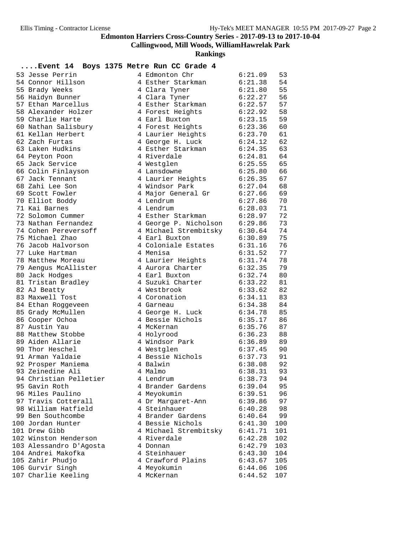**Callingwood, Mill Woods, WilliamHawrelak Park**

| Event 14 Boys 1375 Metre Run CC Grade 4     |                                        |                    |          |
|---------------------------------------------|----------------------------------------|--------------------|----------|
| 53 Jesse Perrin                             | 4 Edmonton Chr                         | 6:21.09            | 53       |
| 54 Connor Hillson                           | 4 Esther Starkman                      | 6:21.38            | 54       |
| 55 Brady Weeks                              | 4 Clara Tyner                          | 6:21.80            | 55       |
| 56 Haidyn Bunner                            | 4 Clara Tyner                          | 6:22.27            | 56       |
| 57 Ethan Marcellus                          | 4 Esther Starkman                      | 6:22.57            | 57       |
| 58 Alexander Holzer                         | 4 Forest Heights                       | 6:22.92            | 58       |
| 59 Charlie Harte                            | 4 Earl Buxton                          | 6:23.15            | 59       |
| 60 Nathan Salisbury                         | 4 Forest Heights                       | 6:23.36            | 60       |
| 61 Kellan Herbert                           | 4 Laurier Heights                      | 6:23.70            | 61       |
| 62 Zach Furtas                              | 4 George H. Luck                       | 6:24.12            | 62       |
| 63 Laken Hudkins                            | 4 Esther Starkman                      | 6:24.35            | 63       |
| 64 Peyton Poon                              | 4 Riverdale                            | 6:24.81            | 64       |
| 65 Jack Service                             | 4 Westglen                             | 6:25.55            | 65       |
| 66 Colin Finlayson                          | 4 Lansdowne                            | 6:25.80            | 66       |
| 67 Jack Tennant                             | 4 Laurier Heights                      | 6:26.35            | 67       |
| 68 Zahi Lee Son                             | 4 Windsor Park                         | 6:27.04            | 68       |
| 69 Scott Fowler                             | 4 Major General Gr                     | 6:27.66            | 69       |
| 70 Elliot Boddy                             | 4 Lendrum                              | 6:27.86            | 70       |
| 71 Kai Barnes                               | 4 Lendrum                              | 6:28.03            | 71       |
| 72 Solomon Cummer                           | 4 Esther Starkman                      | 6:28.97            | 72       |
| 73 Nathan Fernandez<br>74 Cohen Pereversoff | 4 George P. Nicholson                  | 6:29.86            | 73       |
| 75 Michael Zhao                             | 4 Michael Strembitsky<br>4 Earl Buxton | 6:30.64            | 74<br>75 |
| 76 Jacob Halvorson                          | 4 Coloniale Estates                    | 6:30.89            | 76       |
| 77 Luke Hartman                             | 4 Menisa                               | 6:31.16<br>6:31.52 | 77       |
| 78 Matthew Moreau                           | 4 Laurier Heights                      | 6:31.74            | 78       |
| 79 Aengus McAllister                        | 4 Aurora Charter                       | 6:32.35            | 79       |
| 80 Jack Hodges                              | 4 Earl Buxton                          | 6:32.74            | 80       |
| 81 Tristan Bradley                          | 4 Suzuki Charter                       | 6:33.22            | 81       |
| 82 AJ Beatty                                | 4 Westbrook                            | 6:33.62            | 82       |
| 83 Maxwell Tost                             | 4 Coronation                           | 6:34.11            | 83       |
| 84 Ethan Roggeveen                          | 4 Garneau                              | 6:34.38            | 84       |
| 85 Grady McMullen                           | 4 George H. Luck                       | 6:34.78            | 85       |
| 86 Cooper Ochoa                             | 4 Bessie Nichols                       | 6:35.17            | 86       |
| 87 Austin Yau                               | 4 McKernan                             | 6:35.76            | 87       |
| 88 Matthew Stobbe                           | 4 Holyrood                             | 6:36.23            | 88       |
| 89 Aiden Allarie                            | 4 Windsor Park                         | 6:36.89            | 89       |
| 90 Thor Heschel                             | 4 Westglen                             | 6:37.45            | 90       |
| 91 Arman Yaldaie                            | 4 Bessie Nichols                       | 6:37.73            | 91       |
| 92 Prosper Maniema                          | 4 Balwin                               | 6:38.08            | 92       |
| 93 Zeinedine Ali                            | 4 Malmo                                | 6:38.31            | 93       |
| 94 Christian Pelletier                      | 4 Lendrum                              | 6:38.73            | 94       |
| 95 Gavin Roth                               | 4 Brander Gardens                      | 6:39.04            | 95       |
| 96 Miles Paulino                            | 4 Meyokumin                            | 6:39.51            | 96       |
| 97 Travis Cotterall                         | 4 Dr Margaret-Ann                      | 6:39.86            | 97       |
| 98 William Hatfield                         | 4 Steinhauer                           | 6:40.28            | 98       |
| 99 Ben Southcombe                           | 4 Brander Gardens                      | 6:40.64            | 99       |
| 100 Jordan Hunter                           | 4 Bessie Nichols                       | 6:41.30            | 100      |
| 101 Drew Gibb                               | 4 Michael Strembitsky                  | 6:41.71            | 101      |
| 102 Winston Henderson                       | 4 Riverdale                            | 6:42.28            | 102      |
| 103 Alessandro D'Agosta                     | 4 Donnan                               | 6:42.79            | 103      |
| 104 Andrei Makofka                          | 4 Steinhauer                           | 6:43.30            | 104      |
| 105 Zahir Phudjo                            | 4 Crawford Plains                      | 6:43.67            | 105      |
| 106 Gurvir Singh                            | 4 Meyokumin                            | 6:44.06            | 106      |
| 107 Charlie Keeling                         | 4 McKernan                             | 6:44.52            | 107      |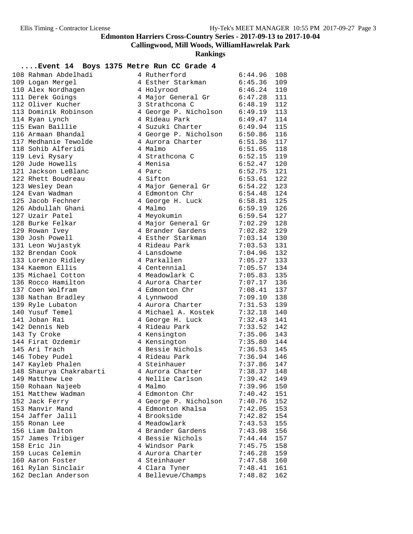**Callingwood, Mill Woods, WilliamHawrelak Park**

**Rankings**

#### **....Event 14 Boys 1375 Metre Run CC Grade 4**

| 108 Rahman Abdelhadi    | 4 Rutherford                                                                 | 6:44.96       | 108 |
|-------------------------|------------------------------------------------------------------------------|---------------|-----|
| 109 Logan Mergel        | 4 Esther Starkman 6:45.36                                                    |               | 109 |
| 110 Alex Nordhagen      | 4 Holyrood                                                                   | $6:46.24$ 110 |     |
| 111 Derek Goings        | 4 Major General Gr 6:47.28 111                                               |               |     |
| 112 Oliver Kucher       | 3 Strathcona C                                                               | $6:48.19$ 112 |     |
| 113 Dominik Robinson    | 4 George P. Nicholson<br>4 George P. Nicholson<br>5:49.19 113<br>5:49.47 114 |               |     |
| 114 Ryan Lynch          |                                                                              |               |     |
| 115 Ewan Baillie        | 4 Suzuki Charter 6:49.94                                                     |               | 115 |
| 116 Armaan Bhandal      | 4 George P. Nicholson 6:50.86                                                |               | 116 |
| 117 Medhanie Tewolde    | 4 Aurora Charter 6:51.36                                                     |               | 117 |
| 118 Sohib Alferidi      | 4 Malmo                                                                      | 6:51.65       | 118 |
| 119 Levi Rysary         | 4 Strathcona C                                                               | $6:52.15$ 119 |     |
| 120 Jude Howells        | 4 Menisa                                                                     | $6:52.47$ 120 |     |
| 121 Jackson LeBlanc     | 4 Parc                                                                       | 6:52.75       | 121 |
| 122 Rhett Boudreau      | 4 Sifton                                                                     | 6:53.61       | 122 |
| 123 Wesley Dean         | 4 Major General Gr 6:54.22                                                   |               | 123 |
| 124 Evan Wadman         | 4 Edmonton Chr                                                               | 6:54.48       | 124 |
| 125 Jacob Fechner       | 4 Banners<br>4 George H. Luck                                                | $6:58.81$ 125 |     |
| 126 Abdullah Ghani      | 4 Malmo                                                                      | 6:59.19       | 126 |
| 127 Uzair Patel         | 6:59.54<br>4 Meyokumin                                                       |               | 127 |
| 128 Burke Felkar        | 4 Major General Gr 7:02.29                                                   |               | 128 |
| 129 Rowan Ivey          | 4 Brander Gardens                                                            | 7:02.82       | 129 |
| 130 Josh Powell         | 4 Esther Starkman                                                            | $7:03.14$ 130 |     |
| 131 Leon Wujastyk       | 4 Rideau Park 7:03.53 131<br>4 Lansdowne 7:04.96 132                         | $7:03.53$ 131 |     |
| 132 Brendan Cook        |                                                                              |               |     |
| 133 Lorenzo Ridley      | 4 Parkallen 7:05.27 133                                                      |               |     |
| 134 Kaemon Ellis        | 4 Centennial                                                                 | $7:05.57$ 134 |     |
| 135 Michael Cotton      | 4 Meadowlark C                                                               | $7:05.83$ 135 |     |
| 136 Rocco Hamilton      | 4 Aurora Charter                                                             | 7:07.17 136   |     |
| 137 Coen Wolfram        | 4 Edmonton Chr                                                               | $7:08.41$ 137 |     |
| 138 Nathan Bradley      | 4 Lynnwood                                                                   | 7:09.10       | 138 |
| 139 Ryle Lubaton        | 4 Aurora Charter 7:31.53                                                     |               | 139 |
| 140 Yusuf Temel         | 4 Michael A. Kostek 7:32.18                                                  |               | 140 |
| 141 Joban Rai           | 4 George H. Luck 7:32.43                                                     |               | 141 |
| 142 Dennis Neb          | 4 Rideau Park                                                                | $7:33.52$ 142 |     |
| 143 Ty Croke            |                                                                              |               |     |
| 144 Firat Ozdemir       |                                                                              |               |     |
| 145 Ari Trach           | 4 Bessie Nichols 7:36.53 145                                                 |               |     |
| 146 Tobey Pudel         | 4 Rideau Park 7:36.94 146                                                    |               |     |
| 147 Kayleb Phalen       | 4 Steinhauer                                                                 | 7:37.86       | 147 |
| 148 Shaurya Chakrabarti | 4 Aurora Charter 7:38.37 148                                                 |               |     |
| 149 Matthew Lee         | 4 Nellie Carlson                                                             | 7:39.42       | 149 |
| 150 Rohaan Najeeb       | 4 Malmo                                                                      | 7:39.96       | 150 |
| 151 Matthew Wadman      | 4 Edmonton Chr                                                               | 7:40.42       | 151 |
| 152 Jack Ferry          | 4 George P. Nicholson                                                        | 7:40.76       | 152 |
| 153 Manvir Mand         | 4 Edmonton Khalsa                                                            | 7:42.05       | 153 |
| 154 Jaffer Jalil        | 4 Brookside                                                                  | 7:42.82       | 154 |
| 155 Ronan Lee           | 4 Meadowlark                                                                 | 7:43.53       | 155 |
| 156 Liam Dalton         | 4 Brander Gardens                                                            | 7:43.98       | 156 |
| 157 James Tribiger      | 4 Bessie Nichols                                                             | 7:44.44       | 157 |
| 158 Eric Jin            | 4 Windsor Park                                                               | 7:45.75       | 158 |
| 159 Lucas Celemin       | 4 Aurora Charter                                                             | 7:46.28       | 159 |
| 160 Aaron Foster        | 4 Steinhauer                                                                 | 7:47.58       | 160 |
| 161 Rylan Sinclair      | 4 Clara Tyner                                                                | 7:48.41       | 161 |
| 162 Declan Anderson     | 4 Bellevue/Champs                                                            | 7:48.82       | 162 |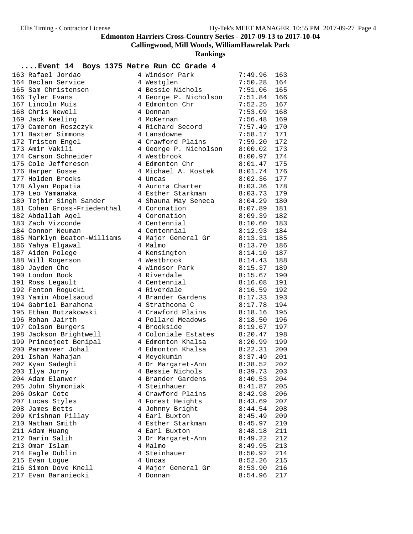**Callingwood, Mill Woods, WilliamHawrelak Park**

**Rankings**

### **....Event 14 Boys 1375 Metre Run CC Grade 4**

| Event it boys 1373 metre kun CC Grade t |                               |                    |     |
|-----------------------------------------|-------------------------------|--------------------|-----|
| 163 Rafael Jordao                       | 4 Windsor Park                | 7:49.96            | 163 |
| 164 Declan Service                      | 4 Westglen                    | 7:50.28            | 164 |
| 165 Sam Christensen                     | 4 Bessie Nichols              | 7:51.06            | 165 |
| 166 Tyler Evans                         | 4 George P. Nicholson         | 7:51.84 166        |     |
| 167 Lincoln Muis                        | 4 Edmonton Chr                | 7:52.25            | 167 |
| 168 Chris Newell                        | 4 Donnan                      | 7:53.09            | 168 |
| 169 Jack Keeling                        | 4 McKernan                    | 7:56.48            | 169 |
| 170 Cameron Roszczyk                    | 4 Richard Secord              | 7:57.49            | 170 |
| 171 Baxter Simmons                      | 4 Lansdowne                   | 7:58.17            | 171 |
| 172 Tristen Engel                       | 4 Crawford Plains 7:59.20     |                    | 172 |
| 173 Amir Vakili                         | 4 George P. Nicholson 8:00.02 |                    | 173 |
| 174 Carson Schneider                    | 4 Westbrook                   | 8:00.97            | 174 |
| 175 Cole Jeffereson                     | 4 Edmonton Chr                | 8:01.47            | 175 |
| 176 Harper Gosse                        | 4 Michael A. Kostek           | 8:01.74            | 176 |
| 177 Holden Brooks                       | 4 Uncas                       | 8:02.36            | 177 |
| 178 Alyan Popatia                       | 4 Aurora Charter              | $8:03.36$ 178      |     |
| 179 Leo Yamanaka                        | 4 Esther Starkman             | 8:03.73            | 179 |
| 180 Tejbir Singh Sander                 | 4 Shauna May Seneca 8:04.29   |                    | 180 |
| 181 Cohen Gross-Friedenthal             | 4 Coronation                  | 8:07.89            | 181 |
| 182 Abdallah Aqel                       | 4 Coronation                  | 8:09.39            | 182 |
| 183 Zach Vizconde                       | 4 Centennial                  | 8:10.60            | 183 |
| 184 Connor Neuman                       | 4 Centennial                  | 8:12.93            | 184 |
| 185 Marklyn Beaton-Williams             | 4 Major General Gr 8:13.31    |                    | 185 |
| 186 Yahya Elgawal                       | 4 Malmo                       | 8:13.70            | 186 |
| 187 Aiden Polege                        | 4 Kensington                  | 8:14.10            | 187 |
| 188 Will Rogerson                       | 4 Westbrook                   | 8:14.43            | 188 |
| 189 Jayden Cho                          | 4 Windsor Park                | 8:15.37            | 189 |
| 190 London Book                         | 4 Riverdale                   | $8:15.67$ 190      |     |
| 191 Ross Legault                        | 4 Centennial                  | 8:16.08            | 191 |
| 192 Fenton Rogucki                      | 4 Riverdale                   | 8:16.59            | 192 |
| 193 Yamin Aboelsaoud                    | 4 Brander Gardens             | 8:17.33            | 193 |
| 194 Gabriel Barahona                    | 4 Strathcona C                | 8:17.78            | 194 |
| 195 Ethan Butzakowski                   | 4 Crawford Plains             | 8:18.16            | 195 |
| 196 Rohan Jairth                        | 4 Pollard Meadows             | 8:18.50            | 196 |
| 197 Colson Burgers                      | 4 Brookside                   | 8:19.67            | 197 |
| 198 Jackson Brightwell                  | 4 Coloniale Estates 8:20.47   |                    | 198 |
| 199 Princejeet Benipal                  | 4 Edmonton Khalsa             | 8:20.99            | 199 |
| 200 Paramveer Johal                     | 4 Edmonton Khalsa             |                    | 200 |
| 201 Ishan Mahajan                       | 4 Meyokumin                   | 8:22.31<br>8:37.49 | 201 |
| 202 Kyan Sadeghi                        | 4 Dr Margaret-Ann             | 8:38.52            | 202 |
| 203 Ilya Jurny                          | 4 Bessie Nichols              | 8:39.73            | 203 |
| 204 Adam Elanwer                        | 4 Brander Gardens             | 8:40.53            | 204 |
| 205 John Shymoniak                      | 4 Steinhauer                  | 8:41.87            | 205 |
| 206 Oskar Cote                          | 4 Crawford Plains             | 8:42.98            | 206 |
| 207 Lucas Styles                        | 4 Forest Heights              | 8:43.69            | 207 |
| 208 James Betts                         | 4 Johnny Bright               | 8:44.54            | 208 |
| 209 Krishnan Pillay                     | 4 Earl Buxton                 | 8:45.49            | 209 |
| 210 Nathan Smith                        | 4 Esther Starkman             | 8:45.97            | 210 |
| 211 Adam Huang                          | 4 Earl Buxton                 | 8:48.18            | 211 |
| 212 Darin Salih                         | 3 Dr Margaret-Ann             | 8:49.22            | 212 |
| 213 Omar Islam                          | 4 Malmo                       | 8:49.95            | 213 |
| 214 Eagle Dublin                        | 4 Steinhauer                  | 8:50.92            | 214 |
| 215 Evan Logue                          | 4 Uncas                       | 8:52.26            | 215 |
| 216 Simon Dove Knell                    | 4 Major General Gr            | 8:53.90            | 216 |
| 217 Evan Baraniecki                     | 4 Donnan                      | 8:54.96            | 217 |
|                                         |                               |                    |     |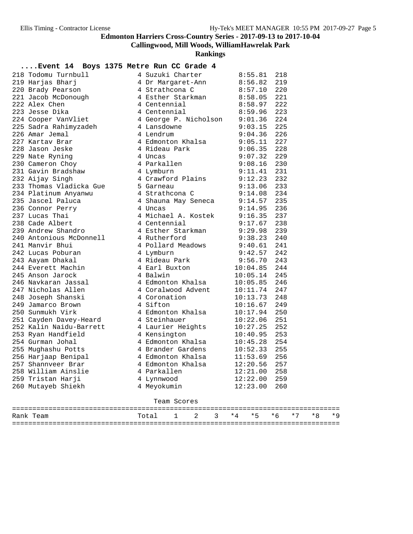**Callingwood, Mill Woods, WilliamHawrelak Park**

**Rankings**

### **....Event 14 Boys 1375 Metre Run CC Grade 4**

| 218 Todomu Turnbull     | 4 Suzuki Charter      | 8:55.81  | 218 |
|-------------------------|-----------------------|----------|-----|
| 219 Harjas Bharj        | 4 Dr Margaret-Ann     | 8:56.82  | 219 |
| 220 Brady Pearson       | 4 Strathcona C        | 8:57.10  | 220 |
| 221 Jacob McDonough     | 4 Esther Starkman     | 8:58.05  | 221 |
| 222 Alex Chen           | 4 Centennial          | 8:58.97  | 222 |
| 223 Jesse Dika          | 4 Centennial          | 8:59.96  | 223 |
| 224 Cooper VanVliet     | 4 George P. Nicholson | 9:01.36  | 224 |
| 225 Sadra Rahimyzadeh   | 4 Lansdowne           | 9:03.15  | 225 |
| 226 Amar Jemal          | 4 Lendrum             | 9:04.36  | 226 |
| 227 Kartav Brar         | 4 Edmonton Khalsa     | 9:05.11  | 227 |
| 228 Jason Jeske         | 4 Rideau Park         | 9:06.35  | 228 |
| 229 Nate Ryning         | 4 Uncas               | 9:07.32  | 229 |
| 230 Cameron Choy        | 4 Parkallen           | 9:08.16  | 230 |
| 231 Gavin Bradshaw      | 4 Lymburn             | 9:11.41  | 231 |
| 232 Aijay Singh         | 4 Crawford Plains     | 9:12.23  | 232 |
| 233 Thomas Vladicka Gue | 5 Garneau             | 9:13.06  | 233 |
| 234 Platinum Anyanwu    | 4 Strathcona C        | 9:14.08  | 234 |
| 235 Jascel Paluca       | 4 Shauna May Seneca   | 9:14.57  | 235 |
| 236 Connor Perry        | 4 Uncas               | 9:14.95  | 236 |
| 237 Lucas Thai          | 4 Michael A. Kostek   | 9:16.35  | 237 |
| 238 Cade Albert         | 4 Centennial          | 9:17.67  | 238 |
| 239 Andrew Shandro      | 4 Esther Starkman     | 9:29.98  | 239 |
| 240 Antonious McDonnell | 4 Rutherford          | 9:38.23  | 240 |
| 241 Manvir Bhui         | 4 Pollard Meadows     | 9:40.61  | 241 |
| 242 Lucas Poburan       | 4 Lymburn             | 9:42.57  | 242 |
| 243 Aayam Dhakal        | 4 Rideau Park         | 9:56.70  | 243 |
| 244 Everett Machin      | 4 Earl Buxton         | 10:04.85 | 244 |
| 245 Anson Jarock        | 4 Balwin              | 10:05.14 | 245 |
| 246 Navkaran Jassal     | 4 Edmonton Khalsa     | 10:05.85 | 246 |
| 247 Nicholas Allen      | 4 Coralwood Advent    | 10:11.74 | 247 |
| 248 Joseph Shanski      | 4 Coronation          | 10:13.73 | 248 |
| 249 Jamarco Brown       | 4 Sifton              | 10:16.67 | 249 |
| 250 Sunmukh Virk        | 4 Edmonton Khalsa     | 10:17.94 | 250 |
| 251 Cayden Davey-Heard  | 4 Steinhauer          | 10:22.06 | 251 |
| 252 Kalin Naidu-Barrett | 4 Laurier Heights     | 10:27.25 | 252 |
| 253 Ryan Handfield      | 4 Kensington          | 10:40.95 | 253 |
| 254 Gurman Johal        | 4 Edmonton Khalsa     | 10:45.28 | 254 |
| 255 Mughashu Potts      | 4 Brander Gardens     | 10:52.33 | 255 |
| 256 Harjaap Benipal     | 4 Edmonton Khalsa     | 11:53.69 | 256 |
| 257 Shannyeer Brar      | 4 Edmonton Khalsa     | 12:20.56 | 257 |
| 258 William Ainslie     | 4 Parkallen           | 12:21.00 | 258 |
| 259 Tristan Harji       | 4 Lynnwood            | 12:22.00 | 259 |
| 260 Mutayeb Shiekh      | 4 Meyokumin           | 12:23.00 | 260 |
|                         | Team Scores           |          |     |

| Rank Team | Total 1 2 3 *4 *5 *6 *7 *8 *9 |  |  |  |  |  |
|-----------|-------------------------------|--|--|--|--|--|
|           |                               |  |  |  |  |  |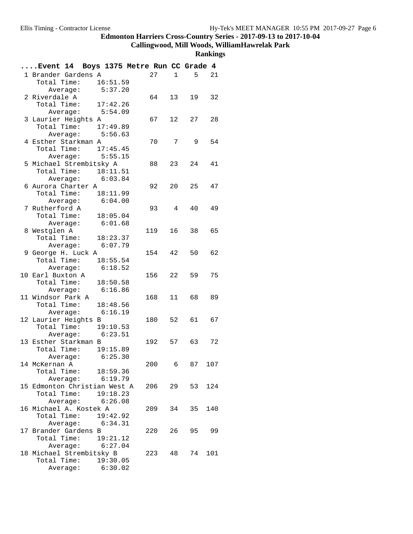**Callingwood, Mill Woods, WilliamHawrelak Park**

|                   | Event 14 Boys 1375 Metre Run CC Grade 4      |          |        |                |                         |     |
|-------------------|----------------------------------------------|----------|--------|----------------|-------------------------|-----|
|                   | 1 Brander Gardens A                          |          | 27     |                | $5 -$<br>$1 \quad \Box$ | 21  |
| Total Time:       |                                              | 16:51.59 |        |                |                         |     |
|                   | Average:                                     | 5:37.20  |        |                |                         |     |
| 2 Riverdale A     |                                              |          | 64     | 13             | 19                      | 32  |
|                   | Total Time: 17:42.26                         |          |        |                |                         |     |
|                   | Average: 5:54.09                             |          |        |                |                         |     |
|                   | 3 Laurier Heights A                          |          | 67     | 12             | 27                      | 28  |
|                   | Total Time: 17:49.89                         |          |        |                |                         |     |
|                   | Average: 5:56.63                             |          |        |                |                         |     |
|                   | 4 Esther Starkman A                          |          | 70     | $7\degree$     | 9                       | 54  |
|                   | Total Time: 17:45.45                         |          |        |                |                         |     |
|                   | Average: 5:55.15                             |          |        |                |                         |     |
|                   | 5 Michael Strembitsky A                      |          | 88 —   | 23             | 24                      | 41  |
|                   | Total Time: 18:11.51                         |          |        |                |                         |     |
|                   | Average: 6:03.84                             |          |        |                |                         |     |
|                   | 6 Aurora Charter A                           |          | 92     | 20             | 25                      | 47  |
|                   | Total Time: 18:11.99                         |          |        |                |                         |     |
| 7 Rutherford A    | Average: 6:04.00                             |          | 93     | $\overline{4}$ | 40                      | 49  |
|                   |                                              |          |        |                |                         |     |
|                   | Total Time: 18:05.04<br>Average: 6:01.68     |          |        |                |                         |     |
| 8 Westglen A      |                                              |          | 119    | 16             | 38                      | 65  |
|                   | Total Time: 18:23.37                         |          |        |                |                         |     |
|                   | Average: 6:07.79                             |          |        |                |                         |     |
|                   | 9 George H. Luck A                           |          | 154    | 42             | 50                      | 62  |
|                   | Total Time: 18:55.54                         |          |        |                |                         |     |
|                   | Average:                                     | 6:18.52  |        |                |                         |     |
| 10 Earl Buxton A  |                                              |          | 156    | 22             | 59                      | 75  |
|                   | Total Time: 18:50.58                         |          |        |                |                         |     |
|                   | Average: 6:16.86                             |          |        |                |                         |     |
| 11 Windsor Park A |                                              |          | 168    | 11             | 68                      | 89  |
|                   | Total Time: 18:48.56                         |          |        |                |                         |     |
|                   | Average: 6:16.19                             |          |        |                |                         |     |
|                   | 12 Laurier Heights B                         |          | 180 52 |                | 61 67                   |     |
|                   | Total Time: 19:10.53                         |          |        |                |                         |     |
|                   | Average: 6:23.51                             |          |        |                |                         |     |
|                   | 13 Esther Starkman B                         |          |        |                | 192 57 63               | 72  |
|                   | Total Time: 19:15.89                         |          |        |                |                         |     |
|                   | Average: 6:25.30                             |          |        |                |                         |     |
| 14 McKernan A     |                                              |          | 200 6  |                | 87                      | 107 |
|                   | Total Time: 18:59.36                         |          |        |                |                         |     |
|                   | Average: 6:19.79                             |          |        |                |                         |     |
|                   | 15 Edmonton Christian West A                 |          |        |                | 206 29 53               | 124 |
|                   | Total Time:                                  | 19:18.23 |        |                |                         |     |
|                   | Average: 6:26.08                             |          |        |                |                         |     |
|                   | 16 Michael A. Kostek A                       |          | 209    | 34             | 35                      | 140 |
|                   | Total Time: 19:42.92                         |          |        |                |                         |     |
|                   | Average: 6:34.31                             |          |        |                |                         |     |
|                   | 17 Brander Gardens B                         |          | 220    | 26             | 95 99                   |     |
|                   | Total Time: 19:21.12                         |          |        |                |                         |     |
|                   | Average: 6:27.04<br>18 Michael Strembitsky B |          |        |                |                         | 101 |
|                   | Total Time: 19:30.05                         |          | 223 48 |                | 74                      |     |
|                   | Average: 6:30.02                             |          |        |                |                         |     |
|                   |                                              |          |        |                |                         |     |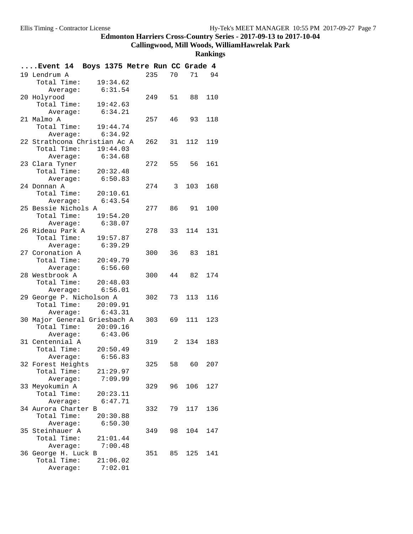**Callingwood, Mill Woods, WilliamHawrelak Park**

| Event 14 Boys 1375 Metre Run CC Grade 4 |                    |          |        |    |            |       |
|-----------------------------------------|--------------------|----------|--------|----|------------|-------|
| 19 Lendrum A                            |                    |          | 235    | 70 |            | 71 94 |
| Total Time:                             |                    | 19:34.62 |        |    |            |       |
|                                         | Average:           | 6:31.54  |        |    |            |       |
| 20 Holyrood                             |                    |          | 249    |    | 51 88      | 110   |
| Total Time:                             |                    | 19:42.63 |        |    |            |       |
|                                         | Average: 6:34.21   |          |        |    |            |       |
| 21 Malmo A                              |                    |          | 257    | 46 | 93         | 118   |
| Total Time: 19:44.74                    |                    |          |        |    |            |       |
|                                         | Average: 6:34.92   |          |        |    |            |       |
| 22 Strathcona Christian Ac A            |                    |          |        |    | 262 31 112 | 119   |
| Total Time:                             |                    | 19:44.03 |        |    |            |       |
|                                         | Average: 6:34.68   |          |        |    |            |       |
| 23 Clara Tyner                          |                    |          |        |    | 272 55 56  | 161   |
| Total Time: 20:32.48                    |                    |          |        |    |            |       |
|                                         | Average:           | 6:50.83  |        |    |            |       |
| 24 Donnan A                             |                    |          | 274 3  |    | 103        | 168   |
| Total Time: 20:10.61                    |                    |          |        |    |            |       |
|                                         | Average: $6:43.54$ |          |        |    |            |       |
| 25 Bessie Nichols A                     |                    |          | 277    | 86 | 91         | 100   |
| Total Time: 19:54.20                    |                    | 6:38.07  |        |    |            |       |
| 26 Rideau Park A                        | Average:           |          | 278    |    | 33 114     | 131   |
| Total Time:                             |                    | 19:57.87 |        |    |            |       |
|                                         | Average:           | 6:39.29  |        |    |            |       |
| 27 Coronation A                         |                    |          | 300    |    | 36 83      | 181   |
| Total Time: 20:49.79                    |                    |          |        |    |            |       |
|                                         | Average:           | 6:56.60  |        |    |            |       |
| 28 Westbrook A                          |                    |          | 300    |    | 44 82      | 174   |
| Total Time: 20:48.03                    |                    |          |        |    |            |       |
|                                         | Average: 6:56.01   |          |        |    |            |       |
| 29 George P. Nicholson A                |                    |          | 302    | 73 | 113        | 116   |
| Total Time: 20:09.91                    |                    |          |        |    |            |       |
|                                         | Average: $6:43.31$ |          |        |    |            |       |
| 30 Major General Griesbach A            |                    |          | 303 69 |    | 111        | 123   |
| Total Time:                             |                    | 20:09.16 |        |    |            |       |
|                                         | Average: 6:43.06   |          |        |    |            |       |
| 31 Centennial A                         |                    |          |        |    | 319 2 134  | 183   |
| Total Time: 20:50.49                    |                    |          |        |    |            |       |
|                                         | Average:           | 6:56.83  |        |    |            |       |
| 32 Forest Heights                       |                    |          | 325    | 58 | 60         | 207   |
| Total Time:                             |                    | 21:29.97 |        |    |            |       |
|                                         | Average:           | 7:09.99  |        |    |            |       |
| 33 Meyokumin A                          |                    |          | 329    |    | 96 106     | 127   |
| Total Time:                             |                    | 20:23.11 |        |    |            |       |
|                                         | Average:           | 6:47.71  |        |    |            |       |
| 34 Aurora Charter B                     |                    |          | 332    | 79 | 117        | 136   |
| Total Time:                             |                    | 20:30.88 |        |    |            |       |
|                                         | Average:           | 6:50.30  |        |    |            |       |
| 35 Steinhauer A                         |                    |          | 349    | 98 | 104        | 147   |
| Total Time:                             |                    | 21:01.44 |        |    |            |       |
|                                         | Average:           | 7:00.48  |        |    |            |       |
| 36 George H. Luck B                     |                    |          |        |    | 351 85 125 | 141   |
| Total Time:                             |                    | 21:06.02 |        |    |            |       |
|                                         | Average:           | 7:02.01  |        |    |            |       |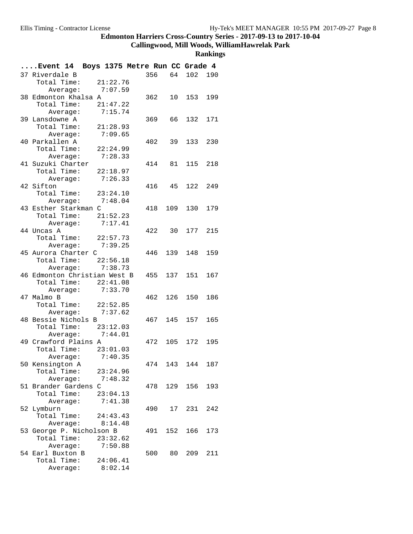# **Callingwood, Mill Woods, WilliamHawrelak Park**

| Event 14 Boys 1375 Metre Run CC Grade 4 |                  |          |          |     |     |                |     |
|-----------------------------------------|------------------|----------|----------|-----|-----|----------------|-----|
| 37 Riverdale B                          |                  |          |          |     |     | 356 64 102 190 |     |
| Total Time: 21:22.76                    |                  |          |          |     |     |                |     |
|                                         | Average: 7:07.59 |          |          |     |     |                |     |
| 38 Edmonton Khalsa A                    |                  |          |          | 362 |     | 10 153         | 199 |
| Total Time: 21:47.22                    |                  |          |          |     |     |                |     |
|                                         | Average: 7:15.74 |          |          |     |     |                |     |
| 39 Lansdowne A                          |                  |          |          | 369 |     | 66 132         | 171 |
| Total Time: 21:28.93                    |                  |          |          |     |     |                |     |
|                                         | Average:         |          | 7:09.65  |     |     |                |     |
| 40 Parkallen A                          |                  |          |          |     |     | 402 39 133     | 230 |
| Total Time:                             |                  | 22:24.99 |          |     |     |                |     |
|                                         | Average:         |          | 7:28.33  |     |     |                |     |
| 41 Suzuki Charter                       |                  |          |          |     |     | 414 81 115 218 |     |
| Total Time: 22:18.97                    |                  |          |          |     |     |                |     |
|                                         | Average:         |          | 7:26.33  |     |     |                |     |
| 42 Sifton                               |                  |          |          |     |     | 416 45 122     | 249 |
| Total Time: 23:24.10                    |                  |          |          |     |     |                |     |
|                                         | Average: 7:48.04 |          |          |     |     |                |     |
| 43 Esther Starkman C                    |                  |          |          | 418 |     | 109 130        | 179 |
| Total Time: 21:52.23                    |                  |          |          |     |     |                |     |
|                                         | Average: 7:17.41 |          |          |     |     |                |     |
| 44 Uncas A                              |                  |          |          |     |     | 422 30 177 215 |     |
| Total Time: 22:57.73                    |                  |          |          |     |     |                |     |
|                                         | Average: 7:39.25 |          |          |     |     |                |     |
| 45 Aurora Charter C                     |                  |          |          |     |     | 446 139 148    | 159 |
| Total Time: 22:56.18                    | Average: 7:38.73 |          |          |     |     |                |     |
| 46 Edmonton Christian West B            |                  |          |          |     |     | 455 137 151    | 167 |
| Total Time: 22:41.08                    |                  |          |          |     |     |                |     |
|                                         | Average: 7:33.70 |          |          |     |     |                |     |
| 47 Malmo B                              |                  |          |          | 462 |     | 126 150        | 186 |
| Total Time: 22:52.85                    |                  |          |          |     |     |                |     |
|                                         | Average: 7:37.62 |          |          |     |     |                |     |
| 48 Bessie Nichols B                     |                  |          |          | 467 |     | 145 157        | 165 |
| Total Time: 23:12.03                    |                  |          |          |     |     |                |     |
|                                         | Average:         |          | 7:44.01  |     |     |                |     |
| 49 Crawford Plains A                    |                  |          |          | 472 |     | 105 172        | 195 |
| Total Time: 23:01.03                    |                  |          |          |     |     |                |     |
|                                         | Average: 7:40.35 |          |          |     |     |                |     |
| 50 Kensington A                         |                  |          |          | 474 | 143 | 144            | 187 |
| Total Time:                             |                  |          | 23:24.96 |     |     |                |     |
|                                         | Average:         |          | 7:48.32  |     |     |                |     |
| 51 Brander Gardens C                    |                  |          |          | 478 |     | 129 156        | 193 |
| Total Time: 23:04.13                    |                  |          |          |     |     |                |     |
|                                         | Average:         |          | 7:41.38  |     |     |                |     |
| 52 Lymburn                              |                  |          |          | 490 |     | 17 231         | 242 |
| Total Time:                             |                  |          | 24:43.43 |     |     |                |     |
|                                         | Average: 8:14.48 |          |          |     |     |                |     |
| 53 George P. Nicholson B                |                  |          |          | 491 |     | 152 166        | 173 |
| Total Time:                             |                  |          | 23:32.62 |     |     |                |     |
|                                         | Average:         |          | 7:50.88  |     |     |                |     |
| 54 Earl Buxton B                        |                  |          |          |     |     | 500 80 209     | 211 |
| Total Time:                             |                  |          | 24:06.41 |     |     |                |     |
|                                         | Average:         |          | 8:02.14  |     |     |                |     |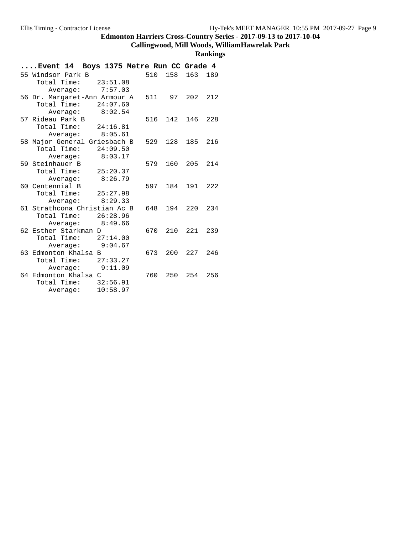#### **Callingwood, Mill Woods, WilliamHawrelak Park**

| Boys 1375 Metre Run CC Grade 4<br>Event 14  |     |            |         |     |
|---------------------------------------------|-----|------------|---------|-----|
| 55 Windsor Park B                           | 510 | 158        | 163     | 189 |
| Total Time: 23:51.08                        |     |            |         |     |
| Average: 7:57.03                            |     |            |         |     |
| 56 Dr. Margaret-Ann Armour A                |     | 511 97 202 |         | 212 |
| Total Time:<br>24:07.60                     |     |            |         |     |
| 8:02.54<br>Average:                         |     |            |         |     |
| 57 Rideau Park B                            | 516 | 142        | 146     | 228 |
| Total Time:<br>24:16.81                     |     |            |         |     |
| Average: 8:05.61                            |     |            |         |     |
| 58 Major General Griesbach B                | 529 | 128        | 185     | 216 |
| Total Time:<br>24:09.50                     |     |            |         |     |
| 8:03.17<br>Average:                         |     |            |         |     |
| 59 Steinhauer B                             | 579 | 160        | 205 214 |     |
| Total Time:<br>25:20.37                     |     |            |         |     |
| 8:26.79<br>Average:                         |     |            |         |     |
| 60 Centennial B                             | 597 | 184        | 191     | 222 |
| Total Time: 25:27.98                        |     |            |         |     |
| 8:29.33<br>Average:                         |     |            |         |     |
| 61 Strathcona Christian Ac B                | 648 |            | 194 220 | 234 |
| Total Time: 26:28.96                        |     |            |         |     |
| 8:49.66<br>Average:<br>62 Esther Starkman D | 670 | 210        | 221     | 239 |
| Total Time: $27:14.00$                      |     |            |         |     |
| Average: 9:04.67                            |     |            |         |     |
| 63 Edmonton Khalsa B                        | 673 | 200        | 227     | 246 |
| Total Time: 27:33.27                        |     |            |         |     |
| 9:11.09<br>Average:                         |     |            |         |     |
| 64 Edmonton Khalsa C                        | 760 | 250        | 254     | 256 |
| Total Time:<br>32:56.91                     |     |            |         |     |
| 10:58.97                                    |     |            |         |     |
| Average:                                    |     |            |         |     |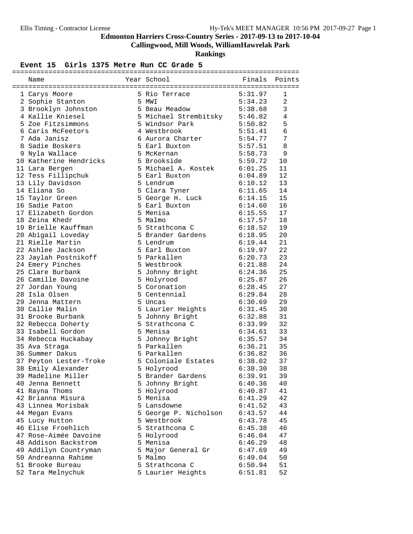**Callingwood, Mill Woods, WilliamHawrelak Park**

**Rankings**

| Name                                    | Year School exponent          | Finals Points      |         |
|-----------------------------------------|-------------------------------|--------------------|---------|
|                                         |                               |                    |         |
| 1 Carys Moore                           | 5 Rio Terrace 5:31.97         |                    | 1       |
| 2 Sophie Stanton                        | 5 MWI                         | 5:34.23            | 2       |
| 3 Brooklyn Johnston<br>A Follie Kniesel | 5 Beau Meadow                 | 5:38.68            | 3       |
| 4 Kallie Kniesel                        | 5 Michael Strembitsky 5:46.82 |                    | 4       |
| 5 Zoe Fitzsimmons                       | 5 Windsor Park                | 5:50.82            | 5       |
| 6 Caris McFeetors                       | 4 Westbrook                   | 5:51.41            | 6       |
| 7 Ada Janisz                            | 6 Aurora Charter              | 5:54.77            | 7       |
| 8 Sadie Boskers                         | 5 Earl Buxton                 | 5:57.51            | $\,8\,$ |
| 9 Nyla Wallace                          | 5 McKernan                    | 5:58.73            | 9       |
| 10 Katherine Hendricks                  | 5 Brookside                   | 5:59.72            | 10      |
| 11 Lara Bergen                          | 5 Michael A. Kostek           | 6:01.25            | 11      |
| 12 Tess Fillipchuk                      | 5 Earl Buxton                 | 6:04.89            | 12      |
| 13 Lily Davidson                        | 5 Lendrum                     | 6:10.12            | 13      |
| 14 Eliana So                            | 5 Clara Tyner                 |                    | 14      |
| 15 Taylor Green                         | 5 George H. Luck              | 6:11.65<br>6:14.15 | 15      |
| 16 Sadie Paton                          | 5 Earl Buxton                 | 6:14.60            | 16      |
| 17 Elizabeth Gordon                     | 5 Menisa                      | 6:15.55            | 17      |
| 18 Zeina Khedr                          | 5 Malmo                       | 6:17.57            | 18      |
| 19 Brielle Kauffman                     | 5 Strathcona C                | 6:18.52            | 19      |
| 20 Abigail Loveday                      | 5 Brander Gardens             |                    | 20      |
| 21 Rielle Martin                        | 5 Lendrum                     | 6:18.95<br>6:19.44 | 21      |
| 22 Ashlee Jackson                       | 5 Earl Buxton                 | 6:19.97            | 22      |
| 23 Jaylah Postnikoff                    | 5 Parkallen                   | 6:20.73            | 23      |
| 24 Emery Pinches                        | 5 Westbrook                   | 6:21.88            | 24      |
| 25 Clare Burbank                        | 5 Johnny Bright               | 6:24.36            | 25      |
|                                         |                               |                    | 26      |
| 26 Camille Davoine                      | 5 Holyrood<br>5 Coronation    | 6:25.87<br>6:28.45 | 27      |
| 27 Jordan Young                         |                               | 6:29.84            |         |
| 28 Isla Olsen                           | 5 Centennial                  |                    | 28      |
| 29 Jenna Mattern                        | 5 Uncas                       | 6:30.69            | 29      |
| 30 Callie Malin                         | 5 Laurier Heights             | 6:31.45            | 30      |
| 31 Brooke Burbank                       | 5 Johnny Bright               | 6:32.88            | 31      |
| 32 Rebecca Doherty                      | 5 Strathcona C                | 6:33.99            | 32      |
| 33 Isabell Gordon                       | 5 Menisa                      | 6:34.61            | 33      |
| 34 Rebecca Huckabay                     | 5 Johnny Bright               | 6:35.57            | 34      |
| 35 Ava Straga                           | 5 Parkallen                   | 6:36.21            | 35      |
| 36 Summer Dakus                         | 5 Parkallen                   | 6:36.82            | 36      |
| 37 Peyton Lester-Troke                  | 5 Coloniale Estates           | 6:38.02            | 37      |
| 38 Emily Alexander                      | 5 Holyrood                    | 6:38.30            | 38      |
| 39 Madeline Miller                      | 5 Brander Gardens             | 6:39.91            | 39      |
| 40 Jenna Bennett                        | 5 Johnny Bright               | 6:40.36            | 40      |
| 41 Rayna Thoms                          | 5 Holyrood                    | 6:40.87            | 41      |
| 42 Brianna Misura                       | 5 Menisa                      | 6:41.29            | 42      |
| 43 Linnea Morisbak                      | 5 Lansdowne                   | 6:41.52            | 43      |
| 44 Megan Evans                          | 5 George P. Nicholson         | 6:43.57            | 44      |
| 45 Lucy Hutton                          | 5 Westbrook                   | 6:43.78            | 45      |
| 46 Elise Froehlich                      | 5 Strathcona C                | 6:45.38            | 46      |
| 47 Rose-Aimée Davoine                   | 5 Holyrood                    | 6:46.04            | 47      |
| 48 Addison Backstrom                    | 5 Menisa                      | 6:46.29            | 48      |
| 49 Addilyn Countryman                   | 5 Major General Gr            | 6:47.69            | 49      |
| 50 Andreanna Rahime                     | 5 Malmo                       | 6:49.04            | 50      |
| 51 Brooke Bureau                        | 5 Strathcona C                | 6:50.94            | 51      |
| 52 Tara Melnychuk                       | 5 Laurier Heights             | 6:51.81            | 52      |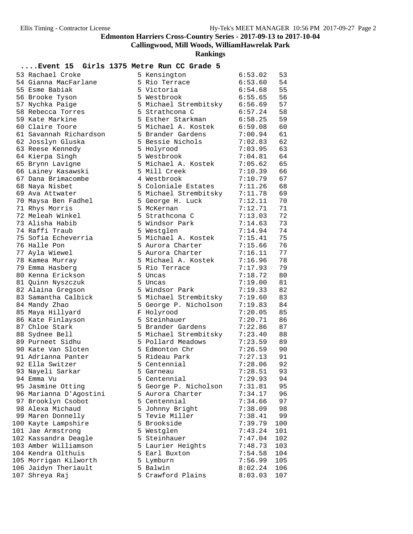**Callingwood, Mill Woods, WilliamHawrelak Park**

**Rankings**

| 53 Rachael Croke                   | 5 Kensington          | 6:53.02 | 53  |
|------------------------------------|-----------------------|---------|-----|
| 54 Gianna MacFarlane               | 5 Rio Terrace         | 6:53.60 | 54  |
| 55 Esme Babiak                     | 5 Victoria            | 6:54.68 | 55  |
| 56 Brooke Tyson                    | 5 Westbrook           | 6:55.65 | 56  |
| 57 Nychka Paige                    | 5 Michael Strembitsky | 6:56.69 | 57  |
| 58 Rebecca Torres                  | 5 Strathcona C        | 6:57.24 | 58  |
| 59 Kate Markine                    | 5 Esther Starkman     | 6:58.25 | 59  |
| 60 Claire Toore                    | 5 Michael A. Kostek   | 6:59.08 | 60  |
| 61 Savannah Richardson             | 5 Brander Gardens     | 7:00.94 | 61  |
| 62 Josslyn Gluska                  | 5 Bessie Nichols      | 7:02.83 | 62  |
| 63 Reese Kennedy                   | 5 Holyrood            | 7:03.95 | 63  |
| 64 Kierpa Singh                    | 5 Westbrook           | 7:04.81 | 64  |
| 65 Brynn Lavigne                   | 5 Michael A. Kostek   | 7:05.62 | 65  |
| 66 Lainey Kasawski                 | 5 Mill Creek          | 7:10.39 | 66  |
| 67 Dana Brimacombe                 | 4 Westbrook           | 7:10.79 | 67  |
| 68 Naya Nisbet                     | 5 Coloniale Estates   | 7:11.26 | 68  |
| 69 Ava Attwater                    | 5 Michael Strembitsky | 7:11.78 | 69  |
| 70 Maysa Ben Fadhel                | 5 George H. Luck      | 7:12.11 | 70  |
| 71 Rhys Morris                     | 5 McKernan            | 7:12.71 | 71  |
| 72 Meleah Winkel                   | 5 Strathcona C        | 7:13.03 | 72  |
| 73 Alisha Habib                    | 5 Windsor Park        | 7:14.63 | 73  |
| 74 Raffi Traub                     | 5 Westglen            | 7:14.94 | 74  |
| 75 Sofia Echeverria                | 5 Michael A. Kostek   | 7:15.41 | 75  |
| 76 Halle Pon                       | 5 Aurora Charter      | 7:15.66 | 76  |
| 77 Ayla Wiewel                     | 5 Aurora Charter      | 7:16.11 | 77  |
|                                    | 5 Michael A. Kostek   | 7:16.96 | 78  |
| 78 Kamea Murray<br>79 Emma Hasberg | 5 Rio Terrace         | 7:17.93 | 79  |
|                                    |                       |         |     |
| 80 Kenna Erickson                  | 5 Uncas               | 7:18.72 | 80  |
| 81 Quinn Nyszczuk                  | 5 Uncas               | 7:19.00 | 81  |
| 82 Alaina Gregson                  | 5 Windsor Park        | 7:19.33 | 82  |
| 83 Samantha Calbick                | 5 Michael Strembitsky | 7:19.60 | 83  |
| 84 Mandy Zhao                      | 5 George P. Nicholson | 7:19.83 | 84  |
| 85 Maya Hillyard                   | F Holyrood            | 7:20.05 | 85  |
| 86 Kate Finlayson                  | 5 Steinhauer          | 7:20.71 | 86  |
| 87 Chloe Stark                     | 5 Brander Gardens     | 7:22.86 | 87  |
| 88 Sydnee Bell                     | 5 Michael Strembitsky | 7:23.40 | 88  |
| 89 Purneet Sidhu                   | 5 Pollard Meadows     | 7:23.59 | 89  |
| 90 Kate Van Sloten                 | 5 Edmonton Chr        | 7:26.59 | 90  |
| 91 Adrianna Panter                 | 5 Rideau Park         | 7:27.13 | 91  |
| 92 Ella Switzer                    | 5 Centennial          | 7:28.06 | 92  |
| 93 Nayeli Sarkar                   | 5 Garneau             | 7:28.51 | 93  |
| 94 Emma Vu                         | 5 Centennial          | 7:29.93 | 94  |
| 95 Jasmine Otting                  | 5 George P. Nicholson | 7:31.81 | 95  |
| 96 Marianna D'Agostini             | 5 Aurora Charter      | 7:34.17 | 96  |
| 97 Brooklyn Csobot                 | 5 Centennial          | 7:34.66 | 97  |
| 98 Alexa Michaud                   | 5 Johnny Bright       | 7:38.09 | 98  |
| 99 Maren Donnelly                  | 5 Tevie Miller        | 7:38.41 | 99  |
| 100 Kayte Lampshire                | 5 Brookside           | 7:39.79 | 100 |
| 101 Jae Armstrong                  | 5 Westglen            | 7:43.24 | 101 |
| 102 Kassandra Deagle               | 5 Steinhauer          | 7:47.04 | 102 |
| 103 Amber Williamson               | 5 Laurier Heights     | 7:48.73 | 103 |
| 104 Kendra Olthuis                 | 5 Earl Buxton         | 7:54.58 | 104 |
| 105 Morrigan Kilworth              | 5 Lymburn             | 7:56.99 | 105 |
| 106 Jaidyn Theriault               | 5 Balwin              | 8:02.24 | 106 |
| 107 Shreya Raj                     | 5 Crawford Plains     | 8:03.03 | 107 |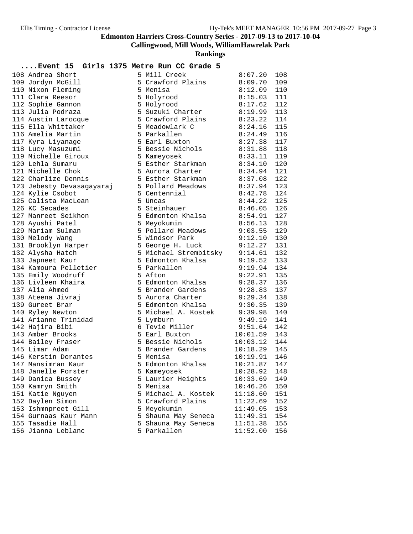**Callingwood, Mill Woods, WilliamHawrelak Park**

| Event 15 Girls 1375 Metre Run CC Grade 5 |                                   |               |     |
|------------------------------------------|-----------------------------------|---------------|-----|
| 108 Andrea Short                         | 5 Mill Creek                      | 8:07.20       | 108 |
| 109 Jordyn McGill                        | 5 Crawford Plains                 | 8:09.70       | 109 |
| 110 Nixon Fleming                        | 5 Menisa                          | 8:12.09       | 110 |
| 111 Clara Reesor                         | 5 Holyrood                        | 8:15.03       | 111 |
| 112 Sophie Gannon                        | 5 Holyrood                        | 8:17.62       | 112 |
| 113 Julia Podraza                        | 5 Suzuki Charter                  | 8:19.99 113   |     |
| 114 Austin Larocque                      | 5 Crawford Plains                 | 8:23.22       | 114 |
| 115 Ella Whittaker                       | 5 Meadowlark C                    | 8:24.16       | 115 |
| 116 Amelia Martin                        | 5 Parkallen                       | 8:24.49       | 116 |
| 117 Kyra Liyanage                        | 5 Earl Buxton                     | 8:27.38       | 117 |
| 118 Lucy Masuzumi                        | 5 Bessie Nichols                  | 8:31.88       | 118 |
| 119 Michelle Giroux                      | 5 Kameyosek                       | $8:33.11$ 119 |     |
| 120 Lehla Sumaru                         | 5 Esther Starkman                 | 8:34.10       | 120 |
| 121 Michelle Chok                        | 5 Aurora Charter                  | 8:34.94       | 121 |
| 122 Charlize Dennis                      | 5 Esther Starkman                 | 8:37.08       | 122 |
| 123 Jebesty Devasagayaraj                | 5 Pollard Meadows                 | 8:37.94       | 123 |
| 124 Kylie Csobot                         | 5 Centennial                      | 8:42.78       | 124 |
| 125 Calista MacLean                      | 5 Uncas                           | 8:44.22       | 125 |
| 126 KC Secades                           | 5 Steinhauer                      | 8:46.05       | 126 |
| 127 Manreet Seikhon                      | 5 Edmonton Khalsa                 | 8:54.91       | 127 |
| 128 Ayushi Patel                         | 5 Meyokumin                       | 8:56.13       | 128 |
| 129 Mariam Sulman                        | 5 Pollard Meadows                 | 9:03.55       | 129 |
| 130 Melody Wang                          | 5 Windsor Park                    | 9:12.10       | 130 |
| 131 Brooklyn Harper                      | 5 George H. Luck                  | $9:12.27$ 131 |     |
| 132 Alysha Hatch                         | 5 Michael Strembitsky 9:14.61 132 |               |     |
| 133 Japneet Kaur                         | 5 Edmonton Khalsa                 | 9:19.52       | 133 |
| 134 Kamoura Pelletier                    | 5 Parkallen                       | 9:19.94       | 134 |
| 135 Emily Woodruff                       | 5 Afton                           | 9:22.91       | 135 |
| 136 Livleen Khaira                       | 5 Edmonton Khalsa                 | 9:28.37       | 136 |
| 137 Alia Ahmed                           | 5 Brander Gardens                 | 9:28.83       | 137 |
| 138 Ateena Jivraj                        | 5 Aurora Charter                  | 9:29.34       | 138 |
| 139 Gureet Brar                          | 5 Edmonton Khalsa                 | 9:30.35       | 139 |
| 140 Ryley Newton                         | 5 Michael A. Kostek               | 9:39.98       | 140 |
| 141 Arianne Trinidad                     | 5 Lymburn                         | 9:49.19       | 141 |
| 142 Hajira Bibi                          | 6 Tevie Miller                    | 9:51.64       | 142 |
| 143 Amber Brooks                         | 5 Earl Buxton                     | 10:01.59      | 143 |
| 144 Bailey Fraser                        | 5 Bessie Nichols                  | 10:03.12      | 144 |
| 145 Limar Adam                           | 5 Brander Gardens                 | 10:18.29      | 145 |
| 146 Kerstin Dorantes                     | 5 Menisa                          | 10:19.91      | 146 |
| 147 Mansimran Kaur                       | 5 Edmonton Khalsa                 | 10:21.87      | 147 |
| 148 Janelle Forster                      | 5 Kameyosek                       | 10:28.92      | 148 |
| 149 Danica Bussey                        | 5 Laurier Heights                 | 10:33.69      | 149 |
| 150 Kamryn Smith                         | 5 Menisa                          | 10:46.26      | 150 |
| 151 Katie Nguyen                         | 5 Michael A. Kostek               | 11:18.60      | 151 |
| 152 Daylen Simon                         | 5 Crawford Plains                 | 11:22.69      | 152 |
| 153 Ishmnpreet Gill                      | 5 Meyokumin                       | 11:49.05      | 153 |
| 154 Gurnaas Kaur Mann                    | 5 Shauna May Seneca               | 11:49.31      | 154 |
| 155 Tasadie Hall                         | 5 Shauna May Seneca               | 11:51.38      | 155 |
| 156 Jianna Leblanc                       | 5 Parkallen                       | 11:52.00      | 156 |
|                                          |                                   |               |     |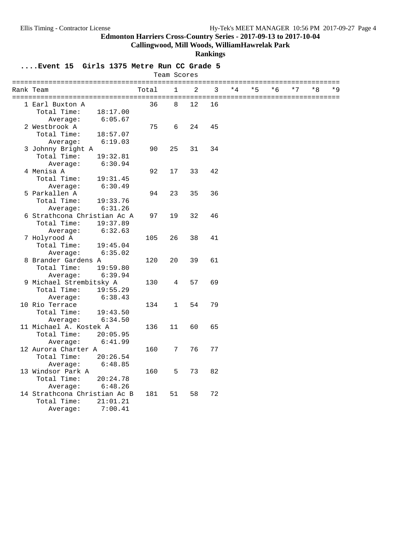**Callingwood, Mill Woods, WilliamHawrelak Park**

**Rankings**

|                                            |       | Team Scores  |                |    |      |      |      |      |    |       |
|--------------------------------------------|-------|--------------|----------------|----|------|------|------|------|----|-------|
| Rank Team                                  | Total | $\mathbf{1}$ | $\overline{2}$ | 3  | $*4$ | $*5$ | $*6$ | $*7$ | *8 | $*$ 9 |
| 1 Earl Buxton A                            | 36    | 8            | 12             | 16 |      |      |      |      |    |       |
| Total Time:<br>18:17.00                    |       |              |                |    |      |      |      |      |    |       |
| 6:05.67<br>Average:                        |       |              |                |    |      |      |      |      |    |       |
| 2 Westbrook A                              | 75    | 6            | 24             | 45 |      |      |      |      |    |       |
| Total Time:<br>18:57.07                    |       |              |                |    |      |      |      |      |    |       |
| Average:<br>6:19.03                        |       |              |                |    |      |      |      |      |    |       |
| 3 Johnny Bright A                          | 90    | 25           | 31             | 34 |      |      |      |      |    |       |
| Total Time:<br>19:32.81                    |       |              |                |    |      |      |      |      |    |       |
| 6:30.94<br>Average:                        |       |              |                |    |      |      |      |      |    |       |
| 4 Menisa A                                 | 92    | 17           | 33             | 42 |      |      |      |      |    |       |
| Total Time:<br>19:31.45                    |       |              |                |    |      |      |      |      |    |       |
| 6:30.49<br>Average:                        |       |              |                |    |      |      |      |      |    |       |
| 5 Parkallen A                              | 94    | 23           | 35             | 36 |      |      |      |      |    |       |
| Total Time:<br>19:33.76                    |       |              |                |    |      |      |      |      |    |       |
| Average:<br>6:31.26                        |       |              |                |    |      |      |      |      |    |       |
| 6 Strathcona Christian Ac A                | 97    | 19           | 32             | 46 |      |      |      |      |    |       |
| Total Time:<br>19:37.89                    |       |              |                |    |      |      |      |      |    |       |
| 6:32.63<br>Average:                        |       |              |                |    |      |      |      |      |    |       |
| 7 Holyrood A                               | 105   | 26           | 38             | 41 |      |      |      |      |    |       |
| Total Time:                                |       |              |                |    |      |      |      |      |    |       |
| 19:45.04                                   |       |              |                |    |      |      |      |      |    |       |
| Average:<br>6:35.02<br>8 Brander Gardens A |       |              | 39             |    |      |      |      |      |    |       |
| Total Time:                                | 120   | 20           |                | 61 |      |      |      |      |    |       |
| 19:59.80                                   |       |              |                |    |      |      |      |      |    |       |
| 6:39.94<br>Average:                        |       |              |                |    |      |      |      |      |    |       |
| 9 Michael Strembitsky A                    | 130   | 4            | 57             | 69 |      |      |      |      |    |       |
| Total Time:<br>19:55.29                    |       |              |                |    |      |      |      |      |    |       |
| Average:<br>6:38.43                        |       |              |                |    |      |      |      |      |    |       |
| 10 Rio Terrace                             | 134   | $\mathbf{1}$ | 54             | 79 |      |      |      |      |    |       |
| Total Time:<br>19:43.50                    |       |              |                |    |      |      |      |      |    |       |
| 6:34.50<br>Average:                        |       |              |                |    |      |      |      |      |    |       |
| 11 Michael A. Kostek A                     | 136   | 11           | 60             | 65 |      |      |      |      |    |       |
| Total Time:<br>20:05.95                    |       |              |                |    |      |      |      |      |    |       |
| Average:<br>6:41.99                        |       |              |                |    |      |      |      |      |    |       |
| 12 Aurora Charter A                        | 160   | 7            | 76             | 77 |      |      |      |      |    |       |
| Total Time:<br>20:26.54                    |       |              |                |    |      |      |      |      |    |       |
| Average:<br>6:48.85                        |       |              |                |    |      |      |      |      |    |       |
| 13 Windsor Park A                          | 160   | 5            | 73             | 82 |      |      |      |      |    |       |
| Total Time:<br>20:24.78                    |       |              |                |    |      |      |      |      |    |       |
| 6:48.26<br>Average:                        |       |              |                |    |      |      |      |      |    |       |
| 14 Strathcona Christian Ac B               | 181   | 51           | 58             | 72 |      |      |      |      |    |       |
| Total Time:<br>21:01.21                    |       |              |                |    |      |      |      |      |    |       |
| 7:00.41<br>Average:                        |       |              |                |    |      |      |      |      |    |       |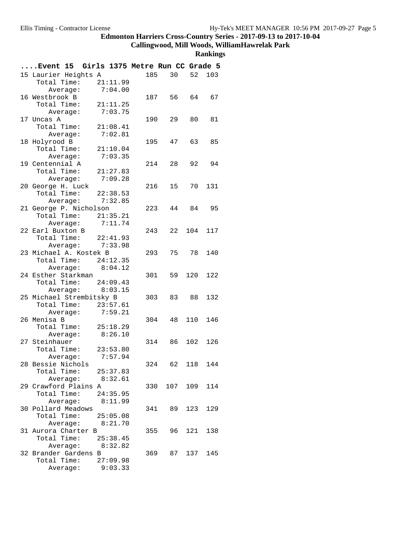#### **Callingwood, Mill Woods, WilliamHawrelak Park**

|                    | Event 15 Girls 1375 Metre Run CC Grade 5 |                     |     |            |    |             |     |
|--------------------|------------------------------------------|---------------------|-----|------------|----|-------------|-----|
|                    | 15 Laurier Heights A                     |                     | 185 |            | 30 | 52          | 103 |
|                    | Total Time: 21:11.99                     |                     |     |            |    |             |     |
|                    | Average:                                 | 7:04.00             |     |            |    |             |     |
| 16 Westbrook B     |                                          |                     |     |            |    | 187 56 64   | 67  |
|                    | Total Time: 21:11.25                     |                     |     |            |    |             |     |
|                    | Average: 7:03.75                         |                     |     |            |    |             |     |
| 17 Uncas A         |                                          |                     | 190 |            | 29 | 80          | 81  |
|                    | Total Time: 21:08.41                     |                     |     |            |    |             |     |
|                    | Average:                                 | 7:02.81             |     |            |    |             |     |
| 18 Holyrood B      |                                          |                     |     | 195 47     |    | 63          | 85  |
|                    | Total Time: 21:10.04                     |                     |     |            |    |             |     |
|                    | Average: 7:03.35                         |                     |     |            |    |             |     |
| 19 Centennial A    |                                          |                     |     | 214 28     |    | 92          | 94  |
|                    | Total Time: $21:27.83$                   |                     |     |            |    |             |     |
|                    | Average:                                 | 7:09.28             |     |            |    |             |     |
| 20 George H. Luck  |                                          |                     | 216 |            | 15 | 70          | 131 |
|                    | Total Time: 22:38.53                     |                     |     |            |    |             |     |
|                    | Average: 7:32.85                         |                     |     |            |    |             |     |
|                    | 21 George P. Nicholson                   |                     |     | 223        | 44 | 84 95       |     |
|                    | Total Time: 21:35.21                     |                     |     |            |    |             |     |
| 22 Earl Buxton B   | Average:                                 | 7:11.74             |     |            |    | 22 104      |     |
|                    | Total Time: 22:41.93                     |                     | 243 |            |    |             | 117 |
|                    | Average: 7:33.98                         |                     |     |            |    |             |     |
|                    | 23 Michael A. Kostek B                   |                     |     | 293        |    | 75 78       | 140 |
|                    | Total Time: $24:12.35$                   |                     |     |            |    |             |     |
|                    | Average:                                 | 8:04.12             |     |            |    |             |     |
|                    | 24 Esther Starkman                       |                     |     | 301        |    | 59 120      | 122 |
|                    | Total Time: 24:09.43                     |                     |     |            |    |             |     |
|                    | Average: 8:03.15                         |                     |     |            |    |             |     |
|                    | 25 Michael Strembitsky B                 |                     | 303 |            | 83 | 88          | 132 |
|                    | Total Time: 23:57.61                     |                     |     |            |    |             |     |
|                    | Average:                                 | 7:59.21             |     |            |    |             |     |
| 26 Menisa B        |                                          |                     |     | 304        | 48 | 110         | 146 |
|                    | Total Time: 25:18.29                     |                     |     |            |    |             |     |
|                    | Average: 8:26.10                         |                     |     |            |    |             |     |
| 27 Steinhauer      |                                          |                     |     |            |    | 314 86 102  | 126 |
|                    | Total Time: 23:53.80                     |                     |     |            |    |             |     |
|                    | Average:                                 | 7:57.94             |     |            |    |             |     |
|                    | 28 Bessie Nichols                        |                     | 324 | 62         |    | 118         | 144 |
|                    | Total Time: 25:37.83                     |                     |     |            |    |             |     |
|                    | Average: 8:32.61                         |                     |     |            |    |             |     |
|                    | 29 Crawford Plains A                     |                     |     |            |    | 330 107 109 | 114 |
| Total Time:        | Average:                                 | 24:35.95<br>8:11.99 |     |            |    |             |     |
| 30 Pollard Meadows |                                          |                     |     | 341 89 123 |    |             | 129 |
|                    | Total Time: 25:05.08                     |                     |     |            |    |             |     |
|                    | Average: 8:21.70                         |                     |     |            |    |             |     |
|                    | 31 Aurora Charter B                      |                     |     | 355        | 96 | 121         | 138 |
|                    | Total Time: $25:38.45$                   |                     |     |            |    |             |     |
|                    | Average:                                 | 8:32.82             |     |            |    |             |     |
|                    | 32 Brander Gardens B                     |                     |     |            |    | 369 87 137  | 145 |
| Total Time:        |                                          | 27:09.98            |     |            |    |             |     |
|                    | Average:                                 | 9:03.33             |     |            |    |             |     |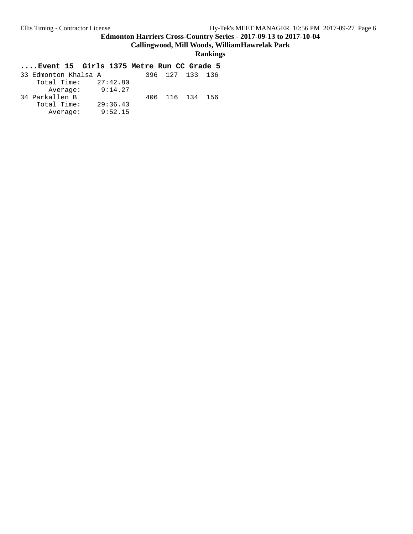**Callingwood, Mill Woods, WilliamHawrelak Park**

**Rankings**

| 33 Edmonton Khalsa A |          |  | 396 127 133 136 |  |
|----------------------|----------|--|-----------------|--|
| Total Time:          | 27:42.80 |  |                 |  |
| Average:             | 9:14.27  |  |                 |  |
| 34 Parkallen B       |          |  | 406 116 134 156 |  |
| Total Time:          | 29:36.43 |  |                 |  |
| Average:             | 9:52.15  |  |                 |  |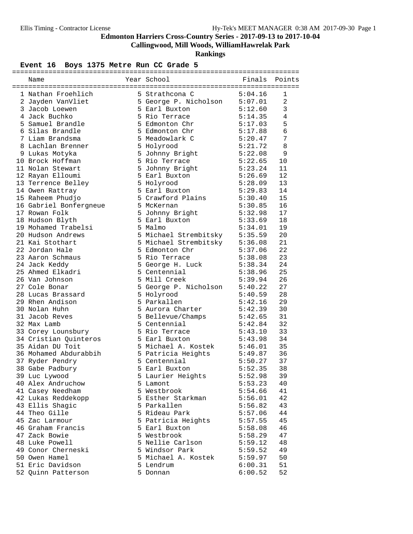**Callingwood, Mill Woods, WilliamHawrelak Park**

**Rankings**

## Event 16 Boys 1375 Metre Run CC Grade 5

| Name                   | Year School                   | Finals  | Points         |
|------------------------|-------------------------------|---------|----------------|
| 1 Nathan Froehlich     | 5 Strathcona C                | 5:04.16 | 1              |
| 2 Jayden VanVliet      | 5 George P. Nicholson 5:07.01 |         | $\overline{2}$ |
| 3 Jacob Loewen         | 5 Earl Buxton                 | 5:12.60 | 3              |
| 4 Jack Buchko          | 5 Rio Terrace                 | 5:14.35 | 4              |
| 5 Samuel Brandle       | 5 Edmonton Chr                | 5:17.03 | 5              |
| 6 Silas Brandle        | 5 Edmonton Chr                | 5:17.88 | 6              |
| 7 Liam Brandsma        | 5 Meadowlark C                | 5:20.47 | 7              |
| 8 Lachlan Brenner      | 5 Holyrood                    | 5:21.72 | 8              |
| 9 Lukas Motyka         | 5 Johnny Bright               | 5:22.08 | 9              |
| 10 Brock Hoffman       | 5 Rio Terrace                 | 5:22.65 | 10             |
| 11 Nolan Stewart       | 5 Johnny Bright               | 5:23.24 | 11             |
| 12 Rayan Elloumi       | 5 Earl Buxton                 | 5:26.69 | 12             |
| 13 Terrence Belley     | 5 Holyrood                    | 5:28.09 | 13             |
| 14 Owen Rattray        | 5 Earl Buxton                 | 5:29.83 | 14             |
| 15 Raheem Phudjo       | 5 Crawford Plains             | 5:30.40 | 15             |
| 16 Gabriel Bonfergneue | 5 McKernan                    | 5:30.85 | 16             |
| 17 Rowan Folk          | 5 Johnny Bright               | 5:32.98 | 17             |
| 18 Hudson Blyth        | 5 Earl Buxton                 | 5:33.69 | 18             |
| 19 Mohamed Trabelsi    | 5 Malmo                       | 5:34.01 | 19             |
| 20 Hudson Andrews      | 5 Michael Strembitsky         | 5:35.59 | 20             |
| 21 Kai Stothart        | 5 Michael Strembitsky 5:36.08 |         | 21             |
| 22 Jordan Hale         | 5 Edmonton Chr                | 5:37.06 | 22             |
| 23 Aaron Schmaus       | 5 Rio Terrace                 | 5:38.08 | 23             |
| 24 Jack Keddy          | 5 George H. Luck              | 5:38.34 | 24             |
| 25 Ahmed Elkadri       | 5 Centennial                  | 5:38.96 | 25             |
| 26 Van Johnson         | 5 Mill Creek                  | 5:39.94 | 26             |
| 27 Cole Bonar          | 5 George P. Nicholson         | 5:40.22 | 27             |
| 28 Lucas Brassard      | 5 Holyrood                    | 5:40.59 | 28             |
| 29 Rhen Andison        | 5 Parkallen                   | 5:42.16 | 29             |
| 30 Nolan Huhn          | 5 Aurora Charter              | 5:42.39 | 30             |
| 31 Jacob Reves         | 5 Bellevue/Champs             | 5:42.65 | 31             |
| 32 Max Lamb            | 5 Centennial                  | 5:42.84 | 32             |
| 33 Corey Lounsbury     | 5 Rio Terrace                 | 5:43.10 | 33             |
| 34 Cristian Quinteros  | 5 Earl Buxton                 | 5:43.98 | 34             |
| 35 Aidan DU Toit       | 5 Michael A. Kostek           | 5:46.01 | 35             |
| 36 Mohamed Abdurabbih  | 5 Patricia Heights            | 5:49.87 | 36             |
| 37 Ryder Pendry        | 5 Centennial                  | 5:50.27 | 37             |
| 38 Gabe Padbury        | 5 Earl Buxton                 | 5:52.35 | 38             |
| 39 Luc Lywood          | 5 Laurier Heights             | 5:52.98 | 39             |
| 40 Alex Andruchow      | 5 Lamont                      | 5:53.23 | 40             |
| 41 Casey Needham       | 5 Westbrook                   | 5:54.66 | 41             |
| 42 Lukas Reddekopp     | 5 Esther Starkman             | 5:56.01 | 42             |
| 43 Ellis Shagic        | 5 Parkallen                   | 5:56.82 | 43             |
| 44 Theo Gille          | 5 Rideau Park                 | 5:57.06 | 44             |
| 45 Zac Larmour         | 5 Patricia Heights            | 5:57.55 | 45             |
| 46 Graham Francis      | 5 Earl Buxton                 | 5:58.08 | 46             |
| 47 Zack Bowie          | 5 Westbrook                   | 5:58.29 | 47             |
| 48 Luke Powell         | 5 Nellie Carlson              | 5:59.12 | 48             |
| 49 Conor Cherneski     | 5 Windsor Park                | 5:59.52 | 49             |
| 50 Owen Hamel          | 5 Michael A. Kostek           | 5:59.97 | 50             |
| 51 Eric Davidson       | 5 Lendrum                     | 6:00.31 | 51             |
| 52 Quinn Patterson     | 5 Donnan                      | 6:00.52 | 52             |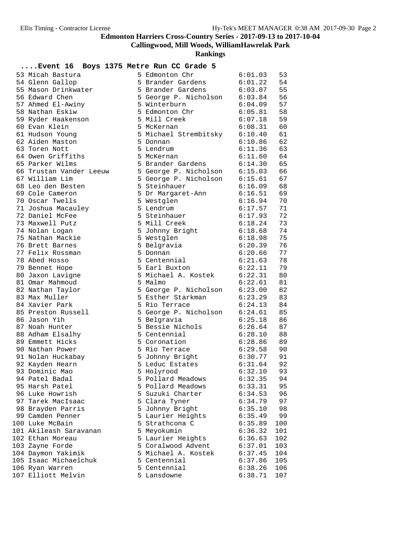**Callingwood, Mill Woods, WilliamHawrelak Park**

| Event 16 Boys 1375 Metre Run CC Grade 5 |                                                                                                                |         |     |
|-----------------------------------------|----------------------------------------------------------------------------------------------------------------|---------|-----|
| 53 Micah Bastura                        | 5 Edmonton Chr                                                                                                 | 6:01.03 | 53  |
| 54 Glenn Gallop                         | 5 Brander Gardens                                                                                              | 6:01.22 | 54  |
| 55 Mason Drinkwater                     | 5 Brander Gardens                                                                                              | 6:03.07 | 55  |
| 56 Edward Chen                          | 5 George P. Nicholson 6:03.84                                                                                  |         | 56  |
| 57 Ahmed El-Awiny                       | 5 Winterburn                                                                                                   | 6:04.09 | 57  |
| 58 Nathan Eskiw                         | 5 Edmonton Chr                                                                                                 | 6:05.81 | 58  |
| 59 Ryder Haakenson                      | 5 Mill Creek                                                                                                   | 6:07.18 | 59  |
| 60 Evan Klein                           | 5 McKernan                                                                                                     | 6:08.31 | 60  |
| 61 Hudson Young                         | 5 Michael Strembitsky                                                                                          | 6:10.40 | 61  |
| 62 Aiden Maston                         | 5 Donnan                                                                                                       | 6:10.86 | 62  |
| 63 Toren Nott                           | 5 Lendrum                                                                                                      | 6:11.36 | 63  |
| 64 Owen Griffiths                       | 5 McKernan                                                                                                     | 6:11.60 | 64  |
| 65 Parker Wilms                         | 5 Brander Gardens                                                                                              | 6:14.30 | 65  |
| 66 Trustan Vander Leeuw                 | 5 George P. Nicholson 6:15.03                                                                                  |         | 66  |
| 67 William Lim                          | 5 George P. Nicholson 6:15.61                                                                                  |         | 67  |
| 68 Leo den Besten                       | 5 Steinhauer                                                                                                   | 6:16.09 | 68  |
| 69 Cole Cameron                         | 5 Dr Margaret-Ann                                                                                              | 6:16.51 | 69  |
| 70 Oscar Twells                         | 5 Westglen                                                                                                     | 6:16.94 | 70  |
| 71 Joshua Macauley                      | 5 Lendrum                                                                                                      | 6:17.57 | 71  |
| 72 Daniel McFee                         | 5 Steinhauer                                                                                                   | 6:17.93 | 72  |
| 73 Maxwell Putz                         | 5 Mill Creek                                                                                                   | 6:18.24 | 73  |
| 74 Nolan Logan                          | 5 Johnny Bright                                                                                                | 6:18.68 | 74  |
| 75 Nathan Mackie                        | 5 Westglen                                                                                                     | 6:18.98 | 75  |
| 76 Brett Barnes                         | 5 Belgravia                                                                                                    | 6:20.39 | 76  |
| 77 Felix Rossman                        | 5 Donnan                                                                                                       | 6:20.66 | 77  |
| 78 Abed Hosso                           | 5 Centennial and the state of the state of the state of the state of the state of the state of the state of th | 6:21.63 | 78  |
| 79 Bennet Hope                          | 5 Earl Buxton                                                                                                  | 6:22.11 | 79  |
| 80 Jaxon Lavigne                        | 5 Michael A. Kostek                                                                                            | 6:22.31 | 80  |
| 81 Omar Mahmoud                         | 5 Malmo                                                                                                        | 6:22.61 | 81  |
| 82 Nathan Taylor                        | 5 George P. Nicholson 6:23.00                                                                                  |         | 82  |
| 83 Max Muller                           | 5 Esther Starkman                                                                                              | 6:23.29 | 83  |
| 84 Xavier Park                          | 5 Rio Terrace                                                                                                  | 6:24.13 | 84  |
| 85 Preston Russell                      | 5 George P. Nicholson 6:24.61                                                                                  |         | 85  |
| 86 Jason Yih                            | 5 Belgravia                                                                                                    | 6:25.18 | 86  |
| 87 Noah Hunter                          | 5 Bessie Nichols                                                                                               | 6:26.64 | 87  |
| 88 Adham Elsalhy                        | 5 Centennial                                                                                                   | 6:28.10 | 88  |
| 89 Emmett Hicks                         | 5 Coronation                                                                                                   | 6:28.86 | 89  |
| 90 Nathan Power                         | 5 Rio Terrace                                                                                                  | 6:29.58 | 90  |
| 91 Nolan Huckabay                       | 5 Johnny Bright                                                                                                | 6:30.77 | 91  |
| 92 Kayden Hearn                         | 5 Leduc Estates                                                                                                | 6:31.64 | 92  |
| 93 Dominic Mao                          | 5 Holyrood                                                                                                     | 6:32.10 | 93  |
| 94 Patel Badal                          | 5 Pollard Meadows                                                                                              | 6:32.35 | 94  |
| 95 Harsh Patel                          | 5 Pollard Meadows                                                                                              | 6:33.31 | 95  |
| 96 Luke Howrish                         | 5 Suzuki Charter                                                                                               | 6:34.53 | 96  |
| 97 Tarek MacIsaac                       | 5 Clara Tyner                                                                                                  | 6:34.79 | 97  |
| 98 Brayden Parris                       | 5 Johnny Bright                                                                                                | 6:35.10 | 98  |
| 99 Camden Penner                        | 5 Laurier Heights                                                                                              | 6:35.49 | 99  |
| 100 Luke McBain                         | 5 Strathcona C                                                                                                 | 6:35.89 | 100 |
| 101 Akileash Saravanan                  | 5 Meyokumin                                                                                                    | 6:36.32 | 101 |
| 102 Ethan Moreau                        | 5 Laurier Heights                                                                                              | 6:36.63 | 102 |
| 103 Zayne Forde                         | 5 Coralwood Advent                                                                                             | 6:37.01 | 103 |
| 104 Daymon Yakimik                      | 5 Michael A. Kostek                                                                                            | 6:37.45 | 104 |
| 105 Isaac Michaelchuk                   | 5 Centennial                                                                                                   | 6:37.86 | 105 |
| 106 Ryan Warren                         | 5 Centennial                                                                                                   | 6:38.26 | 106 |
| 107 Elliott Melvin                      | 5 Lansdowne                                                                                                    | 6:38.71 | 107 |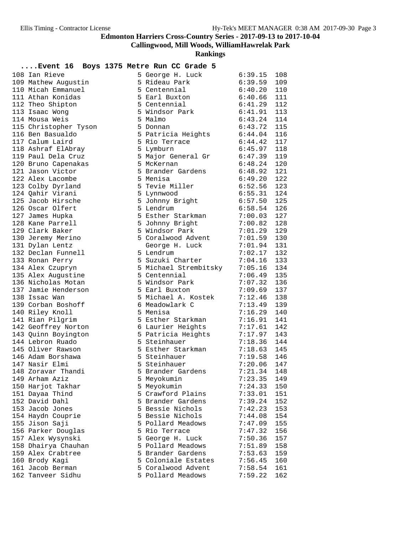**Callingwood, Mill Woods, WilliamHawrelak Park**

|                                           |  | канкицз                                                                                          |                               |            |
|-------------------------------------------|--|--------------------------------------------------------------------------------------------------|-------------------------------|------------|
| Event 16 Boys 1375 Metre Run CC Grade 5   |  |                                                                                                  |                               |            |
| 108 Ian Rieve                             |  | 5 George H. Luck                                                                                 | 6:39.15                       | 108        |
| 109 Mathew Augustin                       |  | 5 Rideau Park                                                                                    | 6:39.59                       | 109        |
| 110 Micah Emmanuel                        |  | 5 Centennial                                                                                     | 6:40.20                       | 110        |
| 111 Athan Konidas                         |  | 5 Earl Buxton                                                                                    | 6:40.66                       | 111        |
| 112 Theo Shipton                          |  | 5 Centennial 6:41.29                                                                             |                               | 112        |
| 113 Isaac Wong                            |  | 5 Windsor Park 6:41.91                                                                           |                               | 113        |
| 114 Mousa Weis                            |  | 5 Malmo                                                                                          | 6:43.24                       | 114        |
| 115 Christopher Tyson                     |  | 5 Donnan<br>5 Donnan<br>5 Patricia Heights 6:44.04<br>5 Rio Terrace 6:44.42<br>5 Lymburn 6:45.97 | 6:43.72                       | 115        |
| 116 Ben Basualdo                          |  |                                                                                                  |                               | 116        |
| 117 Calum Laird                           |  |                                                                                                  |                               | 117        |
| 118 Ashraf ElAbray                        |  |                                                                                                  |                               | 118        |
| 119 Paul Dela Cruz                        |  | 5 Major General Gr 6:47.39                                                                       |                               | 119        |
| 120 Bruno Capenakas                       |  | 5 McKernan                                                                                       | 6:48.24                       | 120        |
| 121 Jason Victor                          |  | 5 PRODUCTION<br>5 Brander Gardens                                                                | 6:48.92                       | 121        |
| 122 Alex Lacombe                          |  | 5 Menisa                                                                                         | 6:49.20                       | 122        |
| 123 Colby Dyrland                         |  | 5 Tevie Miller 6:52.56                                                                           |                               | 123        |
| 124 Qahir Virani                          |  | 5 Lynnwood                                                                                       | 6:55.31                       | 124        |
| 125 Jacob Hirsche                         |  | 5 Johnny Bright 6:57.50                                                                          |                               | 125        |
| 126 Oscar Olfert                          |  |                                                                                                  | 6:58.54                       | 126        |
| 127 James Hupka                           |  | 5 Esther Starkman<br>5 Johnny Bright<br>5 Windsor Bill                                           | $7:00.03$ $7:00.82$           | 127        |
| 128 Kane Parrell                          |  |                                                                                                  | 7:00.82                       | 128        |
| 129 Clark Baker                           |  | 5 Windsor Park                                                                                   | 7:01.29                       | 129        |
| 130 Jeremy Merino                         |  | 5 Coralwood Advent                                                                               | 7:01.59                       | 130        |
| 131 Dylan Lentz                           |  | George H. Luck                                                                                   | 7:01.94                       | 131        |
| 132 Declan Funnell                        |  | 5 Lendrum                                                                                        | 7:02.17                       | 132        |
| 133 Ronan Perry                           |  | 5 Suzuki Charter<br>5 Michael Strembitsky                                                        | 7:04.16                       | 133        |
| 134 Alex Czupryn                          |  |                                                                                                  | 7:05.16<br>7:06.49            | 134<br>135 |
| 135 Alex Augustine                        |  | 5 Centennial<br>5 Windsor Park                                                                   |                               |            |
| 136 Nicholas Motan<br>137 Jamie Henderson |  | 5 Earl Buxton                                                                                    | 7:07.32                       | 136        |
| 138 Issac Wan                             |  | 5 Michael A. Kostek                                                                              | 7:09.69<br>7:12.46            | 137<br>138 |
| 139 Corban Boshoff                        |  | 6 Meadowlark C                                                                                   | 7:13.49                       | 139        |
| 140 Riley Knoll                           |  | 5 Menisa                                                                                         | 7:16.29                       | 140        |
| 141 Rian Pilgrim                          |  | 5 Esther Starkman                                                                                | 7:16.91                       | 141        |
| 142 Geoffrey Norton                       |  | 6 Laurier Heights                                                                                | 7:17.61                       | 142        |
| 143 Quinn Boyington                       |  | 5 Patricia Heights                                                                               | 7:17.97                       | 143        |
| 144 Lebron Ruado                          |  | 5 Steinhauer                                                                                     |                               | 144        |
| 145 Oliver Rawson                         |  | 5 Esther Starkman                                                                                | 7:18.36<br>7:18.63<br>7:18.63 | 145        |
| 146 Adam Borshawa                         |  | 5 Steinhauer                                                                                     | $7:19.58$ 146                 |            |
| 147 Nasir Elmi                            |  | 5 Steinhauer                                                                                     | 7:20.06                       | 147        |
| 148 Zoravar Thandi                        |  | 5 Brander Gardens                                                                                | 7:21.34                       | 148        |
| 149 Arham Aziz                            |  | 5 Meyokumin                                                                                      | 7:23.35                       | 149        |
| 150 Harjot Takhar                         |  | 5 Meyokumin                                                                                      | 7:24.33                       | 150        |
| 151 Dayaa Thind                           |  | 5 Crawford Plains                                                                                | 7:33.01                       | 151        |
| 152 David Dahl                            |  | 5 Brander Gardens                                                                                | 7:39.24                       | 152        |
| 153 Jacob Jones                           |  | 5 Bessie Nichols                                                                                 | 7:42.23                       | 153        |
| 154 Haydn Couprie                         |  | 5 Bessie Nichols                                                                                 | 7:44.08                       | 154        |
| 155 Jison Saji                            |  | 5 Pollard Meadows                                                                                | 7:47.09                       | 155        |
| 156 Parker Douglas                        |  | 5 Rio Terrace                                                                                    | 7:47.32                       | 156        |
| 157 Alex Wysynski                         |  | 5 George H. Luck                                                                                 | 7:50.36                       | 157        |
| 158 Dhairya Chauhan                       |  | 5 Pollard Meadows                                                                                | 7:51.89                       | 158        |
| 159 Alex Crabtree                         |  | 5 Brander Gardens                                                                                | 7:53.63                       | 159        |
| 160 Brody Kagi                            |  | 5 Coloniale Estates                                                                              | 7:56.45                       | 160        |
| 161 Jacob Berman                          |  | 5 Coralwood Advent                                                                               | 7:58.54                       | 161        |
| 162 Tanveer Sidhu                         |  | 5 Pollard Meadows                                                                                | 7:59.22                       | 162        |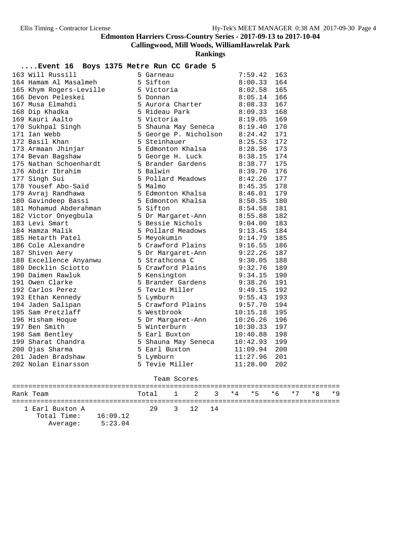**Callingwood, Mill Woods, WilliamHawrelak Park**

**Rankings**

#### **....Event 16 Boys 1375 Metre Run CC Grade 5**

| 163 Will Russill        | 5 Garneau             | 7:59.42  | 163 |
|-------------------------|-----------------------|----------|-----|
| 164 Hamam Al Masalmeh   | 5 Sifton              | 8:00.33  | 164 |
| 165 Khym Rogers-Leville | 5 Victoria            | 8:02.58  | 165 |
| 166 Devon Peleskei      | 5 Donnan              | 8:05.14  | 166 |
| 167 Musa Elmahdi        | 5 Aurora Charter      | 8:08.33  | 167 |
| 168 Dip Khadka          | 5 Rideau Park         | 8:09.33  | 168 |
| 169 Kauri Aalto         | 5 Victoria            | 8:19.05  | 169 |
| 170 Sukhpal Singh       | 5 Shauna May Seneca   | 8:19.40  | 170 |
| 171 Ian Webb            | 5 George P. Nicholson | 8:24.42  | 171 |
| 172 Basil Khan          | 5 Steinhauer          | 8:25.53  | 172 |
| 173 Armaan Jhinjar      | 5 Edmonton Khalsa     | 8:28.36  | 173 |
| 174 Bevan Bagshaw       | 5 George H. Luck      | 8:38.15  | 174 |
| 175 Nathan Schoenhardt  | 5 Brander Gardens     | 8:38.77  | 175 |
| 176 Abdir Ibrahim       | 5 Balwin              | 8:39.70  | 176 |
| 177 Singh Sui           | 5 Pollard Meadows     | 8:42.26  | 177 |
| 178 Yousef Abo-Said     | 5 Malmo               | 8:45.35  | 178 |
| 179 Avraj Randhawa      | 5 Edmonton Khalsa     | 8:46.01  | 179 |
| 180 Gavindeep Bassi     | 5 Edmonton Khalsa     | 8:50.35  | 180 |
| 181 Mohamud Abderahman  | 5 Sifton              | 8:54.58  | 181 |
| 182 Victor Onyegbula    | 5 Dr Margaret-Ann     | 8:55.88  | 182 |
| 183 Levi Smart          | 5 Bessie Nichols      | 9:04.00  | 183 |
| 184 Hamza Malik         | 5 Pollard Meadows     | 9:13.45  | 184 |
| 185 Hetarth Patel       | 5 Meyokumin           | 9:14.79  | 185 |
| 186 Cole Alexandre      | 5 Crawford Plains     | 9:16.55  | 186 |
| 187 Shiven Aery         | 5 Dr Margaret-Ann     | 9:22.26  | 187 |
| 188 Excellence Anyanwu  | 5 Strathcona C        | 9:30.05  | 188 |
| 189 Decklin Sciotto     | 5 Crawford Plains     | 9:32.76  | 189 |
| 190 Daimen Rawluk       | 5 Kensington          | 9:34.15  | 190 |
| 191 Owen Clarke         | 5 Brander Gardens     | 9:38.26  | 191 |
| 192 Carlos Perez        | 5 Tevie Miller        | 9:49.15  | 192 |
| 193 Ethan Kennedy       | 5 Lymburn             | 9:55.43  | 193 |
| 194 Jaden Salipan       | 5 Crawford Plains     | 9:57.70  | 194 |
| 195 Sam Pretzlaff       | 5 Westbrook           | 10:15.18 | 195 |
| 196 Hisham Hoque        | 5 Dr Margaret-Ann     | 10:26.26 | 196 |
| 197 Ben Smith           | 5 Winterburn          | 10:30.33 | 197 |
| 198 Sam Bentley         | 5 Earl Buxton         | 10:40.88 | 198 |
| 199 Sharat Chandra      | 5 Shauna May Seneca   | 10:42.93 | 199 |
| 200 Ojas Sharma         | 5 Earl Buxton         | 11:09.94 | 200 |
| 201 Jaden Bradshaw      | 5 Lymburn             | 11:27.96 | 201 |
| 202 Nolan Einarsson     | 5 Tevie Miller        | 11:28.00 | 202 |

#### Team Scores

| Rank Team                                  |                     | Total 1 2 3 *4 *5 *6 *7 *8 *9 |         |  |  |  |  |
|--------------------------------------------|---------------------|-------------------------------|---------|--|--|--|--|
| 1 Earl Buxton A<br>Total Time:<br>Average: | 16:09.12<br>5:23.04 | 29                            | 3 12 14 |  |  |  |  |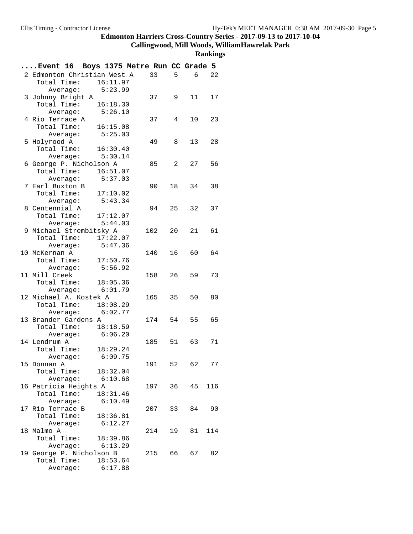**Callingwood, Mill Woods, WilliamHawrelak Park**

| Event 16 Boys 1375 Metre Run CC Grade 5         |                    |          |        |    |                |     |
|-------------------------------------------------|--------------------|----------|--------|----|----------------|-----|
| 2 Edmonton Christian West A 33                  |                    |          |        | 5  | 6 <sup>6</sup> | 22  |
| Total Time: 16:11.97                            |                    |          |        |    |                |     |
|                                                 | Average: $5:23.99$ |          |        |    |                |     |
| 3 Johnny Bright A                               |                    |          | 37     | 9  | 11             | 17  |
| Total Time: 16:18.30                            |                    |          |        |    |                |     |
|                                                 | Average: 5:26.10   |          |        |    |                |     |
| 4 Rio Terrace A                                 |                    |          | 37     | 4  | 10             | 23  |
| Total Time:                                     |                    | 16:15.08 |        |    |                |     |
| Average:                                        |                    | 5:25.03  |        |    |                |     |
| 5 Holyrood A                                    |                    |          | 49     | 8  | 13             | 28  |
| Total Time: 16:30.40                            |                    |          |        |    |                |     |
|                                                 | Average: 5:30.14   |          |        |    |                |     |
| 6 George P. Nicholson A<br>Total Time: 16:51.07 |                    |          | 85 2   |    | 27             | 56  |
| Average:                                        |                    | 5:37.03  |        |    |                |     |
| 7 Earl Buxton B                                 |                    |          | 90     | 18 | 34             | 38  |
| Total Time: 17:10.02                            |                    |          |        |    |                |     |
|                                                 | Average: 5:43.34   |          |        |    |                |     |
| 8 Centennial A                                  |                    |          | 94     | 25 | 32             | 37  |
| Total Time: 17:12.07                            |                    |          |        |    |                |     |
| Average:                                        |                    | 5:44.03  |        |    |                |     |
| 9 Michael Strembitsky A                         |                    |          | 102    | 20 | 21             | 61  |
| Total Time: 17:22.07                            |                    |          |        |    |                |     |
|                                                 | Average: 5:47.36   |          |        |    |                |     |
| 10 McKernan A                                   |                    |          | 140    | 16 | 60 —           | 64  |
| Total Time:                                     | 17:50.76           |          |        |    |                |     |
| Average:                                        |                    | 5:56.92  |        |    |                |     |
| 11 Mill Creek                                   |                    |          | 158 26 |    | 59             | 73  |
| Total Time: 18:05.36                            |                    |          |        |    |                |     |
|                                                 | Average: 6:01.79   |          |        |    |                |     |
| 12 Michael A. Kostek A                          |                    |          | 165    | 35 | 50             | 80  |
| Total Time: 18:08.29                            |                    |          |        |    |                |     |
|                                                 | Average: 6:02.77   |          |        |    |                | 65  |
| 13 Brander Gardens A<br>Total Time: 18:18.59    |                    |          | 174 54 |    | 55             |     |
|                                                 | Average: 6:06.20   |          |        |    |                |     |
| 14 Lendrum A                                    |                    |          | 185 51 |    | 63             | 71  |
| Total Time: 18:29.24                            |                    |          |        |    |                |     |
| Average:                                        |                    | 6:09.75  |        |    |                |     |
| 15 Donnan A                                     |                    |          | 191    | 52 | 62             | 77  |
| Total Time: $18:32.04$                          |                    |          |        |    |                |     |
|                                                 | Average: 6:10.68   |          |        |    |                |     |
| 16 Patricia Heights A                           |                    |          | 197 36 |    | 45             | 116 |
| Total Time: 18:31.46                            |                    |          |        |    |                |     |
| Average:                                        |                    | 6:10.49  |        |    |                |     |
| 17 Rio Terrace B                                |                    |          | 207    | 33 | 84             | 90  |
| Total Time: 18:36.81                            |                    |          |        |    |                |     |
| Average:                                        |                    | 6:12.27  |        |    |                |     |
| 18 Malmo A                                      |                    |          | 214    | 19 | 81             | 114 |
| Total Time: 18:39.86                            |                    |          |        |    |                |     |
|                                                 | Average: 6:13.29   |          |        |    |                |     |
| 19 George P. Nicholson B                        |                    |          | 215 66 |    | 67 —           | 82  |
| Total Time:                                     |                    | 18:53.64 |        |    |                |     |
| Average:                                        |                    | 6:17.88  |        |    |                |     |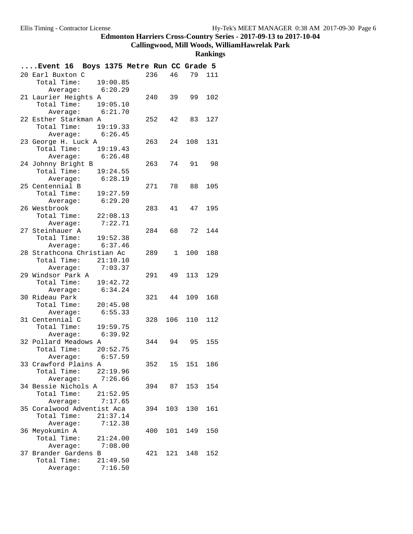## **Callingwood, Mill Woods, WilliamHawrelak Park**

| 236<br>46<br>79 111<br>20 Earl Buxton C<br>Total Time: 19:00.85<br>Average: 6:20.29<br>21 Laurier Heights A<br>102<br>240 39<br>99<br>Total Time: 19:05.10<br>Average: 6:21.70<br>22 Esther Starkman A<br>252<br>42<br>83<br>127<br>Total Time: 19:19.33<br>Average: $6:26.45$<br>23 George H. Luck A<br>263 24 108<br>131<br>Total Time: 19:19.43<br>Average: 6:26.48<br>263 74 91 98<br>24 Johnny Bright B<br>Total Time: $19:24.55$<br>Average: 6:28.19<br>25 Centennial B<br>271<br>78<br>88<br>105<br>Total Time: 19:27.59<br>Average: 6:29.20<br>26 Westbrook<br>283<br>41<br>47<br>195<br>Total Time: 22:08.13<br>Average: 7:22.71<br>27 Steinhauer A<br>284 68<br>72<br>144<br>Total Time: 19:52.38<br>6:37.46<br>Average:<br>28 Strathcona Christian Ac<br>289 1 100 188<br>Total Time: 21:10.10<br>Average: $7:03.37$<br>291 49 113<br>129<br>29 Windsor Park A<br>Total Time: 19:42.72<br>Average: 6:34.24<br>30 Rideau Park<br>321<br>44 109<br>168<br>Total Time: 20:45.98<br>Average: 6:55.33<br>31 Centennial C<br>328 106 110<br>112<br>Total Time: 19:59.75<br>6:39.92<br>Average:<br>32 Pollard Meadows A<br>344 94 95<br>155<br>Total Time: 20:52.75<br>Average: $6:57.59$<br>33 Crawford Plains A<br>352<br>15 151 186<br>Total Time:<br>22:19.96<br>Average:<br>7:26.66<br>34 Bessie Nichols A<br>394 87 153<br>154<br>Total Time:<br>21:52.95<br>7:17.65<br>Average:<br>35 Coralwood Adventist Aca<br>103<br>130<br>161<br>394<br>Total Time:<br>21:37.14<br>Average:<br>7:12.38<br>36 Meyokumin A<br>101 149<br>400<br>150<br>Total Time:<br>21:24.00<br>7:08.00<br>Average:<br>37 Brander Gardens B<br>121 148<br>421<br>152<br>Total Time:<br>21:49.50<br>7:16.50<br>Average: | Event 16 Boys 1375 Metre Run CC Grade 5 |  |  |  |
|--------------------------------------------------------------------------------------------------------------------------------------------------------------------------------------------------------------------------------------------------------------------------------------------------------------------------------------------------------------------------------------------------------------------------------------------------------------------------------------------------------------------------------------------------------------------------------------------------------------------------------------------------------------------------------------------------------------------------------------------------------------------------------------------------------------------------------------------------------------------------------------------------------------------------------------------------------------------------------------------------------------------------------------------------------------------------------------------------------------------------------------------------------------------------------------------------------------------------------------------------------------------------------------------------------------------------------------------------------------------------------------------------------------------------------------------------------------------------------------------------------------------------------------------------------------------------------------------------------------------------------------------------------------------------------------------------------|-----------------------------------------|--|--|--|
|                                                                                                                                                                                                                                                                                                                                                                                                                                                                                                                                                                                                                                                                                                                                                                                                                                                                                                                                                                                                                                                                                                                                                                                                                                                                                                                                                                                                                                                                                                                                                                                                                                                                                                        |                                         |  |  |  |
|                                                                                                                                                                                                                                                                                                                                                                                                                                                                                                                                                                                                                                                                                                                                                                                                                                                                                                                                                                                                                                                                                                                                                                                                                                                                                                                                                                                                                                                                                                                                                                                                                                                                                                        |                                         |  |  |  |
|                                                                                                                                                                                                                                                                                                                                                                                                                                                                                                                                                                                                                                                                                                                                                                                                                                                                                                                                                                                                                                                                                                                                                                                                                                                                                                                                                                                                                                                                                                                                                                                                                                                                                                        |                                         |  |  |  |
|                                                                                                                                                                                                                                                                                                                                                                                                                                                                                                                                                                                                                                                                                                                                                                                                                                                                                                                                                                                                                                                                                                                                                                                                                                                                                                                                                                                                                                                                                                                                                                                                                                                                                                        |                                         |  |  |  |
|                                                                                                                                                                                                                                                                                                                                                                                                                                                                                                                                                                                                                                                                                                                                                                                                                                                                                                                                                                                                                                                                                                                                                                                                                                                                                                                                                                                                                                                                                                                                                                                                                                                                                                        |                                         |  |  |  |
|                                                                                                                                                                                                                                                                                                                                                                                                                                                                                                                                                                                                                                                                                                                                                                                                                                                                                                                                                                                                                                                                                                                                                                                                                                                                                                                                                                                                                                                                                                                                                                                                                                                                                                        |                                         |  |  |  |
|                                                                                                                                                                                                                                                                                                                                                                                                                                                                                                                                                                                                                                                                                                                                                                                                                                                                                                                                                                                                                                                                                                                                                                                                                                                                                                                                                                                                                                                                                                                                                                                                                                                                                                        |                                         |  |  |  |
|                                                                                                                                                                                                                                                                                                                                                                                                                                                                                                                                                                                                                                                                                                                                                                                                                                                                                                                                                                                                                                                                                                                                                                                                                                                                                                                                                                                                                                                                                                                                                                                                                                                                                                        |                                         |  |  |  |
|                                                                                                                                                                                                                                                                                                                                                                                                                                                                                                                                                                                                                                                                                                                                                                                                                                                                                                                                                                                                                                                                                                                                                                                                                                                                                                                                                                                                                                                                                                                                                                                                                                                                                                        |                                         |  |  |  |
|                                                                                                                                                                                                                                                                                                                                                                                                                                                                                                                                                                                                                                                                                                                                                                                                                                                                                                                                                                                                                                                                                                                                                                                                                                                                                                                                                                                                                                                                                                                                                                                                                                                                                                        |                                         |  |  |  |
|                                                                                                                                                                                                                                                                                                                                                                                                                                                                                                                                                                                                                                                                                                                                                                                                                                                                                                                                                                                                                                                                                                                                                                                                                                                                                                                                                                                                                                                                                                                                                                                                                                                                                                        |                                         |  |  |  |
|                                                                                                                                                                                                                                                                                                                                                                                                                                                                                                                                                                                                                                                                                                                                                                                                                                                                                                                                                                                                                                                                                                                                                                                                                                                                                                                                                                                                                                                                                                                                                                                                                                                                                                        |                                         |  |  |  |
|                                                                                                                                                                                                                                                                                                                                                                                                                                                                                                                                                                                                                                                                                                                                                                                                                                                                                                                                                                                                                                                                                                                                                                                                                                                                                                                                                                                                                                                                                                                                                                                                                                                                                                        |                                         |  |  |  |
|                                                                                                                                                                                                                                                                                                                                                                                                                                                                                                                                                                                                                                                                                                                                                                                                                                                                                                                                                                                                                                                                                                                                                                                                                                                                                                                                                                                                                                                                                                                                                                                                                                                                                                        |                                         |  |  |  |
|                                                                                                                                                                                                                                                                                                                                                                                                                                                                                                                                                                                                                                                                                                                                                                                                                                                                                                                                                                                                                                                                                                                                                                                                                                                                                                                                                                                                                                                                                                                                                                                                                                                                                                        |                                         |  |  |  |
|                                                                                                                                                                                                                                                                                                                                                                                                                                                                                                                                                                                                                                                                                                                                                                                                                                                                                                                                                                                                                                                                                                                                                                                                                                                                                                                                                                                                                                                                                                                                                                                                                                                                                                        |                                         |  |  |  |
|                                                                                                                                                                                                                                                                                                                                                                                                                                                                                                                                                                                                                                                                                                                                                                                                                                                                                                                                                                                                                                                                                                                                                                                                                                                                                                                                                                                                                                                                                                                                                                                                                                                                                                        |                                         |  |  |  |
|                                                                                                                                                                                                                                                                                                                                                                                                                                                                                                                                                                                                                                                                                                                                                                                                                                                                                                                                                                                                                                                                                                                                                                                                                                                                                                                                                                                                                                                                                                                                                                                                                                                                                                        |                                         |  |  |  |
|                                                                                                                                                                                                                                                                                                                                                                                                                                                                                                                                                                                                                                                                                                                                                                                                                                                                                                                                                                                                                                                                                                                                                                                                                                                                                                                                                                                                                                                                                                                                                                                                                                                                                                        |                                         |  |  |  |
|                                                                                                                                                                                                                                                                                                                                                                                                                                                                                                                                                                                                                                                                                                                                                                                                                                                                                                                                                                                                                                                                                                                                                                                                                                                                                                                                                                                                                                                                                                                                                                                                                                                                                                        |                                         |  |  |  |
|                                                                                                                                                                                                                                                                                                                                                                                                                                                                                                                                                                                                                                                                                                                                                                                                                                                                                                                                                                                                                                                                                                                                                                                                                                                                                                                                                                                                                                                                                                                                                                                                                                                                                                        |                                         |  |  |  |
|                                                                                                                                                                                                                                                                                                                                                                                                                                                                                                                                                                                                                                                                                                                                                                                                                                                                                                                                                                                                                                                                                                                                                                                                                                                                                                                                                                                                                                                                                                                                                                                                                                                                                                        |                                         |  |  |  |
|                                                                                                                                                                                                                                                                                                                                                                                                                                                                                                                                                                                                                                                                                                                                                                                                                                                                                                                                                                                                                                                                                                                                                                                                                                                                                                                                                                                                                                                                                                                                                                                                                                                                                                        |                                         |  |  |  |
|                                                                                                                                                                                                                                                                                                                                                                                                                                                                                                                                                                                                                                                                                                                                                                                                                                                                                                                                                                                                                                                                                                                                                                                                                                                                                                                                                                                                                                                                                                                                                                                                                                                                                                        |                                         |  |  |  |
|                                                                                                                                                                                                                                                                                                                                                                                                                                                                                                                                                                                                                                                                                                                                                                                                                                                                                                                                                                                                                                                                                                                                                                                                                                                                                                                                                                                                                                                                                                                                                                                                                                                                                                        |                                         |  |  |  |
|                                                                                                                                                                                                                                                                                                                                                                                                                                                                                                                                                                                                                                                                                                                                                                                                                                                                                                                                                                                                                                                                                                                                                                                                                                                                                                                                                                                                                                                                                                                                                                                                                                                                                                        |                                         |  |  |  |
|                                                                                                                                                                                                                                                                                                                                                                                                                                                                                                                                                                                                                                                                                                                                                                                                                                                                                                                                                                                                                                                                                                                                                                                                                                                                                                                                                                                                                                                                                                                                                                                                                                                                                                        |                                         |  |  |  |
|                                                                                                                                                                                                                                                                                                                                                                                                                                                                                                                                                                                                                                                                                                                                                                                                                                                                                                                                                                                                                                                                                                                                                                                                                                                                                                                                                                                                                                                                                                                                                                                                                                                                                                        |                                         |  |  |  |
|                                                                                                                                                                                                                                                                                                                                                                                                                                                                                                                                                                                                                                                                                                                                                                                                                                                                                                                                                                                                                                                                                                                                                                                                                                                                                                                                                                                                                                                                                                                                                                                                                                                                                                        |                                         |  |  |  |
|                                                                                                                                                                                                                                                                                                                                                                                                                                                                                                                                                                                                                                                                                                                                                                                                                                                                                                                                                                                                                                                                                                                                                                                                                                                                                                                                                                                                                                                                                                                                                                                                                                                                                                        |                                         |  |  |  |
|                                                                                                                                                                                                                                                                                                                                                                                                                                                                                                                                                                                                                                                                                                                                                                                                                                                                                                                                                                                                                                                                                                                                                                                                                                                                                                                                                                                                                                                                                                                                                                                                                                                                                                        |                                         |  |  |  |
|                                                                                                                                                                                                                                                                                                                                                                                                                                                                                                                                                                                                                                                                                                                                                                                                                                                                                                                                                                                                                                                                                                                                                                                                                                                                                                                                                                                                                                                                                                                                                                                                                                                                                                        |                                         |  |  |  |
|                                                                                                                                                                                                                                                                                                                                                                                                                                                                                                                                                                                                                                                                                                                                                                                                                                                                                                                                                                                                                                                                                                                                                                                                                                                                                                                                                                                                                                                                                                                                                                                                                                                                                                        |                                         |  |  |  |
|                                                                                                                                                                                                                                                                                                                                                                                                                                                                                                                                                                                                                                                                                                                                                                                                                                                                                                                                                                                                                                                                                                                                                                                                                                                                                                                                                                                                                                                                                                                                                                                                                                                                                                        |                                         |  |  |  |
|                                                                                                                                                                                                                                                                                                                                                                                                                                                                                                                                                                                                                                                                                                                                                                                                                                                                                                                                                                                                                                                                                                                                                                                                                                                                                                                                                                                                                                                                                                                                                                                                                                                                                                        |                                         |  |  |  |
|                                                                                                                                                                                                                                                                                                                                                                                                                                                                                                                                                                                                                                                                                                                                                                                                                                                                                                                                                                                                                                                                                                                                                                                                                                                                                                                                                                                                                                                                                                                                                                                                                                                                                                        |                                         |  |  |  |
|                                                                                                                                                                                                                                                                                                                                                                                                                                                                                                                                                                                                                                                                                                                                                                                                                                                                                                                                                                                                                                                                                                                                                                                                                                                                                                                                                                                                                                                                                                                                                                                                                                                                                                        |                                         |  |  |  |
|                                                                                                                                                                                                                                                                                                                                                                                                                                                                                                                                                                                                                                                                                                                                                                                                                                                                                                                                                                                                                                                                                                                                                                                                                                                                                                                                                                                                                                                                                                                                                                                                                                                                                                        |                                         |  |  |  |
|                                                                                                                                                                                                                                                                                                                                                                                                                                                                                                                                                                                                                                                                                                                                                                                                                                                                                                                                                                                                                                                                                                                                                                                                                                                                                                                                                                                                                                                                                                                                                                                                                                                                                                        |                                         |  |  |  |
|                                                                                                                                                                                                                                                                                                                                                                                                                                                                                                                                                                                                                                                                                                                                                                                                                                                                                                                                                                                                                                                                                                                                                                                                                                                                                                                                                                                                                                                                                                                                                                                                                                                                                                        |                                         |  |  |  |
|                                                                                                                                                                                                                                                                                                                                                                                                                                                                                                                                                                                                                                                                                                                                                                                                                                                                                                                                                                                                                                                                                                                                                                                                                                                                                                                                                                                                                                                                                                                                                                                                                                                                                                        |                                         |  |  |  |
|                                                                                                                                                                                                                                                                                                                                                                                                                                                                                                                                                                                                                                                                                                                                                                                                                                                                                                                                                                                                                                                                                                                                                                                                                                                                                                                                                                                                                                                                                                                                                                                                                                                                                                        |                                         |  |  |  |
|                                                                                                                                                                                                                                                                                                                                                                                                                                                                                                                                                                                                                                                                                                                                                                                                                                                                                                                                                                                                                                                                                                                                                                                                                                                                                                                                                                                                                                                                                                                                                                                                                                                                                                        |                                         |  |  |  |
|                                                                                                                                                                                                                                                                                                                                                                                                                                                                                                                                                                                                                                                                                                                                                                                                                                                                                                                                                                                                                                                                                                                                                                                                                                                                                                                                                                                                                                                                                                                                                                                                                                                                                                        |                                         |  |  |  |
|                                                                                                                                                                                                                                                                                                                                                                                                                                                                                                                                                                                                                                                                                                                                                                                                                                                                                                                                                                                                                                                                                                                                                                                                                                                                                                                                                                                                                                                                                                                                                                                                                                                                                                        |                                         |  |  |  |
|                                                                                                                                                                                                                                                                                                                                                                                                                                                                                                                                                                                                                                                                                                                                                                                                                                                                                                                                                                                                                                                                                                                                                                                                                                                                                                                                                                                                                                                                                                                                                                                                                                                                                                        |                                         |  |  |  |
|                                                                                                                                                                                                                                                                                                                                                                                                                                                                                                                                                                                                                                                                                                                                                                                                                                                                                                                                                                                                                                                                                                                                                                                                                                                                                                                                                                                                                                                                                                                                                                                                                                                                                                        |                                         |  |  |  |
|                                                                                                                                                                                                                                                                                                                                                                                                                                                                                                                                                                                                                                                                                                                                                                                                                                                                                                                                                                                                                                                                                                                                                                                                                                                                                                                                                                                                                                                                                                                                                                                                                                                                                                        |                                         |  |  |  |
|                                                                                                                                                                                                                                                                                                                                                                                                                                                                                                                                                                                                                                                                                                                                                                                                                                                                                                                                                                                                                                                                                                                                                                                                                                                                                                                                                                                                                                                                                                                                                                                                                                                                                                        |                                         |  |  |  |
|                                                                                                                                                                                                                                                                                                                                                                                                                                                                                                                                                                                                                                                                                                                                                                                                                                                                                                                                                                                                                                                                                                                                                                                                                                                                                                                                                                                                                                                                                                                                                                                                                                                                                                        |                                         |  |  |  |
|                                                                                                                                                                                                                                                                                                                                                                                                                                                                                                                                                                                                                                                                                                                                                                                                                                                                                                                                                                                                                                                                                                                                                                                                                                                                                                                                                                                                                                                                                                                                                                                                                                                                                                        |                                         |  |  |  |
|                                                                                                                                                                                                                                                                                                                                                                                                                                                                                                                                                                                                                                                                                                                                                                                                                                                                                                                                                                                                                                                                                                                                                                                                                                                                                                                                                                                                                                                                                                                                                                                                                                                                                                        |                                         |  |  |  |
|                                                                                                                                                                                                                                                                                                                                                                                                                                                                                                                                                                                                                                                                                                                                                                                                                                                                                                                                                                                                                                                                                                                                                                                                                                                                                                                                                                                                                                                                                                                                                                                                                                                                                                        |                                         |  |  |  |
|                                                                                                                                                                                                                                                                                                                                                                                                                                                                                                                                                                                                                                                                                                                                                                                                                                                                                                                                                                                                                                                                                                                                                                                                                                                                                                                                                                                                                                                                                                                                                                                                                                                                                                        |                                         |  |  |  |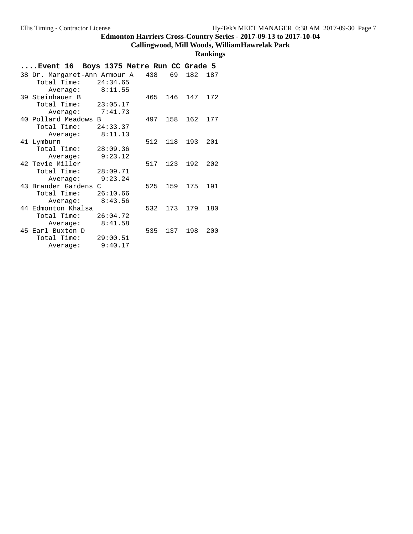## **Callingwood, Mill Woods, WilliamHawrelak Park**

| Event 16 Boys 1375 Metre Run CC Grade 5 |     |     |     |     |
|-----------------------------------------|-----|-----|-----|-----|
| 38 Dr. Margaret-Ann Armour A            | 438 | 69  | 182 | 187 |
| Total Time:<br>24:34.65                 |     |     |     |     |
| 8:11.55<br>Average:                     |     |     |     |     |
| 39 Steinhauer B                         | 465 | 146 | 147 | 172 |
| Total Time:<br>23:05.17                 |     |     |     |     |
| 7:41.73<br>Average:                     |     |     |     |     |
| 40 Pollard Meadows B                    | 497 | 158 | 162 | 177 |
| Total Time:<br>24:33.37                 |     |     |     |     |
| 8:11.13<br>Average:                     |     |     |     |     |
| 41 Lymburn                              | 512 | 118 | 193 | 201 |
| Total Time:<br>28:09.36                 |     |     |     |     |
| 9:23.12<br>Average:                     |     |     |     |     |
| 42 Tevie Miller                         | 517 | 123 | 192 | 202 |
| Total Time:<br>28:09.71                 |     |     |     |     |
| 9:23.24<br>Average:                     |     |     |     |     |
| 43 Brander Gardens C                    | 525 | 159 | 175 | 191 |
| Total Time:<br>26:10.66                 |     |     |     |     |
| 8:43.56<br>Average:                     |     |     |     |     |
| 44 Edmonton Khalsa                      | 532 | 173 | 179 | 180 |
| Total Time:<br>26:04.72                 |     |     |     |     |
| 8:41.58<br>Average:                     |     |     |     |     |
| 45 Earl Buxton D                        | 535 | 137 | 198 | 200 |
| Total Time:<br>29:00.51                 |     |     |     |     |
| 9:40.17<br>Average:                     |     |     |     |     |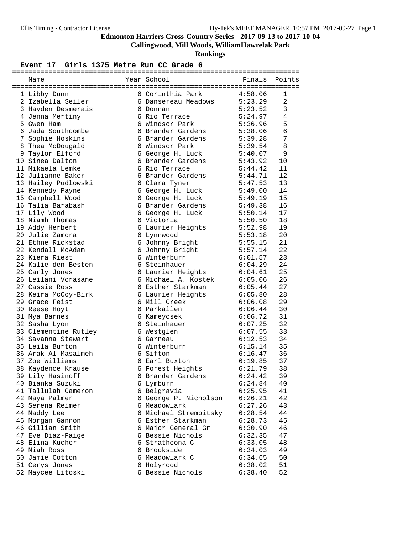**Callingwood, Mill Woods, WilliamHawrelak Park**

**Rankings**

| Name                 | Year School           | Finals  | Points         |
|----------------------|-----------------------|---------|----------------|
| 1 Libby Dunn         | 6 Corinthia Park      | 4:58.06 | 1              |
| 2 Izabella Seiler    | 6 Dansereau Meadows   | 5:23.29 | $\overline{2}$ |
| 3 Hayden Desmerais   | 6 Donnan              | 5:23.52 | 3              |
| 4 Jenna Mertiny      | 6 Rio Terrace         | 5:24.97 | 4              |
| 5 Gwen Ham           | 6 Windsor Park        | 5:36.96 | 5              |
| 6 Jada Southcombe    | 6 Brander Gardens     | 5:38.06 | 6              |
| 7 Sophie Hoskins     | 6 Brander Gardens     | 5:39.28 | 7              |
| 8 Thea McDougald     | 6 Windsor Park        | 5:39.54 | 8              |
| 9 Taylor Elford      | 6 George H. Luck      | 5:40.07 | 9              |
| 10 Sinea Dalton      | 6 Brander Gardens     | 5:43.92 | 10             |
| 11 Mikaela Lemke     | 6 Rio Terrace         | 5:44.42 | 11             |
| 12 Julianne Baker    | 6 Brander Gardens     | 5:44.71 | 12             |
| 13 Hailey Pudlowski  | 6 Clara Tyner         | 5:47.53 | 13             |
| 14 Kennedy Payne     | 6 George H. Luck      | 5:49.00 | 14             |
| 15 Campbell Wood     | 6 George H. Luck      | 5:49.19 | 15             |
| 16 Talia Barabash    | 6 Brander Gardens     | 5:49.38 | 16             |
| 17 Lily Wood         | 6 George H. Luck      | 5:50.14 | 17             |
| 18 Niamh Thomas      | 6 Victoria            | 5:50.50 | 18             |
| 19 Addy Herbert      | 6 Laurier Heights     | 5:52.98 | 19             |
| 20 Julie Zamora      | 6 Lynnwood            | 5:53.18 | 20             |
| 21 Ethne Rickstad    | 6 Johnny Bright       | 5:55.15 | 21             |
| 22 Kendall McAdam    | 6 Johnny Bright       | 5:57.14 | 22             |
| 23 Kiera Riest       | 6 Winterburn          | 6:01.57 | 23             |
| 24 Kalie den Besten  | 6 Steinhauer          | 6:04.29 | 24             |
| 25 Carly Jones       | 6 Laurier Heights     | 6:04.61 | 25             |
| 26 Leilani Vorasane  | 6 Michael A. Kostek   | 6:05.06 | 26             |
| 27 Cassie Ross       | 6 Esther Starkman     | 6:05.44 | 27             |
| 28 Keira McCoy-Birk  | 6 Laurier Heights     | 6:05.80 | 28             |
| 29 Grace Feist       | 6 Mill Creek          | 6:06.08 | 29             |
| 30 Reese Hoyt        | 6 Parkallen           | 6:06.44 | 30             |
| 31 Mya Barnes        | 6 Kameyosek           | 6:06.72 | 31             |
| 32 Sasha Lyon        | 6 Steinhauer          | 6:07.25 | 32             |
| 33 Clementine Rutley | 6 Westglen            | 6:07.55 | 33             |
| 34 Savanna Stewart   | 6 Garneau             | 6:12.53 | 34             |
| 35 Leila Burton      | 6 Winterburn          | 6:15.14 | 35             |
| 36 Arak Al Masalmeh  | 6 Sifton              | 6:16.47 | 36             |
| 37 Zoe Williams      | 6 Earl Buxton         | 6:19.85 | 37             |
| 38 Kaydence Krause   | 6 Forest Heights      | 6:21.79 | 38             |
| 39 Lily Hasinoff     | 6 Brander Gardens     | 6:24.42 | 39             |
| 40 Bianka Suzuki     | 6 Lymburn             | 6:24.84 | 40             |
| 41 Tallulah Cameron  | 6 Belgravia           | 6:25.95 | 41             |
| 42 Maya Palmer       | 6 George P. Nicholson | 6:26.21 | 42             |
| 43 Serena Reimer     | 6 Meadowlark          | 6:27.26 | 43             |
| 44 Maddy Lee         | 6 Michael Strembitsky | 6:28.54 | 44             |
| 45 Morgan Gannon     | 6 Esther Starkman     | 6:28.73 | 45             |
| 46 Gillian Smith     | 6 Major General Gr    | 6:30.90 | 46             |
| 47 Eve Diaz-Paige    | 6 Bessie Nichols      | 6:32.35 | 47             |
| 48 Elina Kucher      | 6 Strathcona C        | 6:33.05 | 48             |
| 49 Miah Ross         | 6 Brookside           | 6:34.03 | 49             |
| 50 Jamie Cotton      | 6 Meadowlark C        | 6:34.65 | 50             |
| 51 Cerys Jones       | 6 Holyrood            | 6:38.02 | 51             |
| 52 Maycee Litoski    | 6 Bessie Nichols      | 6:38.40 | 52             |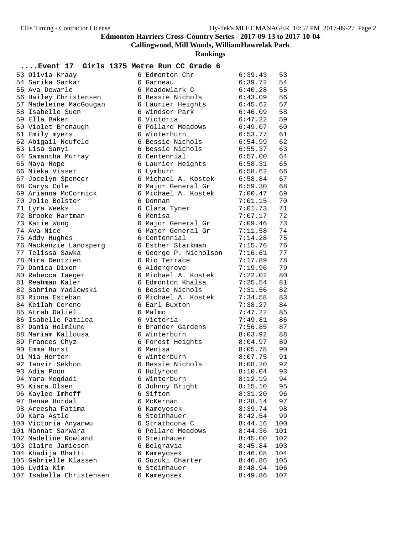**Callingwood, Mill Woods, WilliamHawrelak Park**

**Rankings**

| 53 Olivia Kraay          | 6 Edmonton Chr        | 6:39.43 | 53  |
|--------------------------|-----------------------|---------|-----|
| 54 Sarika Sarkar         | 6 Garneau             | 6:39.72 | 54  |
| 55 Ava Dewarle           | 6 Meadowlark C        | 6:40.28 | 55  |
| 56 Hailey Christensen    | 6 Bessie Nichols      | 6:43.09 | 56  |
| 57 Madeleine MacGougan   | 6 Laurier Heights     | 6:45.62 | 57  |
| 58 Isabelle Suen         | 6 Windsor Park        | 6:46.09 | 58  |
| 59 Ella Baker            | 6 Victoria            | 6:47.22 | 59  |
| 60 Violet Bronaugh       | 6 Pollard Meadows     | 6:49.07 | 60  |
| 61 Emily myers           | 6 Winterburn          | 6:53.77 | 61  |
| 62 Abigail Neufeld       | 6 Bessie Nichols      | 6:54.99 | 62  |
| 63 Lisa Sanyi            | 6 Bessie Nichols      | 6:55.37 | 63  |
| 64 Samantha Murray       | 6 Centennial          | 6:57.00 | 64  |
| 65 Maya Hope             | 6 Laurier Heights     | 6:58.31 | 65  |
| 66 Mieka Visser          | 6 Lymburn             | 6:58.62 | 66  |
| 67 Jocelyn Spencer       | 6 Michael A. Kostek   | 6:58.84 | 67  |
| 68 Carys Cole            | 6 Major General Gr    | 6:59.30 | 68  |
| 69 Arianna McCormick     | 6 Michael A. Kostek   | 7:00.47 | 69  |
| 70 Jolie Bolster         | 6 Donnan              | 7:01.15 | 70  |
| 71 Lyra Weeks            | 6 Clara Tyner         | 7:01.73 | 71  |
| 72 Brooke Hartman        | 6 Menisa              | 7:07.17 | 72  |
| 73 Katie Wong            | 6 Major General Gr    | 7:09.46 | 73  |
| 74 Ava Nice              | 6 Major General Gr    | 7:11.58 | 74  |
| 75 Addy Hughes           | 6 Centennial          | 7:14.28 | 75  |
| 76 Mackenzie Landsperg   | 6 Esther Starkman     | 7:15.76 | 76  |
| 77 Telissa Sawka         | 6 George P. Nicholson | 7:16.61 | 77  |
| 78 Mira Dentzien         | 6 Rio Terrace         | 7:17.89 | 78  |
| 79 Danica Dixon          | 6 Aldergrove          | 7:19.96 | 79  |
| 80 Rebecca Taeger        | 6 Michael A. Kostek   | 7:22.02 | 80  |
| 81 Reahman Kaler         | 6 Edmonton Khalsa     | 7:25.54 | 81  |
| 82 Sabrina Yadlowski     | 6 Bessie Nichols      | 7:31.56 | 82  |
| 83 Riona Esteban         | 6 Michael A. Kostek   | 7:34.58 | 83  |
| 84 Keilah Cereno         | 6 Earl Buxton         | 7:38.27 | 84  |
| 85 Atrab Daliel          | 6 Malmo               | 7:47.22 | 85  |
| 86 Isabelle Patilea      | 6 Victoria            | 7:49.81 | 86  |
| 87 Dania Holmlund        | 6 Brander Gardens     | 7:56.85 | 87  |
| 88 Mariam Kallousa       | 6 Winterburn          | 8:03.92 | 88  |
| 89 Frances Chyz          | 6 Forest Heights      | 8:04.97 | 89  |
| 90 Emma Hurst            | 6 Menisa              | 8:05.78 | 90  |
| 91 Mia Herter            | 6 Winterburn          | 8:07.75 | 91  |
| 92 Tanvir Sekhon         | 6 Bessie Nichols      | 8:08.20 | 92  |
| 93 Adia Poon             | 6 Holyrood            | 8:10.04 | 93  |
| 94 Yara Meqdadi          | 6 Winterburn          | 8:12.19 | 94  |
| 95 Kiara Olsen           | 6 Johnny Bright       | 8:15.10 | 95  |
| 96 Kaylee Imhoff         | 6 Sifton              | 8:31.20 | 96  |
| 97 Denae Hordal          | 6 McKernan            | 8:38.14 | 97  |
| 98 Areesha Fatima        | 6 Kameyosek           | 8:39.74 | 98  |
| 99 Kara Astle            | 6 Steinhauer          | 8:42.54 | 99  |
| 100 Victoria Anyanwu     | 6 Strathcona C        | 8:44.16 | 100 |
| 101 Mannat Sarwara       | 6 Pollard Meadows     | 8:44.36 | 101 |
| 102 Madeline Rowland     | 6 Steinhauer          | 8:45.00 | 102 |
| 103 Claire Jamieson      | 6 Belgravia           | 8:45.84 | 103 |
| 104 Khadija Bhatti       | 6 Kameyosek           | 8:46.08 | 104 |
| 105 Gabrielle Klassen    | 6 Suzuki Charter      | 8:46.86 | 105 |
| 106 Lydia Kim            | 6 Steinhauer          | 8:48.94 | 106 |
| 107 Isabella Christensen | 6 Kameyosek           | 8:49.86 | 107 |
|                          |                       |         |     |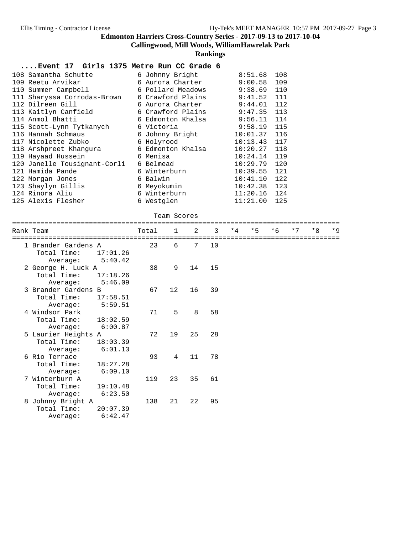**Callingwood, Mill Woods, WilliamHawrelak Park**

**Rankings**

| 108 Samantha Schutte         | 6 Johnny Bright   | 8:51.68        | 108 |
|------------------------------|-------------------|----------------|-----|
| 109 Reetu Arvikar            | 6 Aurora Charter  | 9:00.58        | 109 |
| 110 Summer Campbell          | 6 Pollard Meadows | 9:38.69        | 110 |
| 111 Sharyssa Corrodas-Brown  | 6 Crawford Plains | 9:41.52        | 111 |
| 112 Dilreen Gill             | 6 Aurora Charter  | 9:44.01        | 112 |
| 113 Kaitlyn Canfield         | 6 Crawford Plains | $9:47.35$ 113  |     |
| 114 Anmol Bhatti             | 6 Edmonton Khalsa | $9:56.11$ 114  |     |
| 115 Scott-Lynn Tytkanych     | 6 Victoria        | $9:58.19$ 115  |     |
| 116 Hannah Schmaus           | 6 Johnny Bright   | $10:01.37$ 116 |     |
| 117 Nicolette Zubko          | 6 Holyrood        | $10:13.43$ 117 |     |
| 118 Arshpreet Khangura       | 6 Edmonton Khalsa | $10:20.27$ 118 |     |
| 119 Hayaad Hussein           | 6 Menisa          | $10:24.14$ 119 |     |
| 120 Janelle Tousignant-Corli | 6 Belmead         | 10:29.79       | 120 |
| 121 Hamida Pande             | 6 Winterburn      | 10:39.55       | 121 |
| 122 Morgan Jones             | 6 Balwin          | 10:41.10       | 122 |
| 123 Shaylyn Gillis           | 6 Meyokumin       | 10:42.38       | 123 |
| 124 Rinora Aliu              | 6 Winterburn      | $11:20.16$ 124 |     |
| 125 Alexis Flesher           | 6 Westglen        | 11:21.00       | 125 |
|                              |                   |                |     |

| Team Scores |
|-------------|

| Rank Team                                                             | Total | $\sim$ 1        | $2^{\circ}$ | $\overline{3}$ | $*4$ | $*5$ $*6$ | $*7$ | $*R$ | $*9$ |
|-----------------------------------------------------------------------|-------|-----------------|-------------|----------------|------|-----------|------|------|------|
| 1 Brander Gardens A<br>Total Time:<br>17:01.26<br>5:40.42<br>Average: | 23    | 6               | 7           | 10             |      |           |      |      |      |
| 2 George H. Luck A<br>Total Time:<br>17:18.26<br>5:46.09<br>Average:  | 38    | 9               | 14          | 15             |      |           |      |      |      |
| 3 Brander Gardens B<br>Total Time:<br>17:58.51<br>5:59.51<br>Average: | 67    | 12 <sup>°</sup> | 16          | 39             |      |           |      |      |      |
| 4 Windsor Park<br>Total Time:<br>18:02.59<br>6:00.87<br>Average:      | 71    | 5               | 8           | 58             |      |           |      |      |      |
| 5 Laurier Heights A<br>Total Time:<br>18:03.39<br>6:01.13<br>Average: | 72    | 19              | 25          | 28             |      |           |      |      |      |
| 6 Rio Terrace<br>Total Time:<br>18:27.28<br>6:09.10<br>Average:       | 93    | 4               | 11          | 78             |      |           |      |      |      |
| 7 Winterburn A<br>Total Time:<br>19:10.48<br>6:23.50<br>Average:      | 119   | 23              | 35          | 61             |      |           |      |      |      |
| 8 Johnny Bright A<br>Total Time:<br>20:07.39<br>6:42.47<br>Average:   | 138   | 21              | 22          | 95             |      |           |      |      |      |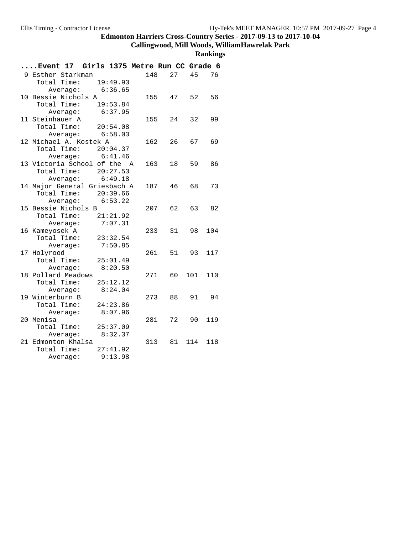# **Callingwood, Mill Woods, WilliamHawrelak Park**

| Event 17 Girls 1375 Metre Run CC Grade 6 |           |    |       |     |
|------------------------------------------|-----------|----|-------|-----|
| 9 Esther Starkman                        | 148       | 27 | 45    | 76  |
| 19:49.93<br>Total Time:                  |           |    |       |     |
| Average: 6:36.65                         |           |    |       |     |
| 10 Bessie Nichols A                      | 155 47 52 |    |       | 56  |
| Total Time: 19:53.84                     |           |    |       |     |
| Average: 6:37.95                         |           |    |       |     |
| 11 Steinhauer A                          | 155       | 24 | 32    | 99  |
| Total Time: 20:54.08                     |           |    |       |     |
| Average: 6:58.03                         |           |    |       |     |
| 12 Michael A. Kostek A                   | 162       | 26 | 67    | 69  |
| Total Time:<br>20:04.37                  |           |    |       |     |
| 6:41.46<br>Average:                      |           |    |       |     |
| 13 Victoria School of the A              | 163       | 18 | 59    | 86  |
| Total Time: 20:27.53                     |           |    |       |     |
| Average: 6:49.18                         |           |    |       |     |
| 14 Major General Griesbach A             | 187       | 46 | 68 —  | 73  |
| Total Time: 20:39.66                     |           |    |       |     |
| 6:53.22<br>Average:                      |           |    |       |     |
| 15 Bessie Nichols B                      | 207 62    |    | 63    | 82  |
| Total Time: 21:21.92                     |           |    |       |     |
| 7:07.31<br>Average:                      |           |    |       |     |
| 16 Kameyosek A                           | 233       | 31 | 98    | 104 |
| Total Time:<br>23:32.54                  |           |    |       |     |
| 7:50.85<br>Average:                      |           |    |       |     |
| 17 Holyrood                              | 261 -     | 51 | 93    | 117 |
| Total Time:<br>25:01.49                  |           |    |       |     |
| 8:20.50<br>Average:                      |           |    |       |     |
| 18 Pollard Meadows                       | 271       | 60 | 101   | 110 |
| Total Time:<br>25:12.12                  |           |    |       |     |
| Average: 8:24.04                         |           |    |       |     |
| 19 Winterburn B                          | 273       | 88 | 91 94 |     |
| Total Time:<br>24:23.86                  |           |    |       |     |
| 8:07.96<br>Average:                      |           |    |       |     |
| 20 Menisa                                | 281       | 72 | 90    | 119 |
| Total Time: 25:37.09                     |           |    |       |     |
| Average: 8:32.37                         |           |    |       |     |
| 21 Edmonton Khalsa                       | 313       | 81 | 114   | 118 |
| Total Time:<br>27:41.92                  |           |    |       |     |
| 9:13.98<br>Average:                      |           |    |       |     |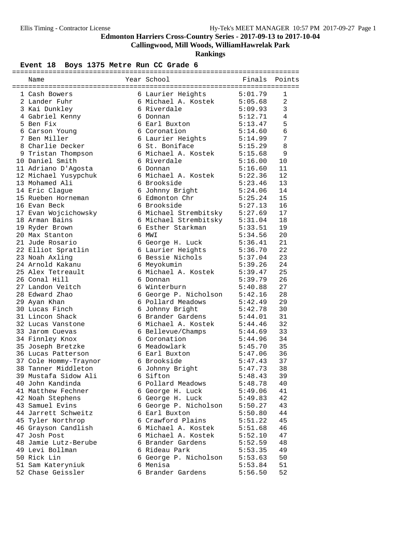**Callingwood, Mill Woods, WilliamHawrelak Park**

**Rankings**

### Event 18 Boys 1375 Metre Run CC Grade 6

| Name                  | Year School                   | Finals             | Points         |
|-----------------------|-------------------------------|--------------------|----------------|
|                       |                               |                    |                |
| 1 Cash Bowers         | 6 Laurier Heights             | 5:01.79            | 1              |
| 2 Lander Fuhr         | 6 Michael A. Kostek           | 5:05.68            | $\overline{a}$ |
| 3 Kai Dunkley         | 6 Riverdale                   | 5:09.93            | 3              |
| 4 Gabriel Kenny       | 6 Donnan                      | 5:12.71            | $\overline{4}$ |
| 5 Ben Fix             | 6 Earl Buxton                 | 5:13.47            | 5              |
| 6 Carson Young        | 6 Coronation                  | 5:14.60            | 6              |
| 7 Ben Miller          | 6 Laurier Heights             | 5:14.99            | 7              |
| 8 Charlie Decker      | 6 St. Boniface                | 5:15.29            | 8              |
| 9 Tristan Thompson    | 6 Michael A. Kostek           | 5:15.68            | 9              |
| 10 Daniel Smith       | 6 Riverdale                   | 5:16.00            | 10             |
| 11 Adriano D'Agosta   | 6 Donnan                      | 5:16.60            | 11             |
| 12 Michael Yusypchuk  | 6 Michael A. Kostek           | 5:22.36            | 12             |
| 13 Mohamed Ali        | 6 Brookside                   | 5:23.46            | 13             |
| 14 Eric Clague        | 6 Johnny Bright               | 5:24.06<br>5:25.24 | 14             |
| 15 Rueben Horneman    | 6 Edmonton Chr                |                    | 15             |
| 16 Evan Beck          | 6 Brookside                   | 5:27.13            | 16             |
| 17 Evan Wojcichowsky  | 6 Michael Strembitsky 5:27.69 |                    | 17             |
| 18 Arman Bains        | 6 Michael Strembitsky 5:31.04 |                    | 18             |
| 19 Ryder Brown        | 6 Esther Starkman             | 5:33.51            | 19             |
| 20 Max Stanton        | 6 MWI                         | 5:34.56            | 20             |
| 21 Jude Rosario       | 6 George H. Luck              | 5:36.41            | 21             |
| 22 Elliot Spratlin    | 6 Laurier Heights             | 5:36.70            | 22             |
| 23 Noah Axling        | 6 Bessie Nichols              | 5:37.04            | 23             |
| 24 Arnold Kakanu      | 6 Meyokumin                   | 5:39.26            | 24             |
| 25 Alex Tetreault     | 6 Michael A. Kostek           | 5:39.47            | 25             |
| 26 Conal Hill         | 6 Donnan                      | 5:39.79            | 26             |
| 27 Landon Veitch      | 6 Winterburn                  | 5:40.88            | 27             |
| 28 Edward Zhao        | 6 George P. Nicholson         | 5:42.16            | 28             |
| 29 Ayan Khan          | 6 Pollard Meadows             | 5:42.49            | 29             |
| 30 Lucas Finch        | 6 Johnny Bright               | 5:42.78            | 30             |
| 31 Lincon Shack       | 6 Brander Gardens             | 5:44.01            | 31             |
| 32 Lucas Vanstone     | 6 Michael A. Kostek           | 5:44.46            | 32             |
| 33 Jarom Cuevas       | 6 Bellevue/Champs             | 5:44.69            | 33             |
| 34 Finnley Knox       | 6 Coronation                  | 5:44.96            | 34             |
| 35 Joseph Bretzke     | 6 Meadowlark                  | 5:45.70            | 35             |
| 36 Lucas Patterson    | 6 Earl Buxton                 | 5:47.06            | 36             |
| 37 Cole Hommy-Traynor | 6 Brookside                   | 5:47.43            | 37             |
| 38 Tanner Middleton   | 6 Johnny Bright               | 5:47.73            | 38             |
| 39 Mustafa Sidow Ali  | 6 Sifton                      | 5:48.43            | 39             |
| 40 John Kandinda      | 6 Pollard Meadows             | 5:48.78            | 40             |
| 41 Matthew Fechner    | 6 George H. Luck              | 5:49.06            | 41             |
| 42 Noah Stephens      | 6 George H. Luck              | 5:49.83            | 42             |
| 43 Samuel Evins       | 6 George P. Nicholson         | 5:50.27            | 43             |
| 44 Jarrett Schweitz   | 6 Earl Buxton                 | 5:50.80            | 44             |
| 45 Tyler Northrop     | 6 Crawford Plains             | 5:51.22            | 45             |
| 46 Grayson Candlish   | 6 Michael A. Kostek           | 5:51.68            | 46             |
| 47 Josh Post          | 6 Michael A. Kostek           | 5:52.10            | 47             |
| 48 Jamie Lutz-Berube  | 6 Brander Gardens             | 5:52.59            | 48             |
| 49 Levi Bollman       | 6 Rideau Park                 | 5:53.35            | 49             |
| 50 Rick Lin           | 6 George P. Nicholson         | 5:53.63            | 50             |
| 51 Sam Kateryniuk     | 6 Menisa                      | 5:53.84            | 51             |
| 52 Chase Geissler     | 6 Brander Gardens             | 5:56.50            | 52             |
|                       |                               |                    |                |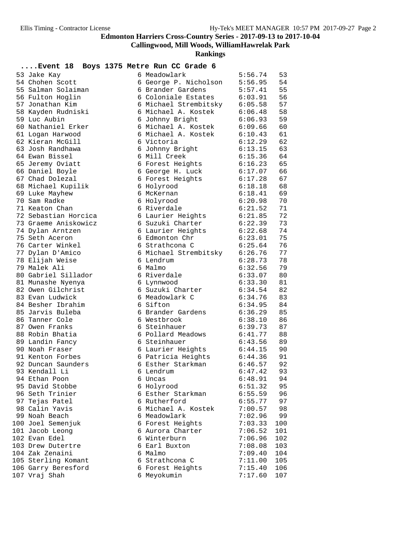**Callingwood, Mill Woods, WilliamHawrelak Park**

| $\ldots$ . Event 18  | Boys 1375 Metre Run CC Grade 6 |         |     |
|----------------------|--------------------------------|---------|-----|
| 53 Jake Kay          | 6 Meadowlark                   | 5:56.74 | 53  |
| 54 Chohen Scott      | 6 George P. Nicholson          | 5:56.95 | 54  |
| 55 Salman Solaiman   | 6 Brander Gardens              | 5:57.41 | 55  |
| 56 Fulton Hoglin     | 6 Coloniale Estates            | 6:03.91 | 56  |
| 57 Jonathan Kim      | 6 Michael Strembitsky          | 6:05.58 | 57  |
| 58 Kayden Rudniski   | 6 Michael A. Kostek            | 6:06.48 | 58  |
| 59 Luc Aubin         | 6 Johnny Bright                | 6:06.93 | 59  |
| 60 Nathaniel Erker   | 6 Michael A. Kostek            | 6:09.66 | 60  |
| 61 Logan Harwood     | 6 Michael A. Kostek            | 6:10.43 | 61  |
| 62 Kieran McGill     | 6 Victoria                     | 6:12.29 | 62  |
| 63 Josh Randhawa     | 6 Johnny Bright                | 6:13.15 | 63  |
| 64 Ewan Bissel       | 6 Mill Creek                   | 6:15.36 | 64  |
| 65 Jeremy Oviatt     | 6 Forest Heights               | 6:16.23 | 65  |
| 66 Daniel Boyle      | 6 George H. Luck               | 6:17.07 | 66  |
| 67 Chad Dolezal      | 6 Forest Heights               | 6:17.28 | 67  |
| 68 Michael Kupilik   | 6 Holyrood                     | 6:18.18 | 68  |
| 69 Luke Mayhew       | 6 McKernan                     | 6:18.41 | 69  |
| 70 Sam Radke         | 6 Holyrood                     | 6:20.98 | 70  |
| 71 Keaton Chan       | 6 Riverdale                    | 6:21.52 | 71  |
| 72 Sebastian Horcica | 6 Laurier Heights              | 6:21.85 | 72  |
| 73 Graeme Aniskowicz | 6 Suzuki Charter               | 6:22.39 | 73  |
| 74 Dylan Arntzen     | 6 Laurier Heights              | 6:22.68 | 74  |
| 75 Seth Aceron       | 6 Edmonton Chr                 | 6:23.01 | 75  |
| 76 Carter Winkel     | 6 Strathcona C                 | 6:25.64 | 76  |
| 77 Dylan D'Amico     | 6 Michael Strembitsky 6:26.76  |         | 77  |
| 78 Elijah Weise      | 6 Lendrum                      | 6:28.73 | 78  |
| 79 Malek Ali         | 6 Malmo                        | 6:32.56 | 79  |
| 80 Gabriel Sillador  | 6 Riverdale                    | 6:33.07 | 80  |
| 81 Munashe Nyenya    | 6 Lynnwood                     | 6:33.30 | 81  |
| 82 Owen Gilchrist    | 6 Suzuki Charter               | 6:34.54 | 82  |
| 83 Evan Ludwick      | 6 Meadowlark C                 | 6:34.76 | 83  |
| 84 Besher Ibrahim    | 6 Sifton                       | 6:34.95 | 84  |
| 85 Jarvis Buleba     | 6 Brander Gardens              | 6:36.29 | 85  |
| 86 Tanner Cole       | 6 Westbrook                    | 6:38.10 | 86  |
| 87 Owen Franks       | 6 Steinhauer                   | 6:39.73 | 87  |
| 88 Robin Bhatia      | 6 Pollard Meadows              | 6:41.77 | 88  |
| 89 Landin Fancy      | 6 Steinhauer                   | 6:43.56 | 89  |
| 90 Noah Fraser       | 6 Laurier Heights              | 6:44.15 | 90  |
| 91 Kenton Forbes     | 6 Patricia Heights             | 6:44.36 | 91  |
| 92 Duncan Saunders   | 6 Esther Starkman              | 6:46.57 | 92  |
| 93 Kendall Li        | 6 Lendrum                      | 6:47.42 | 93  |
| 94 Ethan Poon        | 6 Uncas                        | 6:48.91 | 94  |
| 95 David Stobbe      | 6 Holyrood                     | 6:51.32 | 95  |
| 96 Seth Trinier      | 6 Esther Starkman              | 6:55.59 | 96  |
| 97 Tejas Patel       | 6 Rutherford                   | 6:55.77 | 97  |
| 98 Calin Yavis       | 6 Michael A. Kostek            | 7:00.57 | 98  |
| 99 Noah Beach        | 6 Meadowlark                   | 7:02.96 | 99  |
| 100 Joel Semenjuk    | 6 Forest Heights               | 7:03.33 | 100 |
| 101 Jacob Leong      | 6 Aurora Charter               | 7:06.52 | 101 |
| 102 Evan Edel        | 6 Winterburn                   | 7:06.96 | 102 |
| 103 Drew Dutertre    | 6 Earl Buxton                  | 7:08.08 | 103 |
| 104 Zak Zenaini      | 6 Malmo                        | 7:09.40 | 104 |
| 105 Sterling Komant  | 6 Strathcona C                 | 7:11.00 | 105 |
| 106 Garry Beresford  | 6 Forest Heights               | 7:15.40 | 106 |
| 107 Vraj Shah        | 6 Meyokumin                    | 7:17.60 | 107 |
|                      |                                |         |     |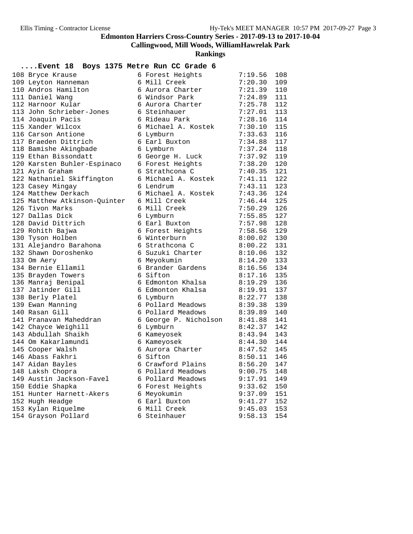**Callingwood, Mill Woods, WilliamHawrelak Park**

**Rankings**

### **....Event 18 Boys 1375 Metre Run CC Grade 6**

| 108 Bryce Krause             | 6 Forest Heights      | 7:19.56 | 108 |
|------------------------------|-----------------------|---------|-----|
| 109 Leyton Hanneman          | 6 Mill Creek          | 7:20.30 | 109 |
| 110 Andros Hamilton          | 6 Aurora Charter      | 7:21.39 | 110 |
| 111 Daniel Wang              | 6 Windsor Park        | 7:24.89 | 111 |
| 112 Harnoor Kular            | 6 Aurora Charter      | 7:25.78 | 112 |
| 113 John Schrieber-Jones     | 6 Steinhauer          | 7:27.01 | 113 |
| 114 Joaquin Pacis            | 6 Rideau Park         | 7:28.16 | 114 |
| 115 Xander Wilcox            | 6 Michael A. Kostek   | 7:30.10 | 115 |
| 116 Carson Antione           | 6 Lymburn             | 7:33.63 | 116 |
| 117 Braeden Dittrich         | 6 Earl Buxton         | 7:34.88 | 117 |
| 118 Bamishe Akingbade        | 6 Lymburn             | 7:37.24 | 118 |
| 119 Ethan Bissondatt         | 6 George H. Luck      | 7:37.92 | 119 |
| 120 Karsten Buhler-Espinaco  | 6 Forest Heights      | 7:38.20 | 120 |
| 121 Ayin Graham              | 6 Strathcona C        | 7:40.35 | 121 |
| 122 Nathaniel Skiffington    | 6 Michael A. Kostek   | 7:41.11 | 122 |
| 123 Casey Mingay             | 6 Lendrum             | 7:43.11 | 123 |
| 124 Matthew Derkach          | 6 Michael A. Kostek   | 7:43.36 | 124 |
| 125 Matthew Atkinson-Quinter | 6 Mill Creek          | 7:46.44 | 125 |
| 126 Tivon Marks              | 6 Mill Creek          | 7:50.29 | 126 |
| 127 Dallas Dick              | 6 Lymburn             | 7:55.85 | 127 |
| 128 David Dittrich           | 6 Earl Buxton         | 7:57.98 | 128 |
| 129 Rohith Bajwa             | 6 Forest Heights      | 7:58.56 | 129 |
| 130 Tyson Holben             | 6 Winterburn          | 8:00.02 | 130 |
| 131 Alejandro Barahona       | 6 Strathcona C        | 8:00.22 | 131 |
| 132 Shawn Doroshenko         | 6 Suzuki Charter      | 8:10.06 | 132 |
| 133 Om Aery                  | 6 Meyokumin           | 8:14.20 | 133 |
| 134 Bernie Ellamil           | 6 Brander Gardens     | 8:16.56 | 134 |
| 135 Brayden Towers           | 6 Sifton              | 8:17.16 | 135 |
| 136 Manraj Benipal           | 6 Edmonton Khalsa     | 8:19.29 | 136 |
| 137 Jatinder Gill            | 6 Edmonton Khalsa     | 8:19.91 | 137 |
| 138 Berly Platel             | 6 Lymburn             | 8:22.77 | 138 |
| 139 Ewan Manning             | 6 Pollard Meadows     | 8:39.38 | 139 |
| 140 Rasan Gill               | 6 Pollard Meadows     | 8:39.89 | 140 |
| 141 Pranavan Maheddran       | 6 George P. Nicholson | 8:41.88 | 141 |
| 142 Chayce Weighill          | 6 Lymburn             | 8:42.37 | 142 |
| 143 Abdullah Shaikh          | 6 Kameyosek           | 8:43.94 | 143 |
| 144 Om Kakarlamundi          | 6 Kameyosek           | 8:44.30 | 144 |
| 145 Cooper Walsh             | 6 Aurora Charter      | 8:47.52 | 145 |
| 146 Abass Fakhri             | 6 Sifton              | 8:50.11 | 146 |
| 147 Aidan Bayles             | 6 Crawford Plains     | 8:56.20 | 147 |
| 148 Laksh Chopra             | 6 Pollard Meadows     | 9:00.75 | 148 |
| 149 Austin Jackson-Favel     | 6 Pollard Meadows     | 9:17.91 | 149 |
| 150 Eddie Shapka             | 6 Forest Heights      | 9:33.62 | 150 |
| 151 Hunter Harnett-Akers     | 6 Meyokumin           | 9:37.09 | 151 |
| 152 Hugh Headge              | 6 Earl Buxton         | 9:41.27 | 152 |
| 153 Kylan Riquelme           | 6 Mill Creek          | 9:45.03 | 153 |
| 154 Grayson Pollard          | 6 Steinhauer          | 9:58.13 | 154 |
|                              |                       |         |     |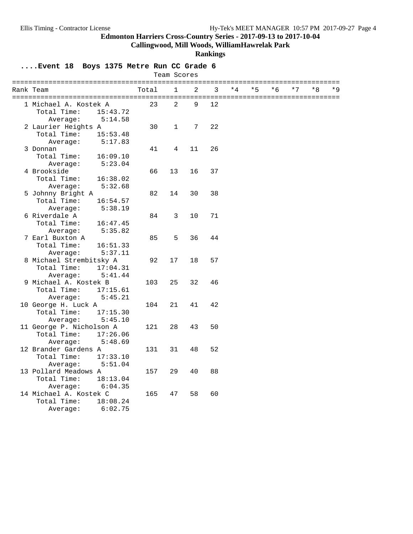**Callingwood, Mill Woods, WilliamHawrelak Park**

#### **Rankings**

**....Event 18 Boys 1375 Metre Run CC Grade 6**

|                          |       | Team Scores    |    |    |      |      |      |      |    |     |
|--------------------------|-------|----------------|----|----|------|------|------|------|----|-----|
| Rank Team                | Total | $\mathbf{1}$   | 2  | 3  | $*4$ | $*5$ | $*6$ | $*7$ | *8 | * 9 |
| 1 Michael A. Kostek A    | 23    | $\overline{2}$ | 9  | 12 |      |      |      |      |    |     |
| Total Time:<br>15:43.72  |       |                |    |    |      |      |      |      |    |     |
| 5:14.58<br>Average:      |       |                |    |    |      |      |      |      |    |     |
| 2 Laurier Heights A      | 30    | $\mathbf{1}$   | 7  | 22 |      |      |      |      |    |     |
| Total Time:<br>15:53.48  |       |                |    |    |      |      |      |      |    |     |
| Average:<br>5:17.83      |       |                |    |    |      |      |      |      |    |     |
| 3 Donnan                 | 41    | 4              | 11 | 26 |      |      |      |      |    |     |
| Total Time:<br>16:09.10  |       |                |    |    |      |      |      |      |    |     |
| 5:23.04<br>Average:      |       |                |    |    |      |      |      |      |    |     |
| 4 Brookside              | 66    | 13             | 16 | 37 |      |      |      |      |    |     |
| Total Time:<br>16:38.02  |       |                |    |    |      |      |      |      |    |     |
| Average:<br>5:32.68      |       |                |    |    |      |      |      |      |    |     |
| 5 Johnny Bright A        | 82    | 14             | 30 | 38 |      |      |      |      |    |     |
| Total Time:<br>16:54.57  |       |                |    |    |      |      |      |      |    |     |
| Average:<br>5:38.19      |       |                |    |    |      |      |      |      |    |     |
| 6 Riverdale A            | 84    | 3              | 10 | 71 |      |      |      |      |    |     |
| Total Time:<br>16:47.45  |       |                |    |    |      |      |      |      |    |     |
| 5:35.82<br>Average:      |       |                |    |    |      |      |      |      |    |     |
| 7 Earl Buxton A          | 85    | 5              | 36 | 44 |      |      |      |      |    |     |
| Total Time:<br>16:51.33  |       |                |    |    |      |      |      |      |    |     |
| Average:<br>5:37.11      |       |                |    |    |      |      |      |      |    |     |
| 8 Michael Strembitsky A  | 92    | 17             | 18 | 57 |      |      |      |      |    |     |
| Total Time:<br>17:04.31  |       |                |    |    |      |      |      |      |    |     |
| 5:41.44<br>Average:      |       |                |    |    |      |      |      |      |    |     |
| 9 Michael A. Kostek B    | 103   | 25             | 32 | 46 |      |      |      |      |    |     |
| Total Time:<br>17:15.61  |       |                |    |    |      |      |      |      |    |     |
| Average:<br>5:45.21      |       |                |    |    |      |      |      |      |    |     |
| 10 George H. Luck A      | 104   | 21             | 41 | 42 |      |      |      |      |    |     |
| Total Time:<br>17:15.30  |       |                |    |    |      |      |      |      |    |     |
| 5:45.10<br>Average:      |       |                |    |    |      |      |      |      |    |     |
| 11 George P. Nicholson A | 121   | 28             | 43 | 50 |      |      |      |      |    |     |
| Total Time:<br>17:26.06  |       |                |    |    |      |      |      |      |    |     |
| Average:<br>5:48.69      |       |                |    |    |      |      |      |      |    |     |
| 12 Brander Gardens A     | 131   | 31             | 48 | 52 |      |      |      |      |    |     |
| Total Time:<br>17:33.10  |       |                |    |    |      |      |      |      |    |     |
| Average:<br>5:51.04      |       |                |    |    |      |      |      |      |    |     |
| 13 Pollard Meadows A     | 157   | 29             | 40 | 88 |      |      |      |      |    |     |
| Total Time:<br>18:13.04  |       |                |    |    |      |      |      |      |    |     |
| 6:04.35<br>Average:      |       |                |    |    |      |      |      |      |    |     |
| 14 Michael A. Kostek C   | 165   | 47             | 58 | 60 |      |      |      |      |    |     |
| Total Time:<br>18:08.24  |       |                |    |    |      |      |      |      |    |     |
| 6:02.75<br>Average:      |       |                |    |    |      |      |      |      |    |     |
|                          |       |                |    |    |      |      |      |      |    |     |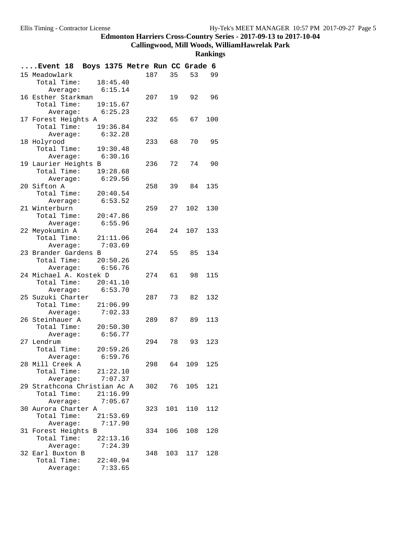**Callingwood, Mill Woods, WilliamHawrelak Park**

| Event 18 Boys 1375 Metre Run CC Grade 6 |                      |          |        |     |            |     |
|-----------------------------------------|----------------------|----------|--------|-----|------------|-----|
| 15 Meadowlark                           |                      |          | 187    | 35  | 53         | 99  |
| Total Time: 18:45.40                    |                      |          |        |     |            |     |
|                                         | Average: 6:15.14     |          |        |     |            |     |
| 16 Esther Starkman                      |                      |          | 207    | 19  | 92         | 96  |
|                                         | Total Time: 19:15.67 |          |        |     |            |     |
|                                         | Average: 6:25.23     |          |        |     |            |     |
| 17 Forest Heights A                     |                      |          | 232    | 65  | 67         | 100 |
| Total Time: 19:36.84                    |                      |          |        |     |            |     |
|                                         | Average: 6:32.28     |          |        |     |            |     |
| 18 Holyrood                             |                      |          | 233    | 68  | 70         | 95  |
| Total Time: 19:30.48                    |                      |          |        |     |            |     |
|                                         | Average: 6:30.16     |          |        |     |            |     |
| 19 Laurier Heights B                    |                      |          | 236    | 72  | 74         | 90  |
| Total Time: 19:28.68                    |                      |          |        |     |            |     |
|                                         | Average:             | 6:29.56  |        |     |            |     |
| 20 Sifton A                             |                      |          | 258    | 39  | 84         | 135 |
| Total Time:                             |                      | 20:40.54 |        |     |            |     |
|                                         | Average:             | 6:53.52  |        |     |            |     |
| 21 Winterburn                           |                      |          | 259    | 27  | 102        | 130 |
| Total Time:                             |                      | 20:47.86 |        |     |            |     |
|                                         | Average:             | 6:55.96  |        |     |            |     |
| 22 Meyokumin A                          |                      |          | 264    | 24  | 107        | 133 |
|                                         | Total Time: 21:11.06 |          |        |     |            |     |
|                                         | Average:             | 7:03.69  |        |     |            |     |
| 23 Brander Gardens B                    |                      |          | 274    | 55  | 85         | 134 |
| Total Time: 20:50.26                    |                      |          |        |     |            |     |
|                                         | Average: 6:56.76     |          |        |     |            |     |
| 24 Michael A. Kostek D                  |                      |          | 274    | 61  | 98         | 115 |
| Total Time:                             |                      | 20:41.10 |        |     |            |     |
|                                         | Average: 6:53.70     |          |        |     |            |     |
| 25 Suzuki Charter                       |                      |          | 287    | 73  | 82         | 132 |
| Total Time: 21:06.99                    |                      |          |        |     |            |     |
|                                         | Average:             | 7:02.33  |        |     |            |     |
| 26 Steinhauer A                         |                      |          | 289 87 |     | 89         | 113 |
| Total Time:                             |                      | 20:50.30 |        |     |            |     |
|                                         | Average: 6:56.77     |          |        |     |            |     |
| 27 Lendrum                              |                      |          | 294    | 78  | 93         | 123 |
| Total Time: 20:59.26                    |                      |          |        |     |            |     |
|                                         | Average:             | 6:59.76  |        |     |            |     |
| 28 Mill Creek A                         |                      |          | 298    | 64  | 109        | 125 |
| Total Time:                             |                      | 21:22.10 |        |     |            |     |
|                                         | Average:             | 7:07.37  |        |     |            |     |
| 29 Strathcona Christian Ac A            |                      |          |        |     | 302 76 105 | 121 |
|                                         | Total Time: 21:16.99 |          |        |     |            |     |
|                                         | Average: 7:05.67     |          |        |     |            |     |
| 30 Aurora Charter A                     |                      |          | 323    | 101 | 110        | 112 |
| Total Time:                             |                      | 21:53.69 |        |     |            |     |
|                                         | Average:             | 7:17.90  |        |     |            |     |
| 31 Forest Heights B                     |                      |          | 334    | 106 | 108        | 120 |
| Total Time:                             |                      | 22:13.16 |        |     |            |     |
|                                         | Average:             | 7:24.39  |        |     |            |     |
| 32 Earl Buxton B                        |                      |          | 348    |     | 103 117    | 128 |
| Total Time:                             |                      | 22:40.94 |        |     |            |     |
|                                         | Average:             | 7:33.65  |        |     |            |     |
|                                         |                      |          |        |     |            |     |